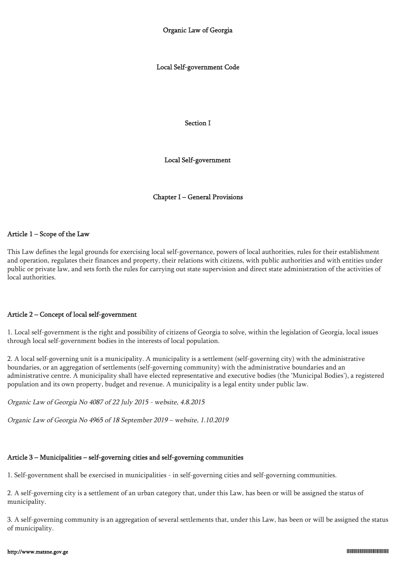Local Self-government Code

Section I

Local Self-government

Chapter I – General Provisions

## Article 1 – Scope of the Law

This Law defines the legal grounds for exercising local self-governance, powers of local authorities, rules for their establishment and operation, regulates their finances and property, their relations with citizens, with public authorities and with entities under public or private law, and sets forth the rules for carrying out state supervision and direct state administration of the activities of local authorities.

## Article 2 – Concept of local self-government

1. Local self-government is the right and possibility of citizens of Georgia to solve, within the legislation of Georgia, local issues through local self-government bodies in the interests of local population.

2. A local self-governing unit is a municipality. A municipality is a settlement (self-governing city) with the administrative boundaries, or an aggregation of settlements (self-governing community) with the administrative boundaries and an administrative centre. A municipality shall have elected representative and executive bodies (the 'Municipal Bodies'), a registered population and its own property, budget and revenue. A municipality is a legal entity under public law.

Organic Law of Georgia No 4087 of 22 July 2015 - website, 4.8.2015

Organic Law of Georgia No 4965 of 18 September 2019 – website, 1.10.2019

# Article 3 – Municipalities – self-governing cities and self-governing communities

1. Self-government shall be exercised in municipalities - in self-governing cities and self-governing communities.

2. A self-governing city is a settlement of an urban category that, under this Law, has been or will be assigned the status of municipality.

3. A self-governing community is an aggregation of several settlements that, under this Law, has been or will be assigned the status of municipality.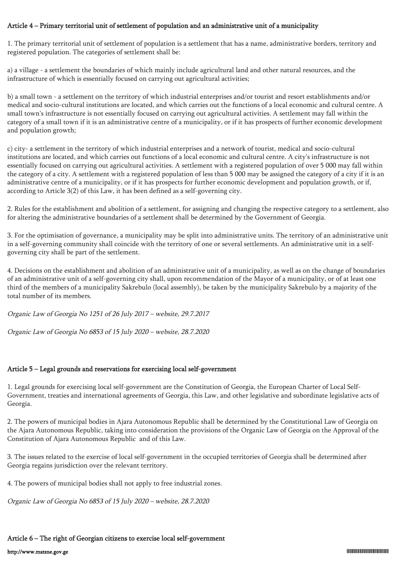## Article 4 – Primary territorial unit of settlement of population and an administrative unit of a municipality

1. The primary territorial unit of settlement of population is a settlement that has a name, administrative borders, territory and registered population. The categories of settlement shall be:

a) a village - a settlement the boundaries of which mainly include agricultural land and other natural resources, and the infrastructure of which is essentially focused on carrying out agricultural activities;

b) a small town - a settlement on the territory of which industrial enterprises and/or tourist and resort establishments and/or medical and socio-cultural institutions are located, and which carries out the functions of a local economic and cultural centre. A small town's infrastructure is not essentially focused on carrying out agricultural activities. A settlement may fall within the category of a small town if it is an administrative centre of a municipality, or if it has prospects of further economic development and population growth;

c) city- a settlement in the territory of which industrial enterprises and a network of tourist, medical and socio-cultural institutions are located, and which carries out functions of a local economic and cultural centre. A city's infrastructure is not essentially focused on carrying out agricultural activities. A settlement with a registered population of over 5 000 may fall within the category of a city. A settlement with a registered population of less than 5 000 may be assigned the category of a city if it is an administrative centre of a municipality, or if it has prospects for further economic development and population growth, or if, according to Article 3(2) of this Law, it has been defined as a self-governing city.

2. Rules for the establishment and abolition of a settlement, for assigning and changing the respective category to a settlement, also for altering the administrative boundaries of a settlement shall be determined by the Government of Georgia.

3. For the optimisation of governance, a municipality may be split into administrative units. The territory of an administrative unit in a self-governing community shall coincide with the territory of one or several settlements. An administrative unit in a selfgoverning city shall be part of the settlement.

4. Decisions on the establishment and abolition of an administrative unit of a municipality, as well as on the change of boundaries of an administrative unit of a self-governing city shall, upon recommendation of the Mayor of a municipality, or of at least one third of the members of a municipality Sakrebulo (local assembly), be taken by the municipality Sakrebulo by a majority of the total number of its members.

Organic Law of Georgia No 1251 of 26 July 2017 – website, 29.7.2017

Organic Law of Georgia No 6853 of 15 July 2020 – website, 28.7.2020

## Article 5 – Legal grounds and reservations for exercising local self-government

1. Legal grounds for exercising local self-government are the Constitution of Georgia, the European Charter of Local Self-Government, treaties and international agreements of Georgia, this Law, and other legislative and subordinate legislative acts of Georgia.

2. The powers of municipal bodies in Ajara Autonomous Republic shall be determined by the Constitutional Law of Georgia on the Ajara Autonomous Republic, taking into consideration the provisions of the Organic Law of Georgia on the Approval of the Constitution of Ajara Autonomous Republic and of this Law.

3. The issues related to the exercise of local self-government in the occupied territories of Georgia shall be determined after Georgia regains jurisdiction over the relevant territory.

4. The powers of municipal bodies shall not apply to free industrial zones.

Organic Law of Georgia No 6853 of 15 July 2020 – website, 28.7.2020

## Article 6 – The right of Georgian citizens to exercise local self-government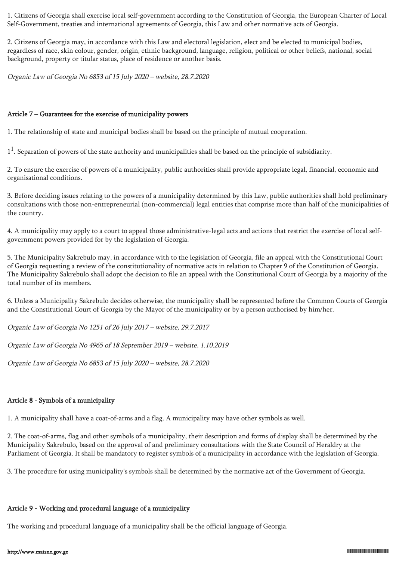1. Citizens of Georgia shall exercise local self-government according to the Constitution of Georgia, the European Charter of Local Self-Government, treaties and international agreements of Georgia, this Law and other normative acts of Georgia.

2. Citizens of Georgia may, in accordance with this Law and electoral legislation, elect and be elected to municipal bodies, regardless of race, skin colour, gender, origin, ethnic background, language, religion, political or other beliefs, national, social background, property or titular status, place of residence or another basis.

Organic Law of Georgia No 6853 of 15 July 2020 – website, 28.7.2020

### Article 7 – Guarantees for the exercise of municipality powers

1. The relationship of state and municipal bodies shall be based on the principle of mutual cooperation.

 $1<sup>1</sup>$ . Separation of powers of the state authority and municipalities shall be based on the principle of subsidiarity.

2. To ensure the exercise of powers of a municipality, public authorities shall provide appropriate legal, financial, economic and organisational conditions.

3. Before deciding issues relating to the powers of a municipality determined by this Law, public authorities shall hold preliminary consultations with those non-entrepreneurial (non-commercial) legal entities that comprise more than half of the municipalities of the country.

4. A municipality may apply to a court to appeal those administrative-legal acts and actions that restrict the exercise of local selfgovernment powers provided for by the legislation of Georgia.

5. The Municipality Sakrebulo may, in accordance with to the legislation of Georgia, file an appeal with the Constitutional Court of Georgia requesting a review of the constitutionality of normative acts in relation to Chapter 9 of the Constitution of Georgia. The Municipality Sakrebulo shall adopt the decision to file an appeal with the Constitutional Court of Georgia by a majority of the total number of its members.

6. Unless a Municipality Sakrebulo decides otherwise, the municipality shall be represented before the Common Courts of Georgia and the Constitutional Court of Georgia by the Mayor of the municipality or by a person authorised by him/her.

Organic Law of Georgia No 1251 of 26 July 2017 – website, 29.7.2017

Organic Law of Georgia No 4965 of 18 September 2019 – website, 1.10.2019

Organic Law of Georgia No 6853 of 15 July 2020 – website, 28.7.2020

## Article 8 - Symbols of a municipality

1. A municipality shall have a coat-of-arms and a flag. A municipality may have other symbols as well.

2. The coat-of-arms, flag and other symbols of a municipality, their description and forms of display shall be determined by the Municipality Sakrebulo, based on the approval of and preliminary consultations with the State Council of Heraldry at the Parliament of Georgia. It shall be mandatory to register symbols of a municipality in accordance with the legislation of Georgia.

3. The procedure for using municipality's symbols shall be determined by the normative act of the Government of Georgia.

# Article 9 - Working and procedural language of a municipality

The working and procedural language of a municipality shall be the official language of Georgia.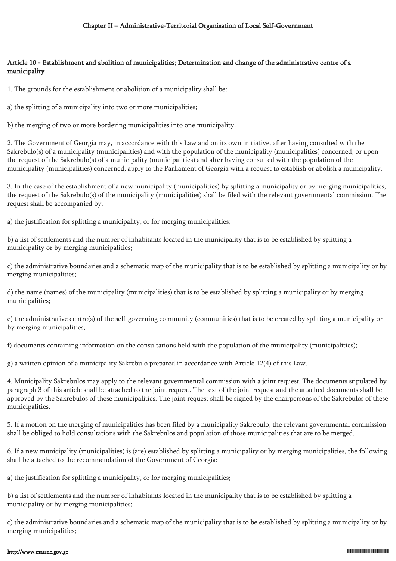## Article 10 - Establishment and abolition of municipalities; Determination and change of the administrative centre of a municipality

1. The grounds for the establishment or abolition of a municipality shall be:

a) the splitting of a municipality into two or more municipalities;

b) the merging of two or more bordering municipalities into one municipality.

2. The Government of Georgia may, in accordance with this Law and on its own initiative, after having consulted with the Sakrebulo(s) of a municipality (municipalities) and with the population of the municipality (municipalities) concerned, or upon the request of the Sakrebulo(s) of a municipality (municipalities) and after having consulted with the population of the municipality (municipalities) concerned, apply to the Parliament of Georgia with a request to establish or abolish a municipality.

3. In the case of the establishment of a new municipality (municipalities) by splitting a municipality or by merging municipalities, the request of the Sakrebulo(s) of the municipality (municipalities) shall be filed with the relevant governmental commission. The request shall be accompanied by:

a) the justification for splitting a municipality, or for merging municipalities;

b) a list of settlements and the number of inhabitants located in the municipality that is to be established by splitting a municipality or by merging municipalities;

c) the administrative boundaries and a schematic map of the municipality that is to be established by splitting a municipality or by merging municipalities;

d) the name (names) of the municipality (municipalities) that is to be established by splitting a municipality or by merging municipalities;

e) the administrative centre(s) of the self-governing community (communities) that is to be created by splitting a municipality or by merging municipalities;

f) documents containing information on the consultations held with the population of the municipality (municipalities);

g) a written opinion of a municipality Sakrebulo prepared in accordance with Article 12(4) of this Law.

4. Municipality Sakrebulos may apply to the relevant governmental commission with a joint request. The documents stipulated by paragraph 3 of this article shall be attached to the joint request. The text of the joint request and the attached documents shall be approved by the Sakrebulos of these municipalities. The joint request shall be signed by the chairpersons of the Sakrebulos of these municipalities.

5. If a motion on the merging of municipalities has been filed by a municipality Sakrebulo, the relevant governmental commission shall be obliged to hold consultations with the Sakrebulos and population of those municipalities that are to be merged.

6. If a new municipality (municipalities) is (are) established by splitting a municipality or by merging municipalities, the following shall be attached to the recommendation of the Government of Georgia:

a) the justification for splitting a municipality, or for merging municipalities;

b) a list of settlements and the number of inhabitants located in the municipality that is to be established by splitting a municipality or by merging municipalities;

c) the administrative boundaries and a schematic map of the municipality that is to be established by splitting a municipality or by merging municipalities;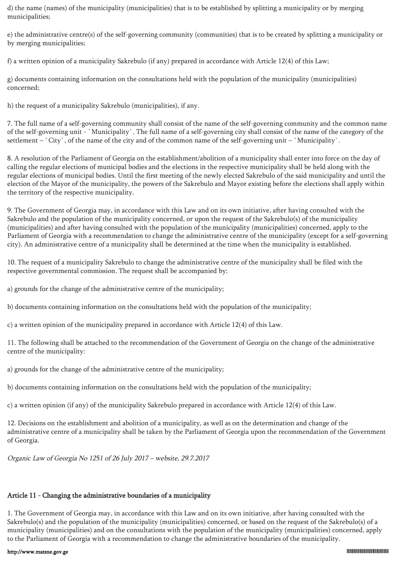d) the name (names) of the municipality (municipalities) that is to be established by splitting a municipality or by merging municipalities;

e) the administrative centre(s) of the self-governing community (communities) that is to be created by splitting a municipality or by merging municipalities;

f) a written opinion of a municipality Sakrebulo (if any) prepared in accordance with Article 12(4) of this Law;

g) documents containing information on the consultations held with the population of the municipality (municipalities) concerned;

h) the request of a municipality Sakrebulo (municipalities), if any.

7. The full name of a self-governing community shall consist of the name of the self-governing community and the common name of the self-governing unit - `Municipality`. The full name of a self-governing city shall consist of the name of the category of the settlement – `City`, of the name of the city and of the common name of the self-governing unit – `Municipality`.

8. A resolution of the Parliament of Georgia on the establishment/abolition of a municipality shall enter into force on the day of calling the regular elections of municipal bodies and the elections in the respective municipality shall be held along with the regular elections of municipal bodies. Until the first meeting of the newly elected Sakrebulo of the said municipality and until the election of the Mayor of the municipality, the powers of the Sakrebulo and Mayor existing before the elections shall apply within the territory of the respective municipality.

9. The Government of Georgia may, in accordance with this Law and on its own initiative, after having consulted with the Sakrebulo and the population of the municipality concerned, or upon the request of the Sakrebulo(s) of the municipality (municipalities) and after having consulted with the population of the municipality (municipalities) concerned, apply to the Parliament of Georgia with a recommendation to change the administrative centre of the municipality (except for a self-governing city). An administrative centre of a municipality shall be determined at the time when the municipality is established.

10. The request of a municipality Sakrebulo to change the administrative centre of the municipality shall be filed with the respective governmental commission. The request shall be accompanied by:

a) grounds for the change of the administrative centre of the municipality;

b) documents containing information on the consultations held with the population of the municipality;

c) a written opinion of the municipality prepared in accordance with Article 12(4) of this Law.

11. The following shall be attached to the recommendation of the Government of Georgia on the change of the administrative centre of the municipality:

a) grounds for the change of the administrative centre of the municipality;

b) documents containing information on the consultations held with the population of the municipality;

c) a written opinion (if any) of the municipality Sakrebulo prepared in accordance with Article 12(4) of this Law.

12. Decisions on the establishment and abolition of a municipality, as well as on the determination and change of the administrative centre of a municipality shall be taken by the Parliament of Georgia upon the recommendation of the Government of Georgia.

Organic Law of Georgia No 1251 of 26 July 2017 – website, 29.7.2017

# Article 11 - Changing the administrative boundaries of a municipality

1. The Government of Georgia may, in accordance with this Law and on its own initiative, after having consulted with the Sakrebulo(s) and the population of the municipality (municipalities) concerned, or based on the request of the Sakrebulo(s) of a municipality (municipalities) and on the consultations with the population of the municipality (municipalities) concerned, apply to the Parliament of Georgia with a recommendation to change the administrative boundaries of the municipality.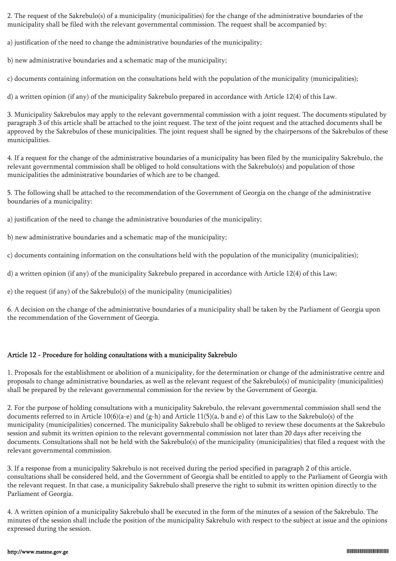2. The request of the Sakrebulo(s) of a municipality (municipalities) for the change of the administrative boundaries of the municipality shall be filed with the relevant governmental commission. The request shall be accompanied by:

a) justification of the need to change the administrative boundaries of the municipality;

b) new administrative boundaries and a schematic map of the municipality;

c) documents containing information on the consultations held with the population of the municipality (municipalities);

d) a written opinion (if any) of the municipality Sakrebulo prepared in accordance with Article 12(4) of this Law.

3. Municipality Sakrebulos may apply to the relevant governmental commission with a joint request. The documents stipulated by paragraph 3 of this article shall be attached to the joint request. The text of the joint request and the attached documents shall be approved by the Sakrebulos of these municipalities. The joint request shall be signed by the chairpersons of the Sakrebulos of these municipalities.

4. If a request for the change of the administrative boundaries of a municipality has been filed by the municipality Sakrebulo, the relevant governmental commission shall be obliged to hold consultations with the Sakrebulo(s) and population of those municipalities the administrative boundaries of which are to be changed.

5. The following shall be attached to the recommendation of the Government of Georgia on the change of the administrative boundaries of a municipality:

a) justification of the need to change the administrative boundaries of the municipality;

b) new administrative boundaries and a schematic map of the municipality;

c) documents containing information on the consultations held with the population of the municipality (municipalities);

d) a written opinion (if any) of the municipality Sakrebulo prepared in accordance with Article 12(4) of this Law;

e) the request (if any) of the Sakrebulo(s) of the municipality (municipalities)

6. A decision on the change of the administrative boundaries of a municipality shall be taken by the Parliament of Georgia upon the recommendation of the Government of Georgia.

## Article 12 - Procedure for holding consultations with a municipality Sakrebulo

1. Proposals for the establishment or abolition of a municipality, for the determination or change of the administrative centre and proposals to change administrative boundaries, as well as the relevant request of the Sakrebulo(s) of municipality (municipalities) shall be prepared by the relevant governmental commission for the review by the Government of Georgia.

2. For the purpose of holding consultations with a municipality Sakrebulo, the relevant governmental commission shall send the documents referred to in Article  $10(6)(a-e)$  and  $(g-h)$  and Article  $11(5)(a, b$  and e) of this Law to the Sakrebulo(s) of the municipality (municipalities) concerned. The municipality Sakrebulo shall be obliged to review these documents at the Sakrebulo session and submit its written opinion to the relevant governmental commission not later than 20 days after receiving the documents. Consultations shall not be held with the Sakrebulo(s) of the municipality (municipalities) that filed a request with the relevant governmental commission.

3. If a response from a municipality Sakrebulo is not received during the period specified in paragraph 2 of this article, consultations shall be considered held, and the Government of Georgia shall be entitled to apply to the Parliament of Georgia with the relevant request. In that case, a municipality Sakrebulo shall preserve the right to submit its written opinion directly to the Parliament of Georgia.

4. A written opinion of a municipality Sakrebulo shall be executed in the form of the minutes of a session of the Sakrebulo. The minutes of the session shall include the position of the municipality Sakrebulo with respect to the subject at issue and the opinions expressed during the session.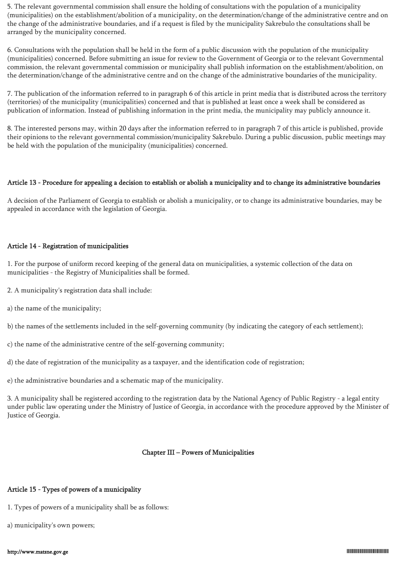5. The relevant governmental commission shall ensure the holding of consultations with the population of a municipality (municipalities) on the establishment/abolition of a municipality, on the determination/change of the administrative centre and on the change of the administrative boundaries, and if a request is filed by the municipality Sakrebulo the consultations shall be arranged by the municipality concerned.

6. Consultations with the population shall be held in the form of a public discussion with the population of the municipality (municipalities) concerned. Before submitting an issue for review to the Government of Georgia or to the relevant Governmental commission, the relevant governmental commission or municipality shall publish information on the establishment/abolition, on the determination/change of the administrative centre and on the change of the administrative boundaries of the municipality.

7. The publication of the information referred to in paragraph 6 of this article in print media that is distributed across the territory (territories) of the municipality (municipalities) concerned and that is published at least once a week shall be considered as publication of information. Instead of publishing information in the print media, the municipality may publicly announce it.

8. The interested persons may, within 20 days after the information referred to in paragraph 7 of this article is published, provide their opinions to the relevant governmental commission/municipality Sakrebulo. During a public discussion, public meetings may be held with the population of the municipality (municipalities) concerned.

## Article 13 - Procedure for appealing a decision to establish or abolish a municipality and to change its administrative boundaries

A decision of the Parliament of Georgia to establish or abolish a municipality, or to change its administrative boundaries, may be appealed in accordance with the legislation of Georgia.

## Article 14 - Registration of municipalities

1. For the purpose of uniform record keeping of the general data on municipalities, a systemic collection of the data on municipalities - the Registry of Municipalities shall be formed.

- 2. A municipality's registration data shall include:
- a) the name of the municipality;

b) the names of the settlements included in the self-governing community (by indicating the category of each settlement);

- c) the name of the administrative centre of the self-governing community;
- d) the date of registration of the municipality as a taxpayer, and the identification code of registration;
- e) the administrative boundaries and a schematic map of the municipality.

3. A municipality shall be registered according to the registration data by the National Agency of Public Registry - a legal entity under public law operating under the Ministry of Justice of Georgia, in accordance with the procedure approved by the Minister of Justice of Georgia.

## Chapter III – Powers of Municipalities

## Article 15 - Types of powers of a municipality

- 1. Types of powers of a municipality shall be as follows:
- a) municipality's own powers;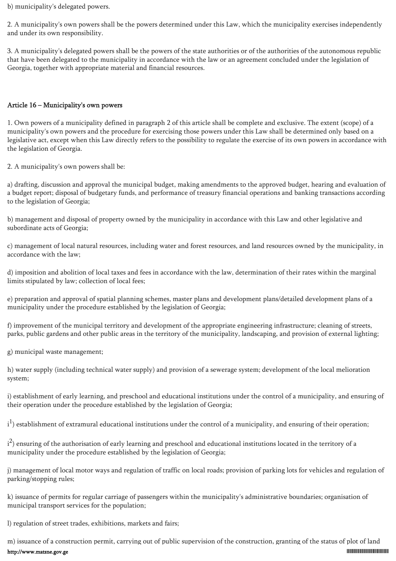b) municipality's delegated powers.

2. A municipality's own powers shall be the powers determined under this Law, which the municipality exercises independently and under its own responsibility.

3. A municipality's delegated powers shall be the powers of the state authorities or of the authorities of the autonomous republic that have been delegated to the municipality in accordance with the law or an agreement concluded under the legislation of Georgia, together with appropriate material and financial resources.

## Article 16 – Municipality's own powers

1. Own powers of a municipality defined in paragraph 2 of this article shall be complete and exclusive. The extent (scope) of a municipality's own powers and the procedure for exercising those powers under this Law shall be determined only based on a legislative act, except when this Law directly refers to the possibility to regulate the exercise of its own powers in accordance with the legislation of Georgia.

2. A municipality's own powers shall be:

a) drafting, discussion and approval the municipal budget, making amendments to the approved budget, hearing and evaluation of a budget report; disposal of budgetary funds, and performance of treasury financial operations and banking transactions according to the legislation of Georgia;

b) management and disposal of property owned by the municipality in accordance with this Law and other legislative and subordinate acts of Georgia;

c) management of local natural resources, including water and forest resources, and land resources owned by the municipality, in accordance with the law;

d) imposition and abolition of local taxes and fees in accordance with the law, determination of their rates within the marginal limits stipulated by law; collection of local fees;

e) preparation and approval of spatial planning schemes, master plans and development plans/detailed development plans of a municipality under the procedure established by the legislation of Georgia;

f) improvement of the municipal territory and development of the appropriate engineering infrastructure; cleaning of streets, parks, public gardens and other public areas in the territory of the municipality, landscaping, and provision of external lighting;

g) municipal waste management;

h) water supply (including technical water supply) and provision of a sewerage system; development of the local melioration system;

i) establishment of early learning, and preschool and educational institutions under the control of a municipality, and ensuring of their operation under the procedure established by the legislation of Georgia;

 $i^1$ ) establishment of extramural educational institutions under the control of a municipality, and ensuring of their operation;

 $i^2$ ) ensuring of the authorisation of early learning and preschool and educational institutions located in the territory of a municipality under the procedure established by the legislation of Georgia;

j) management of local motor ways and regulation of traffic on local roads; provision of parking lots for vehicles and regulation of parking/stopping rules;

k) issuance of permits for regular carriage of passengers within the municipality's administrative boundaries; organisation of municipal transport services for the population;

l) regulation of street trades, exhibitions, markets and fairs;

m) issuance of a construction permit, carrying out of public supervision of the construction, granting of the status of plot of land http://www.matsne.gov.ge 01025000004001016100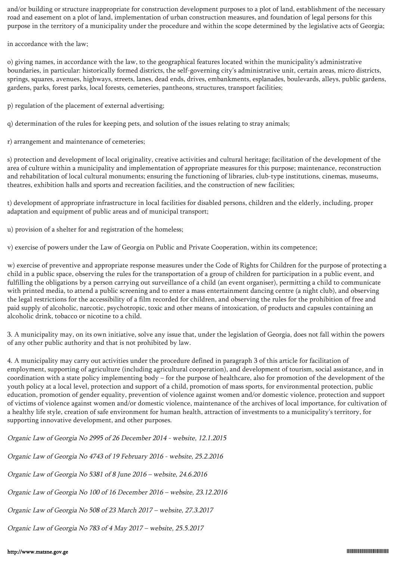and/or building or structure inappropriate for construction development purposes to a plot of land, establishment of the necessary road and easement on a plot of land, implementation of urban construction measures, and foundation of legal persons for this purpose in the territory of a municipality under the procedure and within the scope determined by the legislative acts of Georgia;

in accordance with the law;

o) giving names, in accordance with the law, to the geographical features located within the municipality's administrative boundaries, in particular: historically formed districts, the self-governing city's administrative unit, certain areas, micro districts, springs, squares, avenues, highways, streets, lanes, dead ends, drives, embankments, esplanades, boulevards, alleys, public gardens, gardens, parks, forest parks, local forests, cemeteries, pantheons, structures, transport facilities;

p) regulation of the placement of external advertising;

- q) determination of the rules for keeping pets, and solution of the issues relating to stray animals;
- r) arrangement and maintenance of cemeteries;

s) protection and development of local originality, creative activities and cultural heritage; facilitation of the development of the area of culture within a municipality and implementation of appropriate measures for this purpose; maintenance, reconstruction and rehabilitation of local cultural monuments; ensuring the functioning of libraries, club-type institutions, cinemas, museums, theatres, exhibition halls and sports and recreation facilities, and the construction of new facilities;

t) development of appropriate infrastructure in local facilities for disabled persons, children and the elderly, including, proper adaptation and equipment of public areas and of municipal transport;

u) provision of a shelter for and registration of the homeless;

v) exercise of powers under the Law of Georgia on Public and Private Cooperation, within its competence;

w) exercise of preventive and appropriate response measures under the Code of Rights for Children for the purpose of protecting a child in a public space, observing the rules for the transportation of a group of children for participation in a public event, and fulfilling the obligations by a person carrying out surveillance of a child (an event organiser), permitting a child to communicate with printed media, to attend a public screening and to enter a mass entertainment dancing centre (a night club), and observing the legal restrictions for the accessibility of a film recorded for children, and observing the rules for the prohibition of free and paid supply of alcoholic, narcotic, psychotropic, toxic and other means of intoxication, of products and capsules containing an alcoholic drink, tobacco or nicotine to a child.

3. A municipality may, on its own initiative, solve any issue that, under the legislation of Georgia, does not fall within the powers of any other public authority and that is not prohibited by law.

4. A municipality may carry out activities under the procedure defined in paragraph 3 of this article for facilitation of employment, supporting of agriculture (including agricultural cooperation), and development of tourism, social assistance, and in coordination with a state policy implementing body – for the purpose of healthcare, also for promotion of the development of the youth policy at a local level, protection and support of a child, promotion of mass sports, for environmental protection, public education, promotion of gender equality, prevention of violence against women and/or domestic violence, protection and support of victims of violence against women and/or domestic violence, maintenance of the archives of local importance, for cultivation of a healthy life style, creation of safe environment for human health, attraction of investments to a municipality's territory, for supporting innovative development, and other purposes.

Organic Law of Georgia No 2995 of 26 December 2014 - website, 12.1.2015

Organic Law of Georgia No 4743 of 19 February 2016 - website, 25.2.2016

Organic Law of Georgia No 5381 of 8 June 2016 – website, 24.6.2016

Organic Law of Georgia No 100 of 16 December 2016 – website, 23.12.2016

Organic Law of Georgia No 508 of 23 March 2017 – website, 27.3.2017

Organic Law of Georgia No 783 of 4 May 2017 – website, 25.5.2017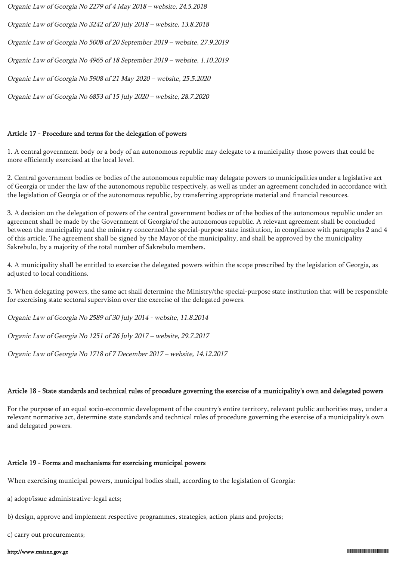Organic Law of Georgia No 2279 of 4 May 2018 – website, 24.5.2018

Organic Law of Georgia No 3242 of 20 July 2018 – website, 13.8.2018

Organic Law of Georgia No 5008 of 20 September 2019 – website, 27.9.2019

Organic Law of Georgia No 4965 of 18 September 2019 – website, 1.10.2019

Organic Law of Georgia No 5908 of 21 May 2020 – website, 25.5.2020

Organic Law of Georgia No 6853 of 15 July 2020 – website, 28.7.2020

## Article 17 - Procedure and terms for the delegation of powers

1. A central government body or a body of an autonomous republic may delegate to a municipality those powers that could be more efficiently exercised at the local level.

2. Central government bodies or bodies of the autonomous republic may delegate powers to municipalities under a legislative act of Georgia or under the law of the autonomous republic respectively, as well as under an agreement concluded in accordance with the legislation of Georgia or of the autonomous republic, by transferring appropriate material and financial resources.

3. A decision on the delegation of powers of the central government bodies or of the bodies of the autonomous republic under an agreement shall be made by the Government of Georgia/of the autonomous republic. A relevant agreement shall be concluded between the municipality and the ministry concerned/the special-purpose state institution, in compliance with paragraphs 2 and 4 of this article. The agreement shall be signed by the Mayor of the municipality, and shall be approved by the municipality Sakrebulo, by a majority of the total number of Sakrebulo members.

4. A municipality shall be entitled to exercise the delegated powers within the scope prescribed by the legislation of Georgia, as adjusted to local conditions.

5. When delegating powers, the same act shall determine the Ministry/the special-purpose state institution that will be responsible for exercising state sectoral supervision over the exercise of the delegated powers.

Organic Law of Georgia No 2589 of 30 July 2014 - website, 11.8.2014

Organic Law of Georgia No 1251 of 26 July 2017 – website, 29.7.2017

Organic Law of Georgia No 1718 of 7 December 2017 – website, 14.12.2017

## Article 18 - State standards and technical rules of procedure governing the exercise of a municipality's own and delegated powers

For the purpose of an equal socio-economic development of the country's entire territory, relevant public authorities may, under a relevant normative act, determine state standards and technical rules of procedure governing the exercise of a municipality's own and delegated powers.

## Article 19 - Forms and mechanisms for exercising municipal powers

When exercising municipal powers, municipal bodies shall, according to the legislation of Georgia:

- a) adopt/issue administrative-legal acts;
- b) design, approve and implement respective programmes, strategies, action plans and projects;
- c) carry out procurements;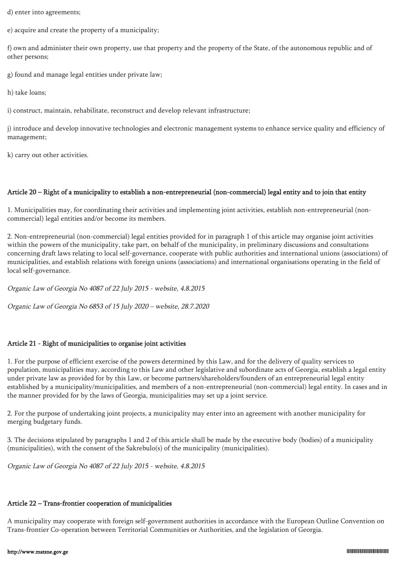d) enter into agreements;

e) acquire and create the property of a municipality;

f) own and administer their own property, use that property and the property of the State, of the autonomous republic and of other persons;

g) found and manage legal entities under private law;

h) take loans;

i) construct, maintain, rehabilitate, reconstruct and develop relevant infrastructure;

j) introduce and develop innovative technologies and electronic management systems to enhance service quality and efficiency of management;

k) carry out other activities.

## Article 20 – Right of a municipality to establish a non-entrepreneurial (non-commercial) legal entity and to join that entity

1. Municipalities may, for coordinating their activities and implementing joint activities, establish non-entrepreneurial (noncommercial) legal entities and/or become its members.

2. Non-entrepreneurial (non-commercial) legal entities provided for in paragraph 1 of this article may organise joint activities within the powers of the municipality, take part, on behalf of the municipality, in preliminary discussions and consultations concerning draft laws relating to local self-governance, cooperate with public authorities and international unions (associations) of municipalities, and establish relations with foreign unions (associations) and international organisations operating in the field of local self-governance.

Organic Law of Georgia No 4087 of 22 July 2015 - website, 4.8.2015

Organic Law of Georgia No 6853 of 15 July 2020 – website, 28.7.2020

## Article 21 - Right of municipalities to organise joint activities

1. For the purpose of efficient exercise of the powers determined by this Law, and for the delivery of quality services to population, municipalities may, according to this Law and other legislative and subordinate acts of Georgia, establish a legal entity under private law as provided for by this Law, or become partners/shareholders/founders of an entrepreneurial legal entity established by a municipality/municipalities, and members of a non-entrepreneurial (non-commercial) legal entity. In cases and in the manner provided for by the laws of Georgia, municipalities may set up a joint service.

2. For the purpose of undertaking joint projects, a municipality may enter into an agreement with another municipality for merging budgetary funds.

3. The decisions stipulated by paragraphs 1 and 2 of this article shall be made by the executive body (bodies) of a municipality (municipalities), with the consent of the Sakrebulo(s) of the municipality (municipalities).

Organic Law of Georgia No 4087 of 22 July 2015 - website, 4.8.2015

## Article 22 – Trans-frontier cooperation of municipalities

A municipality may cooperate with foreign self-government authorities in accordance with the European Outline Convention on Trans-frontier Co-operation between Territorial Communities or Authorities, and the legislation of Georgia.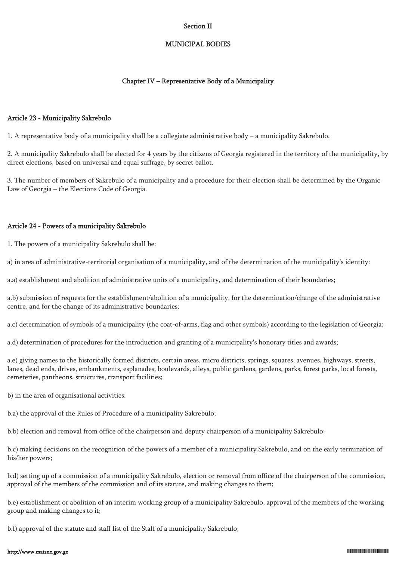### Section II

### MUNICIPAL BODIES

## Chapter IV – Representative Body of a Municipality

### Article 23 - Municipality Sakrebulo

1. A representative body of a municipality shall be a collegiate administrative body – a municipality Sakrebulo.

2. A municipality Sakrebulo shall be elected for 4 years by the citizens of Georgia registered in the territory of the municipality, by direct elections, based on universal and equal suffrage, by secret ballot.

3. The number of members of Sakrebulo of a municipality and a procedure for their election shall be determined by the Organic Law of Georgia – the Elections Code of Georgia.

## Article 24 - Powers of a municipality Sakrebulo

1. The powers of a municipality Sakrebulo shall be:

a) in area of administrative-territorial organisation of a municipality, and of the determination of the municipality's identity:

a.a) establishment and abolition of administrative units of a municipality, and determination of their boundaries;

a.b) submission of requests for the establishment/abolition of a municipality, for the determination/change of the administrative centre, and for the change of its administrative boundaries;

a.c) determination of symbols of a municipality (the coat-of-arms, flag and other symbols) according to the legislation of Georgia;

a.d) determination of procedures for the introduction and granting of a municipality's honorary titles and awards;

a.e) giving names to the historically formed districts, certain areas, micro districts, springs, squares, avenues, highways, streets, lanes, dead ends, drives, embankments, esplanades, boulevards, alleys, public gardens, gardens, parks, forest parks, local forests, cemeteries, pantheons, structures, transport facilities;

b) in the area of organisational activities:

b.a) the approval of the Rules of Procedure of a municipality Sakrebulo;

b.b) election and removal from office of the chairperson and deputy chairperson of a municipality Sakrebulo;

b.c) making decisions on the recognition of the powers of a member of a municipality Sakrebulo, and on the early termination of his/her powers;

b.d) setting up of a commission of a municipality Sakrebulo, election or removal from office of the chairperson of the commission, approval of the members of the commission and of its statute, and making changes to them;

b.e) establishment or abolition of an interim working group of a municipality Sakrebulo, approval of the members of the working group and making changes to it;

b.f) approval of the statute and staff list of the Staff of a municipality Sakrebulo;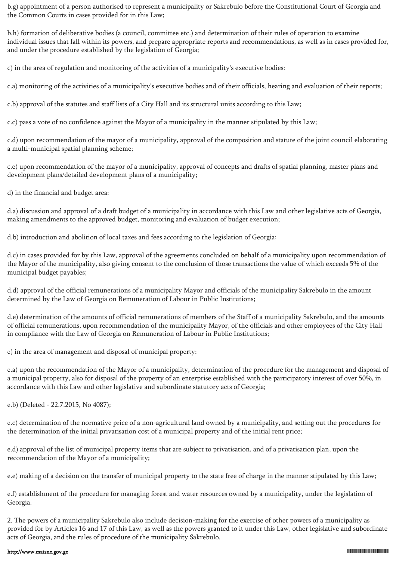b.g) appointment of a person authorised to represent a municipality or Sakrebulo before the Constitutional Court of Georgia and the Common Courts in cases provided for in this Law;

b.h) formation of deliberative bodies (a council, committee etc.) and determination of their rules of operation to examine individual issues that fall within its powers, and prepare appropriate reports and recommendations, as well as in cases provided for, and under the procedure established by the legislation of Georgia;

c) in the area of regulation and monitoring of the activities of a municipality's executive bodies:

c.a) monitoring of the activities of a municipality's executive bodies and of their officials, hearing and evaluation of their reports;

c.b) approval of the statutes and staff lists of a City Hall and its structural units according to this Law;

c.c) pass a vote of no confidence against the Mayor of a municipality in the manner stipulated by this Law;

c.d) upon recommendation of the mayor of a municipality, approval of the composition and statute of the joint council elaborating a multi-municipal spatial planning scheme;

c.e) upon recommendation of the mayor of a municipality, approval of concepts and drafts of spatial planning, master plans and development plans/detailed development plans of a municipality;

d) in the financial and budget area:

d.a) discussion and approval of a draft budget of a municipality in accordance with this Law and other legislative acts of Georgia, making amendments to the approved budget, monitoring and evaluation of budget execution;

d.b) introduction and abolition of local taxes and fees according to the legislation of Georgia;

d.c) in cases provided for by this Law, approval of the agreements concluded on behalf of a municipality upon recommendation of the Mayor of the municipality, also giving consent to the conclusion of those transactions the value of which exceeds 5% of the municipal budget payables;

d.d) approval of the official remunerations of a municipality Mayor and officials of the municipality Sakrebulo in the amount determined by the Law of Georgia on Remuneration of Labour in Public Institutions;

d.e) determination of the amounts of official remunerations of members of the Staff of a municipality Sakrebulo, and the amounts of official remunerations, upon recommendation of the municipality Mayor, of the officials and other employees of the City Hall in compliance with the Law of Georgia on Remuneration of Labour in Public Institutions;

e) in the area of management and disposal of municipal property:

e.a) upon the recommendation of the Mayor of a municipality, determination of the procedure for the management and disposal of a municipal property, also for disposal of the property of an enterprise established with the participatory interest of over 50%, in accordance with this Law and other legislative and subordinate statutory acts of Georgia;

e.b) (Deleted - 22.7.2015, No 4087);

e.c) determination of the normative price of a non-agricultural land owned by a municipality, and setting out the procedures for the determination of the initial privatisation cost of a municipal property and of the initial rent price;

e.d) approval of the list of municipal property items that are subject to privatisation, and of a privatisation plan, upon the recommendation of the Mayor of a municipality;

e.e) making of a decision on the transfer of municipal property to the state free of charge in the manner stipulated by this Law;

e.f) establishment of the procedure for managing forest and water resources owned by a municipality, under the legislation of Georgia.

2. The powers of a municipality Sakrebulo also include decision-making for the exercise of other powers of a municipality as provided for by Articles 16 and 17 of this Law, as well as the powers granted to it under this Law, other legislative and subordinate acts of Georgia, and the rules of procedure of the municipality Sakrebulo.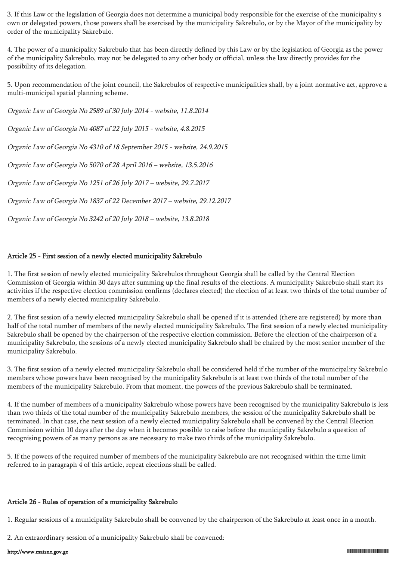3. If this Law or the legislation of Georgia does not determine a municipal body responsible for the exercise of the municipality's own or delegated powers, those powers shall be exercised by the municipality Sakrebulo, or by the Mayor of the municipality by order of the municipality Sakrebulo.

4. The power of a municipality Sakrebulo that has been directly defined by this Law or by the legislation of Georgia as the power of the municipality Sakrebulo, may not be delegated to any other body or official, unless the law directly provides for the possibility of its delegation.

5. Upon recommendation of the joint council, the Sakrebulos of respective municipalities shall, by a joint normative act, approve a multi-municipal spatial planning scheme.

Organic Law of Georgia No 2589 of 30 July 2014 - website, 11.8.2014 Organic Law of Georgia No 4087 of 22 July 2015 - website, 4.8.2015 Organic Law of Georgia No 4310 of 18 September 2015 - website, 24.9.2015 Organic Law of Georgia No 5070 of 28 April 2016 – website, 13.5.2016 Organic Law of Georgia No 1251 of 26 July 2017 – website, 29.7.2017 Organic Law of Georgia No 1837 of 22 December 2017 – website, 29.12.2017

Organic Law of Georgia No 3242 of 20 July 2018 – website, 13.8.2018

## Article 25 - First session of a newly elected municipality Sakrebulo

1. The first session of newly elected municipality Sakrebulos throughout Georgia shall be called by the Central Election Commission of Georgia within 30 days after summing up the final results of the elections. A municipality Sakrebulo shall start its activities if the respective election commission confirms (declares elected) the election of at least two thirds of the total number of members of a newly elected municipality Sakrebulo.

2. The first session of a newly elected municipality Sakrebulo shall be opened if it is attended (there are registered) by more than half of the total number of members of the newly elected municipality Sakrebulo. The first session of a newly elected municipality Sakrebulo shall be opened by the chairperson of the respective election commission. Before the election of the chairperson of a municipality Sakrebulo, the sessions of a newly elected municipality Sakrebulo shall be chaired by the most senior member of the municipality Sakrebulo.

3. The first session of a newly elected municipality Sakrebulo shall be considered held if the number of the municipality Sakrebulo members whose powers have been recognised by the municipality Sakrebulo is at least two thirds of the total number of the members of the municipality Sakrebulo. From that moment, the powers of the previous Sakrebulo shall be terminated.

4. If the number of members of a municipality Sakrebulo whose powers have been recognised by the municipality Sakrebulo is less than two thirds of the total number of the municipality Sakrebulo members, the session of the municipality Sakrebulo shall be terminated. In that case, the next session of a newly elected municipality Sakrebulo shall be convened by the Central Election Commission within 10 days after the day when it becomes possible to raise before the municipality Sakrebulo a question of recognising powers of as many persons as are necessary to make two thirds of the municipality Sakrebulo.

5. If the powers of the required number of members of the municipality Sakrebulo are not recognised within the time limit referred to in paragraph 4 of this article, repeat elections shall be called.

## Article 26 - Rules of operation of a municipality Sakrebulo

1. Regular sessions of a municipality Sakrebulo shall be convened by the chairperson of the Sakrebulo at least once in a month.

2. An extraordinary session of a municipality Sakrebulo shall be convened: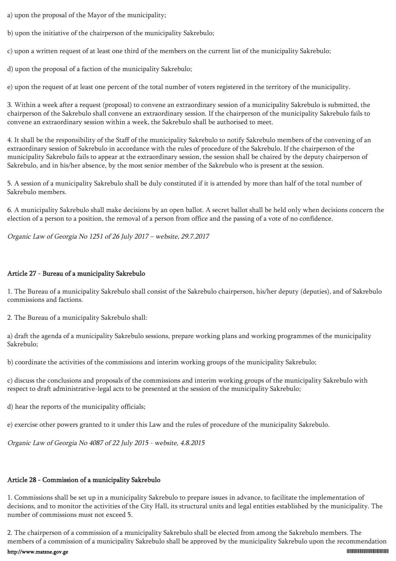a) upon the proposal of the Mayor of the municipality;

b) upon the initiative of the chairperson of the municipality Sakrebulo;

c) upon a written request of at least one third of the members on the current list of the municipality Sakrebulo;

d) upon the proposal of a faction of the municipality Sakrebulo;

e) upon the request of at least one percent of the total number of voters registered in the territory of the municipality.

3. Within a week after a request (proposal) to convene an extraordinary session of a municipality Sakrebulo is submitted, the chairperson of the Sakrebulo shall convene an extraordinary session. If the chairperson of the municipality Sakrebulo fails to convene an extraordinary session within a week, the Sakrebulo shall be authorised to meet.

4. It shall be the responsibility of the Staff of the municipality Sakrebulo to notify Sakrebulo members of the convening of an extraordinary session of Sakrebulo in accordance with the rules of procedure of the Sakrebulo. If the chairperson of the municipality Sakrebulo fails to appear at the extraordinary session, the session shall be chaired by the deputy chairperson of Sakrebulo, and in his/her absence, by the most senior member of the Sakrebulo who is present at the session.

5. A session of a municipality Sakrebulo shall be duly constituted if it is attended by more than half of the total number of Sakrebulo members.

6. A municipality Sakrebulo shall make decisions by an open ballot. A secret ballot shall be held only when decisions concern the election of a person to a position, the removal of a person from office and the passing of a vote of no confidence.

Organic Law of Georgia No 1251 of 26 July 2017 – website, 29.7.2017

## Article 27 - Bureau of a municipality Sakrebulo

1. The Bureau of a municipality Sakrebulo shall consist of the Sakrebulo chairperson, his/her deputy (deputies), and of Sakrebulo commissions and factions.

2. The Bureau of a municipality Sakrebulo shall:

a) draft the agenda of a municipality Sakrebulo sessions, prepare working plans and working programmes of the municipality Sakrebulo;

b) coordinate the activities of the commissions and interim working groups of the municipality Sakrebulo;

c) discuss the conclusions and proposals of the commissions and interim working groups of the municipality Sakrebulo with respect to draft administrative-legal acts to be presented at the session of the municipality Sakrebulo;

d) hear the reports of the municipality officials;

e) exercise other powers granted to it under this Law and the rules of procedure of the municipality Sakrebulo.

Organic Law of Georgia No 4087 of 22 July 2015 - website, 4.8.2015

## Article 28 - Commission of a municipality Sakrebulo

1. Commissions shall be set up in a municipality Sakrebulo to prepare issues in advance, to facilitate the implementation of decisions, and to monitor the activities of the City Hall, its structural units and legal entities established by the municipality. The number of commissions must not exceed 5.

2. The chairperson of a commission of a municipality Sakrebulo shall be elected from among the Sakrebulo members. The members of a commission of a municipality Sakrebulo shall be approved by the municipality Sakrebulo upon the recommendation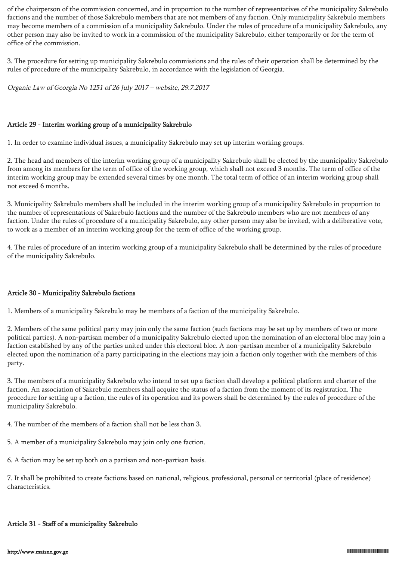of the chairperson of the commission concerned, and in proportion to the number of representatives of the municipality Sakrebulo factions and the number of those Sakrebulo members that are not members of any faction. Only municipality Sakrebulo members may become members of a commission of a municipality Sakrebulo. Under the rules of procedure of a municipality Sakrebulo, any other person may also be invited to work in a commission of the municipality Sakrebulo, either temporarily or for the term of office of the commission.

3. The procedure for setting up municipality Sakrebulo commissions and the rules of their operation shall be determined by the rules of procedure of the municipality Sakrebulo, in accordance with the legislation of Georgia.

Organic Law of Georgia No 1251 of 26 July 2017 – website, 29.7.2017

## Article 29 - Interim working group of a municipality Sakrebulo

1. In order to examine individual issues, a municipality Sakrebulo may set up interim working groups.

2. The head and members of the interim working group of a municipality Sakrebulo shall be elected by the municipality Sakrebulo from among its members for the term of office of the working group, which shall not exceed 3 months. The term of office of the interim working group may be extended several times by one month. The total term of office of an interim working group shall not exceed 6 months.

3. Municipality Sakrebulo members shall be included in the interim working group of a municipality Sakrebulo in proportion to the number of representations of Sakrebulo factions and the number of the Sakrebulo members who are not members of any faction. Under the rules of procedure of a municipality Sakrebulo, any other person may also be invited, with a deliberative vote, to work as a member of an interim working group for the term of office of the working group.

4. The rules of procedure of an interim working group of a municipality Sakrebulo shall be determined by the rules of procedure of the municipality Sakrebulo.

## Article 30 - Municipality Sakrebulo factions

1. Members of a municipality Sakrebulo may be members of a faction of the municipality Sakrebulo.

2. Members of the same political party may join only the same faction (such factions may be set up by members of two or more political parties). A non-partisan member of a municipality Sakrebulo elected upon the nomination of an electoral bloc may join a faction established by any of the parties united under this electoral bloc. A non-partisan member of a municipality Sakrebulo elected upon the nomination of a party participating in the elections may join a faction only together with the members of this party.

3. The members of a municipality Sakrebulo who intend to set up a faction shall develop a political platform and charter of the faction. An association of Sakrebulo members shall acquire the status of a faction from the moment of its registration. The procedure for setting up a faction, the rules of its operation and its powers shall be determined by the rules of procedure of the municipality Sakrebulo.

- 4. The number of the members of a faction shall not be less than 3.
- 5. A member of a municipality Sakrebulo may join only one faction.
- 6. A faction may be set up both on a partisan and non-partisan basis.

7. It shall be prohibited to create factions based on national, religious, professional, personal or territorial (place of residence) characteristics.

# Article 31 - Staff of a municipality Sakrebulo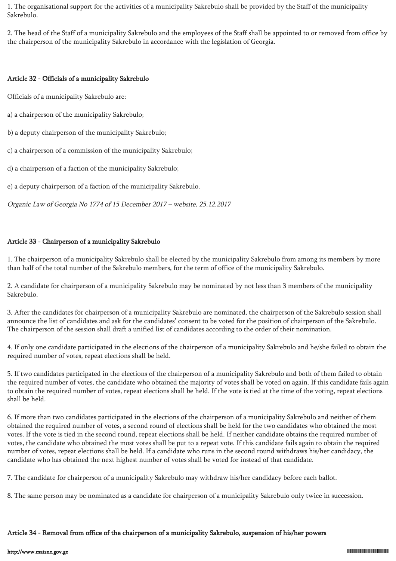1. The organisational support for the activities of a municipality Sakrebulo shall be provided by the Staff of the municipality Sakrebulo.

2. The head of the Staff of a municipality Sakrebulo and the employees of the Staff shall be appointed to or removed from office by the chairperson of the municipality Sakrebulo in accordance with the legislation of Georgia.

## Article 32 - Officials of a municipality Sakrebulo

Officials of a municipality Sakrebulo are:

a) a chairperson of the municipality Sakrebulo;

b) a deputy chairperson of the municipality Sakrebulo;

c) a chairperson of a commission of the municipality Sakrebulo;

d) a chairperson of a faction of the municipality Sakrebulo;

e) a deputy chairperson of a faction of the municipality Sakrebulo.

Organic Law of Georgia No 1774 of 15 December 2017 – website, 25.12.2017

## Article 33 - Chairperson of a municipality Sakrebulo

1. The chairperson of a municipality Sakrebulo shall be elected by the municipality Sakrebulo from among its members by more than half of the total number of the Sakrebulo members, for the term of office of the municipality Sakrebulo.

2. A candidate for chairperson of a municipality Sakrebulo may be nominated by not less than 3 members of the municipality Sakrebulo.

3. After the candidates for chairperson of a municipality Sakrebulo are nominated, the chairperson of the Sakrebulo session shall announce the list of candidates and ask for the candidates' consent to be voted for the position of chairperson of the Sakrebulo. The chairperson of the session shall draft a unified list of candidates according to the order of their nomination.

4. If only one candidate participated in the elections of the chairperson of a municipality Sakrebulo and he/she failed to obtain the required number of votes, repeat elections shall be held.

5. If two candidates participated in the elections of the chairperson of a municipality Sakrebulo and both of them failed to obtain the required number of votes, the candidate who obtained the majority of votes shall be voted on again. If this candidate fails again to obtain the required number of votes, repeat elections shall be held. If the vote is tied at the time of the voting, repeat elections shall be held.

6. If more than two candidates participated in the elections of the chairperson of a municipality Sakrebulo and neither of them obtained the required number of votes, a second round of elections shall be held for the two candidates who obtained the most votes. If the vote is tied in the second round, repeat elections shall be held. If neither candidate obtains the required number of votes, the candidate who obtained the most votes shall be put to a repeat vote. If this candidate fails again to obtain the required number of votes, repeat elections shall be held. If a candidate who runs in the second round withdraws his/her candidacy, the candidate who has obtained the next highest number of votes shall be voted for instead of that candidate.

7. The candidate for chairperson of a municipality Sakrebulo may withdraw his/her candidacy before each ballot.

8. The same person may be nominated as a candidate for chairperson of a municipality Sakrebulo only twice in succession.

## Article 34 - Removal from office of the chairperson of a municipality Sakrebulo, suspension of his/her powers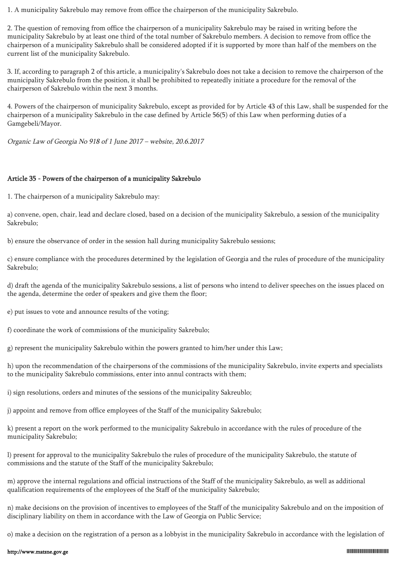1. A municipality Sakrebulo may remove from office the chairperson of the municipality Sakrebulo.

2. The question of removing from office the chairperson of a municipality Sakrebulo may be raised in writing before the municipality Sakrebulo by at least one third of the total number of Sakrebulo members. A decision to remove from office the chairperson of a municipality Sakrebulo shall be considered adopted if it is supported by more than half of the members on the current list of the municipality Sakrebulo.

3. If, according to paragraph 2 of this article, a municipality's Sakrebulo does not take a decision to remove the chairperson of the municipality Sakrebulo from the position, it shall be prohibited to repeatedly initiate a procedure for the removal of the chairperson of Sakrebulo within the next 3 months.

4. Powers of the chairperson of municipality Sakrebulo, except as provided for by Article 43 of this Law, shall be suspended for the chairperson of a municipality Sakrebulo in the case defined by Article 56(5) of this Law when performing duties of a Gamgebeli/Mayor.

Organic Law of Georgia No 918 of 1 June 2017 – website, 20.6.2017

## Article 35 - Powers of the chairperson of a municipality Sakrebulo

1. The chairperson of a municipality Sakrebulo may:

a) convene, open, chair, lead and declare closed, based on a decision of the municipality Sakrebulo, a session of the municipality Sakrebulo;

b) ensure the observance of order in the session hall during municipality Sakrebulo sessions;

c) ensure compliance with the procedures determined by the legislation of Georgia and the rules of procedure of the municipality Sakrebulo;

d) draft the agenda of the municipality Sakrebulo sessions, a list of persons who intend to deliver speeches on the issues placed on the agenda, determine the order of speakers and give them the floor;

e) put issues to vote and announce results of the voting;

f) coordinate the work of commissions of the municipality Sakrebulo;

g) represent the municipality Sakrebulo within the powers granted to him/her under this Law;

h) upon the recommendation of the chairpersons of the commissions of the municipality Sakrebulo, invite experts and specialists to the municipality Sakrebulo commissions, enter into annul contracts with them;

i) sign resolutions, orders and minutes of the sessions of the municipality Sakreublo;

j) appoint and remove from office employees of the Staff of the municipality Sakrebulo;

k) present a report on the work performed to the municipality Sakrebulo in accordance with the rules of procedure of the municipality Sakrebulo;

l) present for approval to the municipality Sakrebulo the rules of procedure of the municipality Sakrebulo, the statute of commissions and the statute of the Staff of the municipality Sakrebulo;

m) approve the internal regulations and official instructions of the Staff of the municipality Sakrebulo, as well as additional qualification requirements of the employees of the Staff of the municipality Sakrebulo;

n) make decisions on the provision of incentives to employees of the Staff of the municipality Sakrebulo and on the imposition of disciplinary liability on them in accordance with the Law of Georgia on Public Service;

o) make a decision on the registration of a person as a lobbyist in the municipality Sakrebulo in accordance with the legislation of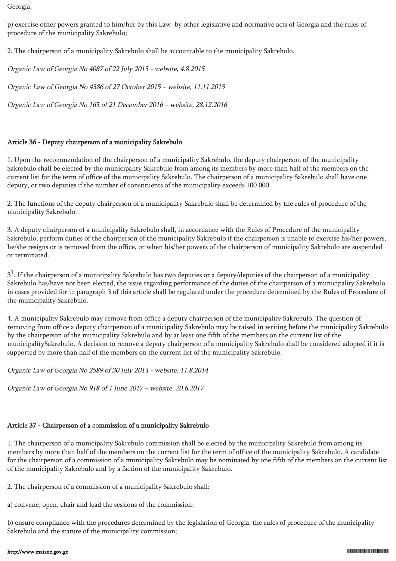Georgia;

p) exercise other powers granted to him/her by this Law, by other legislative and normative acts of Georgia and the rules of procedure of the municipality Sakrebulo;

2. The chairperson of a municipality Sakrebulo shall be accountable to the municipality Sakrebulo.

Organic Law of Georgia No 4087 of 22 July 2015 - website, 4.8.2015

Organic Law of Georgia No 4386 of 27 October 2015 – website, 11.11.2015

Organic Law of Georgia No 165 of 21 December 2016 – website, 28.12.2016

## Article 36 - Deputy chairperson of a municipality Sakrebulo

1. Upon the recommendation of the chairperson of a municipality Sakrebulo, the deputy chairperson of the municipality Sakrebulo shall be elected by the municipality Sakrebulo from among its members by more than half of the members on the current list for the term of office of the municipality Sakrebulo. The chairperson of a municipality Sakrebulo shall have one deputy, or two deputies if the number of constituents of the municipality exceeds 100 000.

2. The functions of the deputy chairperson of a municipality Sakrebulo shall be determined by the rules of procedure of the municipality Sakrebulo.

3. A deputy chairperson of a municipality Sakrebulo shall, in accordance with the Rules of Procedure of the municipality Sakrebulo, perform duties of the chairperson of the municipality Sakrebulo if the chairperson is unable to exercise his/her powers, he/she resigns or is removed from the office, or when his/her powers of the chairperson of municipality Sakrebulo are suspended or terminated.

 $3^1$ . If the chairperson of a municipality Sakrebulo has two deputies or a deputy/deputies of the chairperson of a municipality Sakrebulo has/have not been elected, the issue regarding performance of the duties of the chairperson of a municipality Sakrebulo in cases provided for in paragraph 3 of this article shall be regulated under the procedure determined by the Rules of Procedure of the municipality Sakrebulo.

4. A municipality Sakrebulo may remove from office a deputy chairperson of the municipality Sakrebulo. The question of removing from office a deputy chairperson of a municipality Sakrebulo may be raised in writing before the municipality Sakrebulo by the chairperson of the municipality Sakrebulo and by at least one fifth of the members on the current list of the municipalitySakrebulo. A decision to remove a deputy chairperson of a municipality Sakrebulo shall be considered adopted if it is supported by more than half of the members on the current list of the municipality Sakrebulo.

Organic Law of Georgia No 2589 of 30 July 2014 - website, 11.8.2014

Organic Law of Georgia No 918 of 1 June 2017 – website, 20.6.2017

# Article 37 - Chairperson of a commission of a municipality Sakrebulo

1. The chairperson of a municipality Sakrebulo commission shall be elected by the municipality Sakrebulo from among its members by more than half of the members on the current list for the term of office of the municipality Sakrebulo. A candidate for the chairperson of a commission of a municipality Sakrebulo may be nominated by one fifth of the members on the current list of the municipality Sakrebulo and by a faction of the municipality Sakrebulo.

2. The chairperson of a commission of a municipality Sakrebulo shall:

a) convene, open, chair and lead the sessions of the commission;

b) ensure compliance with the procedures determined by the legislation of Georgia, the rules of procedure of the municipality Sakrebulo and the statute of the municipality commission;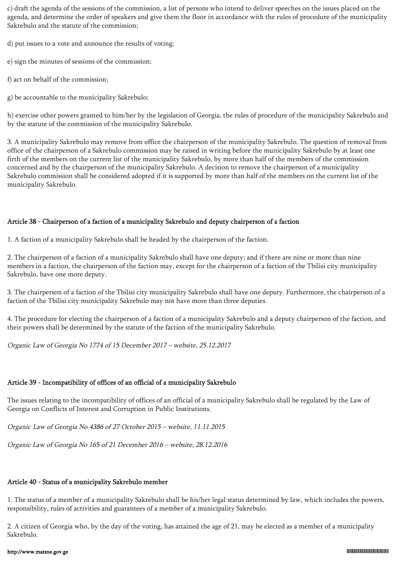c) draft the agenda of the sessions of the commission, a list of persons who intend to deliver speeches on the issues placed on the agenda, and determine the order of speakers and give them the floor in accordance with the rules of procedure of the municipality Sakrebulo and the statute of the commission;

d) put issues to a vote and announce the results of voting;

e) sign the minutes of sessions of the commission;

f) act on behalf of the commission;

g) be accountable to the municipality Sakrebulo;

h) exercise other powers granted to him/her by the legislation of Georgia, the rules of procedure of the municipality Sakrebulo and by the statute of the commission of the municipality Sakrebulo.

3. A municipality Sakrebulo may remove from office the chairperson of the municipality Sakrebulo. The question of removal from office of the chairperson of a Sakrebulo commission may be raised in writing before the municipality Sakrebulo by at least one firth of the members on the current list of the municipality Sakrebulo, by more than half of the members of the commission concerned and by the chairperson of the municipality Sakrebulo. A decision to remove the chairperson of a municipality Sakrebulo commission shall be considered adopted if it is supported by more than half of the members on the current list of the municipality Sakrebulo.

## Article 38 - Chairperson of a faction of a municipality Sakrebulo and deputy chairperson of a faction

1. A faction of a municipality Sakrebulo shall be headed by the chairperson of the faction.

2. The chairperson of a faction of a municipality Sakrebulo shall have one deputy; and if there are nine or more than nine members in a faction, the chairperson of the faction may, except for the chairperson of a faction of the Tbilisi city municipality Sakrebulo, have one more deputy.

3. The chairperson of a faction of the Tbilisi city municipality Sakrebulo shall have one deputy. Furthermore, the chairperson of a faction of the Tbilisi city municipality Sakrebulo may not have more than three deputies.

4. The procedure for electing the chairperson of a faction of a municipality Sakrebulo and a deputy chairperson of the faction, and their powers shall be determined by the statute of the faction of the municipality Sakrebulo.

Organic Law of Georgia No 1774 of 15 December 2017 – website, 25.12.2017

# Article 39 - Incompatibility of offices of an official of a municipality Sakrebulo

The issues relating to the incompatibility of offices of an official of a municipality Sakrebulo shall be regulated by the Law of Georgia on Conflicts of Interest and Corruption in Public Institutions.

Organic Law of Georgia No 4386 of 27 October 2015 – website, 11.11.2015

Organic Law of Georgia No 165 of 21 December 2016 – website, 28.12.2016

# Article 40 - Status of a municipality Sakrebulo member

1. The status of a member of a municipality Sakrebulo shall be his/her legal status determined by law, which includes the powers, responsibility, rules of activities and guarantees of a member of a municipality Sakrebulo.

2. A citizen of Georgia who, by the day of the voting, has attained the age of 21, may be elected as a member of a municipality Sakrebulo.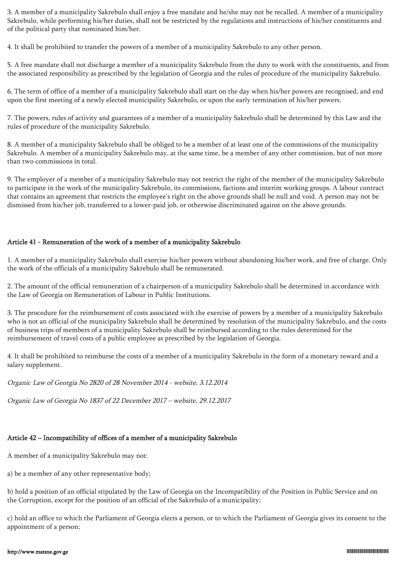3. A member of a municipality Sakrebulo shall enjoy a free mandate and he/she may not be recalled. A member of a municipality Sakrebulo, while performing his/her duties, shall not be restricted by the regulations and instructions of his/her constituents and of the political party that nominated him/her.

4. It shall be prohibited to transfer the powers of a member of a municipality Sakrebulo to any other person.

5. A free mandate shall not discharge a member of a municipality Sakrebulo from the duty to work with the constituents, and from the associated responsibility as prescribed by the legislation of Georgia and the rules of procedure of the municipality Sakrebulo.

6. The term of office of a member of a municipality Sakrebulo shall start on the day when his/her powers are recognised, and end upon the first meeting of a newly elected municipality Sakrebulo, or upon the early termination of his/her powers.

7. The powers, rules of activity and guarantees of a member of a municipality Sakrebulo shall be determined by this Law and the rules of procedure of the municipality Sakrebulo.

8. A member of a municipality Sakrebulo shall be obliged to be a member of at least one of the commissions of the municipality Sakrebulo. A member of a municipality Sakrebulo may, at the same time, be a member of any other commission, but of not more than two commissions in total.

9. The employer of a member of a municipality Sakrebulo may not restrict the right of the member of the municipality Sakrebulo to participate in the work of the municipality Sakrebulo, its commissions, factions and interim working groups. A labour contract that contains an agreement that restricts the employee's right on the above grounds shall be null and void. A person may not be dismissed from his/her job, transferred to a lower-paid job, or otherwise discriminated against on the above grounds.

## Article 41 - Remuneration of the work of a member of a municipality Sakrebulo

1. A member of a municipality Sakrebulo shall exercise his/her powers without abandoning his/her work, and free of charge. Only the work of the officials of a municipality Sakrebulo shall be remunerated.

2. The amount of the official remuneration of a chairperson of a municipality Sakrebulo shall be determined in accordance with the Law of Georgia on Remuneration of Labour in Public Institutions.

3. The procedure for the reimbursement of costs associated with the exercise of powers by a member of a municipality Sakrebulo who is not an official of the municipality Sakrebulo shall be determined by resolution of the municipality Sakrebulo, and the costs of business trips of members of a municipality Sakrebulo shall be reimbursed according to the rules determined for the reimbursement of travel costs of a public employee as prescribed by the legislation of Georgia.

4. It shall be prohibited to reimburse the costs of a member of a municipality Sakrebulo in the form of a monetary reward and a salary supplement.

Organic Law of Georgia No 2820 of 28 November 2014 - website, 3.12.2014

Organic Law of Georgia No 1837 of 22 December 2017 – website, 29.12.2017

# Article 42 – Incompatibility of offices of a member of a municipality Sakrebulo

A member of a municipality Sakrebulo may not:

a) be a member of any other representative body;

b) hold a position of an official stipulated by the Law of Georgia on the Incompatibility of the Position in Public Service and on the Corruption, except for the position of an official of the Sakrebulo of a municipality;

c) hold an office to which the Parliament of Georgia elects a person, or to which the Parliament of Georgia gives its consent to the appointment of a person;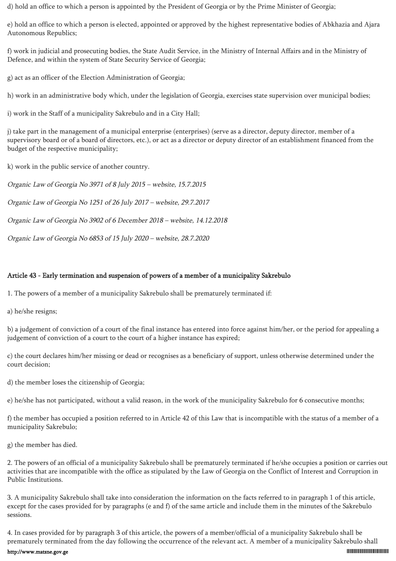d) hold an office to which a person is appointed by the President of Georgia or by the Prime Minister of Georgia;

e) hold an office to which a person is elected, appointed or approved by the highest representative bodies of Abkhazia and Ajara Autonomous Republics;

f) work in judicial and prosecuting bodies, the State Audit Service, in the Ministry of Internal Affairs and in the Ministry of Defence, and within the system of State Security Service of Georgia;

g) act as an officer of the Election Administration of Georgia;

h) work in an administrative body which, under the legislation of Georgia, exercises state supervision over municipal bodies;

i) work in the Staff of a municipality Sakrebulo and in a City Hall;

j) take part in the management of a municipal enterprise (enterprises) (serve as a director, deputy director, member of a supervisory board or of a board of directors, etc.), or act as a director or deputy director of an establishment financed from the budget of the respective municipality;

k) work in the public service of another country.

Organic Law of Georgia No 3971 of 8 July 2015 – website, 15.7.2015

Organic Law of Georgia No 1251 of 26 July 2017 – website, 29.7.2017

Organic Law of Georgia No 3902 of 6 December 2018 – website, 14.12.2018

Organic Law of Georgia No 6853 of 15 July 2020 – website, 28.7.2020

## Article 43 - Early termination and suspension of powers of a member of a municipality Sakrebulo

1. The powers of a member of a municipality Sakrebulo shall be prematurely terminated if:

a) he/she resigns;

b) a judgement of conviction of a court of the final instance has entered into force against him/her, or the period for appealing a judgement of conviction of a court to the court of a higher instance has expired;

c) the court declares him/her missing or dead or recognises as a beneficiary of support, unless otherwise determined under the court decision;

d) the member loses the citizenship of Georgia;

e) he/she has not participated, without a valid reason, in the work of the municipality Sakrebulo for 6 consecutive months;

f) the member has occupied a position referred to in Article 42 of this Law that is incompatible with the status of a member of a municipality Sakrebulo;

g) the member has died.

2. The powers of an official of a municipality Sakrebulo shall be prematurely terminated if he/she occupies a position or carries out activities that are incompatible with the office as stipulated by the Law of Georgia on the Conflict of Interest and Corruption in Public Institutions.

3. A municipality Sakrebulo shall take into consideration the information on the facts referred to in paragraph 1 of this article, except for the cases provided for by paragraphs (e and f) of the same article and include them in the minutes of the Sakrebulo sessions.

4. In cases provided for by paragraph 3 of this article, the powers of a member/official of a municipality Sakrebulo shall be prematurely terminated from the day following the occurrence of the relevant act. A member of a municipality Sakrebulo shall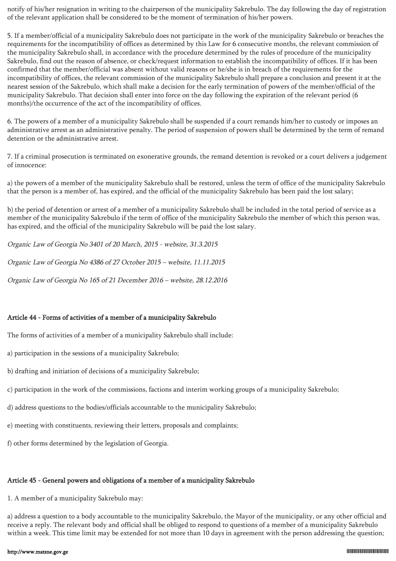notify of his/her resignation in writing to the chairperson of the municipality Sakrebulo. The day following the day of registration of the relevant application shall be considered to be the moment of termination of his/her powers.

5. If a member/official of a municipality Sakrebulo does not participate in the work of the municipality Sakrebulo or breaches the requirements for the incompatibility of offices as determined by this Law for 6 consecutive months, the relevant commission of the municipality Sakrebulo shall, in accordance with the procedure determined by the rules of procedure of the municipality Sakrebulo, find out the reason of absence, or check/request information to establish the incompatibility of offices. If it has been confirmed that the member/official was absent without valid reasons or he/she is in breach of the requirements for the incompatibility of offices, the relevant commission of the municipality Sakrebulo shall prepare a conclusion and present it at the nearest session of the Sakrebulo, which shall make a decision for the early termination of powers of the member/official of the municipality Sakrebulo. That decision shall enter into force on the day following the expiration of the relevant period (6 months)/the occurrence of the act of the incompatibility of offices.

6. The powers of a member of a municipality Sakrebulo shall be suspended if a court remands him/her to custody or imposes an administrative arrest as an administrative penalty. The period of suspension of powers shall be determined by the term of remand detention or the administrative arrest.

7. If a criminal prosecution is terminated on exonerative grounds, the remand detention is revoked or a court delivers a judgement of innocence:

a) the powers of a member of the municipality Sakrebulo shall be restored, unless the term of office of the municipality Sakrebulo that the person is a member of, has expired, and the official of the municipality Sakrebulo has been paid the lost salary;

b) the period of detention or arrest of a member of a municipality Sakrebulo shall be included in the total period of service as a member of the municipality Sakrebulo if the term of office of the municipality Sakrebulo the member of which this person was, has expired, and the official of the municipality Sakrebulo will be paid the lost salary.

Organic Law of Georgia No 3401 of 20 March, 2015 - website, 31.3.2015

Organic Law of Georgia No 4386 of 27 October 2015 – website, 11.11.2015

Organic Law of Georgia No 165 of 21 December 2016 – website, 28.12.2016

## Article 44 - Forms of activities of a member of a municipality Sakrebulo

The forms of activities of a member of a municipality Sakrebulo shall include:

- a) participation in the sessions of a municipality Sakrebulo;
- b) drafting and initiation of decisions of a municipality Sakrebulo;
- c) participation in the work of the commissions, factions and interim working groups of a municipality Sakrebulo;
- d) address questions to the bodies/officials accountable to the municipality Sakrebulo;
- e) meeting with constituents, reviewing their letters, proposals and complaints;
- f) other forms determined by the legislation of Georgia.

## Article 45 - General powers and obligations of a member of a municipality Sakrebulo

1. A member of a municipality Sakrebulo may:

a) address a question to a body accountable to the municipality Sakrebulo, the Mayor of the municipality, or any other official and receive a reply. The relevant body and official shall be obliged to respond to questions of a member of a municipality Sakrebulo within a week. This time limit may be extended for not more than 10 days in agreement with the person addressing the question;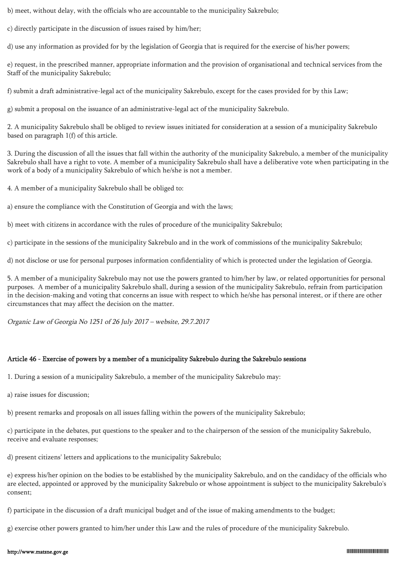b) meet, without delay, with the officials who are accountable to the municipality Sakrebulo;

c) directly participate in the discussion of issues raised by him/her;

d) use any information as provided for by the legislation of Georgia that is required for the exercise of his/her powers;

e) request, in the prescribed manner, appropriate information and the provision of organisational and technical services from the Staff of the municipality Sakrebulo;

f) submit a draft administrative-legal act of the municipality Sakrebulo, except for the cases provided for by this Law;

g) submit a proposal on the issuance of an administrative-legal act of the municipality Sakrebulo.

2. A municipality Sakrebulo shall be obliged to review issues initiated for consideration at a session of a municipality Sakrebulo based on paragraph 1(f) of this article.

3. During the discussion of all the issues that fall within the authority of the municipality Sakrebulo, a member of the municipality Sakrebulo shall have a right to vote. A member of a municipality Sakrebulo shall have a deliberative vote when participating in the work of a body of a municipality Sakrebulo of which he/she is not a member.

4. A member of a municipality Sakrebulo shall be obliged to:

a) ensure the compliance with the Constitution of Georgia and with the laws;

b) meet with citizens in accordance with the rules of procedure of the municipality Sakrebulo;

c) participate in the sessions of the municipality Sakrebulo and in the work of commissions of the municipality Sakrebulo;

d) not disclose or use for personal purposes information confidentiality of which is protected under the legislation of Georgia.

5. A member of a municipality Sakrebulo may not use the powers granted to him/her by law, or related opportunities for personal purposes. A member of a municipality Sakrebulo shall, during a session of the municipality Sakrebulo, refrain from participation in the decision-making and voting that concerns an issue with respect to which he/she has personal interest, or if there are other circumstances that may affect the decision on the matter.

Organic Law of Georgia No 1251 of 26 July 2017 – website, 29.7.2017

## Article 46 - Exercise of powers by a member of a municipality Sakrebulo during the Sakrebulo sessions

1. During a session of a municipality Sakrebulo, a member of the municipality Sakrebulo may:

a) raise issues for discussion;

b) present remarks and proposals on all issues falling within the powers of the municipality Sakrebulo;

c) participate in the debates, put questions to the speaker and to the chairperson of the session of the municipality Sakrebulo, receive and evaluate responses;

d) present citizens' letters and applications to the municipality Sakrebulo;

e) express his/her opinion on the bodies to be established by the municipality Sakrebulo, and on the candidacy of the officials who are elected, appointed or approved by the municipality Sakrebulo or whose appointment is subject to the municipality Sakrebulo's consent;

f) participate in the discussion of a draft municipal budget and of the issue of making amendments to the budget;

g) exercise other powers granted to him/her under this Law and the rules of procedure of the municipality Sakrebulo.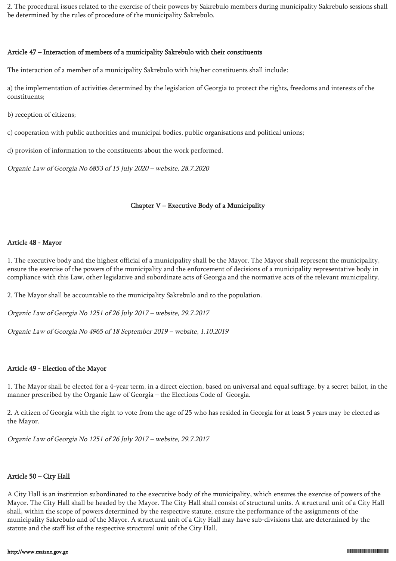2. The procedural issues related to the exercise of their powers by Sakrebulo members during municipality Sakrebulo sessions shall be determined by the rules of procedure of the municipality Sakrebulo.

### Article 47 – Interaction of members of a municipality Sakrebulo with their constituents

The interaction of a member of a municipality Sakrebulo with his/her constituents shall include:

a) the implementation of activities determined by the legislation of Georgia to protect the rights, freedoms and interests of the constituents;

b) reception of citizens;

c) cooperation with public authorities and municipal bodies, public organisations and political unions;

d) provision of information to the constituents about the work performed.

Organic Law of Georgia No 6853 of 15 July 2020 – website, 28.7.2020

## Chapter V – Executive Body of a Municipality

## Article 48 - Mayor

1. The executive body and the highest official of a municipality shall be the Mayor. The Mayor shall represent the municipality, ensure the exercise of the powers of the municipality and the enforcement of decisions of a municipality representative body in compliance with this Law, other legislative and subordinate acts of Georgia and the normative acts of the relevant municipality.

2. The Mayor shall be accountable to the municipality Sakrebulo and to the population.

Organic Law of Georgia No 1251 of 26 July 2017 – website, 29.7.2017

Organic Law of Georgia No 4965 of 18 September 2019 – website, 1.10.2019

## Article 49 - Election of the Mayor

1. The Mayor shall be elected for a 4-year term, in a direct election, based on universal and equal suffrage, by a secret ballot, in the manner prescribed by the Organic Law of Georgia – the Elections Code of Georgia.

2. A citizen of Georgia with the right to vote from the age of 25 who has resided in Georgia for at least 5 years may be elected as the Mayor.

Organic Law of Georgia No 1251 of 26 July 2017 – website, 29.7.2017

## Article 50 – City Hall

A City Hall is an institution subordinated to the executive body of the municipality, which ensures the exercise of powers of the Mayor. The City Hall shall be headed by the Mayor. The City Hall shall consist of structural units. A structural unit of a City Hall shall, within the scope of powers determined by the respective statute, ensure the performance of the assignments of the municipality Sakrebulo and of the Mayor. A structural unit of a City Hall may have sub-divisions that are determined by the statute and the staff list of the respective structural unit of the City Hall.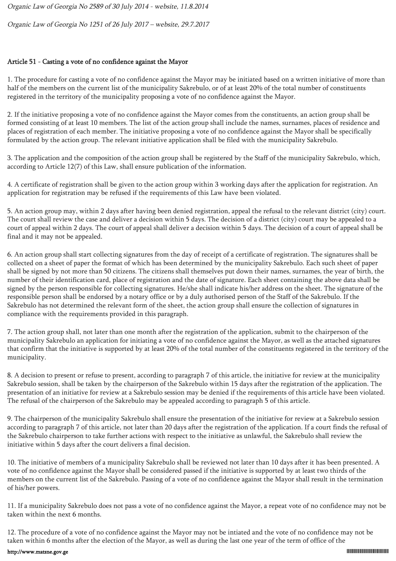Organic Law of Georgia No 2589 of 30 July 2014 - website, 11.8.2014

Organic Law of Georgia No 1251 of 26 July 2017 – website, 29.7.2017

## Article 51 - Casting a vote of no confidence against the Mayor

1. The procedure for casting a vote of no confidence against the Mayor may be initiated based on a written initiative of more than half of the members on the current list of the municipality Sakrebulo, or of at least 20% of the total number of constituents registered in the territory of the municipality proposing a vote of no confidence against the Mayor.

2. If the initiative proposing a vote of no confidence against the Mayor comes from the constituents, an action group shall be formed consisting of at least 10 members. The list of the action group shall include the names, surnames, places of residence and places of registration of each member. The initiative proposing a vote of no confidence against the Mayor shall be specifically formulated by the action group. The relevant initiative application shall be filed with the municipality Sakrebulo.

3. The application and the composition of the action group shall be registered by the Staff of the municipality Sakrebulo, which, according to Article 12(7) of this Law, shall ensure publication of the information.

4. A certificate of registration shall be given to the action group within 3 working days after the application for registration. An application for registration may be refused if the requirements of this Law have been violated.

5. An action group may, within 2 days after having been denied registration, appeal the refusal to the relevant district (city) court. The court shall review the case and deliver a decision within 5 days. The decision of a district (city) court may be appealed to a court of appeal within 2 days. The court of appeal shall deliver a decision within 5 days. The decision of a court of appeal shall be final and it may not be appealed.

6. An action group shall start collecting signatures from the day of receipt of a certificate of registration. The signatures shall be collected on a sheet of paper the format of which has been determined by the municipality Sakrebulo. Each such sheet of paper shall be signed by not more than 50 citizens. The citizens shall themselves put down their names, surnames, the year of birth, the number of their identification card, place of registration and the date of signature. Each sheet containing the above data shall be signed by the person responsible for collecting signatures. He/she shall indicate his/her address on the sheet. The signature of the responsible person shall be endorsed by a notary office or by a duly authorised person of the Staff of the Sakrebulo. If the Sakrebulo has not determined the relevant form of the sheet, the action group shall ensure the collection of signatures in compliance with the requirements provided in this paragraph.

7. The action group shall, not later than one month after the registration of the application, submit to the chairperson of the municipality Sakrebulo an application for initiating a vote of no confidence against the Mayor, as well as the attached signatures that confirm that the initiative is supported by at least 20% of the total number of the constituents registered in the territory of the municipality.

8. A decision to present or refuse to present, according to paragraph 7 of this article, the initiative for review at the municipality Sakrebulo session, shall be taken by the chairperson of the Sakrebulo within 15 days after the registration of the application. The presentation of an initiative for review at a Sakrebulo session may be denied if the requirements of this article have been violated. The refusal of the chairperson of the Sakrebulo may be appealed according to paragraph 5 of this article.

9. The chairperson of the municipality Sakrebulo shall ensure the presentation of the initiative for review at a Sakrebulo session according to paragraph 7 of this article, not later than 20 days after the registration of the application. If a court finds the refusal of the Sakrebulo chairperson to take further actions with respect to the initiative as unlawful, the Sakrebulo shall review the initiative within 5 days after the court delivers a final decision.

10. The initiative of members of a municipality Sakrebulo shall be reviewed not later than 10 days after it has been presented. A vote of no confidence against the Mayor shall be considered passed if the initiative is supported by at least two thirds of the members on the current list of the Sakrebulo. Passing of a vote of no confidence against the Mayor shall result in the termination of his/her powers.

11. If a municipality Sakrebulo does not pass a vote of no confidence against the Mayor, a repeat vote of no confidence may not be taken within the next 6 months.

12. The procedure of a vote of no confidence against the Mayor may not be intiated and the vote of no confidence may not be taken within 6 months after the election of the Mayor, as well as during the last one year of the term of office of the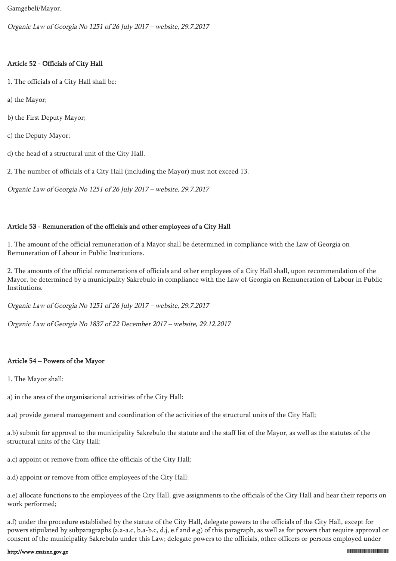Gamgebeli/Mayor.

Organic Law of Georgia No 1251 of 26 July 2017 – website, 29.7.2017

## Article 52 - Officials of City Hall

- 1. The officials of a City Hall shall be:
- a) the Mayor;
- b) the First Deputy Mayor;
- c) the Deputy Mayor;
- d) the head of a structural unit of the City Hall.

2. The number of officials of a City Hall (including the Mayor) must not exceed 13.

Organic Law of Georgia No 1251 of 26 July 2017 – website, 29.7.2017

## Article 53 - Remuneration of the officials and other employees of a City Hall

1. The amount of the official remuneration of a Mayor shall be determined in compliance with the Law of Georgia on Remuneration of Labour in Public Institutions.

2. The amounts of the official remunerations of officials and other employees of a City Hall shall, upon recommendation of the Mayor, be determined by a municipality Sakrebulo in compliance with the Law of Georgia on Remuneration of Labour in Public Institutions.

Organic Law of Georgia No 1251 of 26 July 2017 – website, 29.7.2017

Organic Law of Georgia No 1837 of 22 December 2017 – website, 29.12.2017

## Article 54 – Powers of the Mayor

1. The Mayor shall:

a) in the area of the organisational activities of the City Hall:

a.a) provide general management and coordination of the activities of the structural units of the City Hall;

a.b) submit for approval to the municipality Sakrebulo the statute and the staff list of the Mayor, as well as the statutes of the structural units of the City Hall;

a.c) appoint or remove from office the officials of the City Hall;

a.d) appoint or remove from office employees of the City Hall;

a.e) allocate functions to the employees of the City Hall, give assignments to the officials of the City Hall and hear their reports on work performed;

a.f) under the procedure established by the statute of the City Hall, delegate powers to the officials of the City Hall, except for powers stipulated by subparagraphs (a.a-a.c, b.a-b.c, d.j, e.f and e.g) of this paragraph, as well as for powers that require approval or consent of the municipality Sakrebulo under this Law; delegate powers to the officials, other officers or persons employed under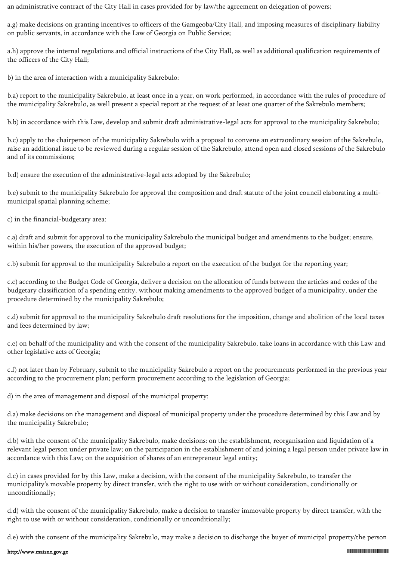an administrative contract of the City Hall in cases provided for by law/the agreement on delegation of powers;

a.g) make decisions on granting incentives to officers of the Gamgeoba/City Hall, and imposing measures of disciplinary liability on public servants, in accordance with the Law of Georgia on Public Service;

a.h) approve the internal regulations and official instructions of the City Hall, as well as additional qualification requirements of the officers of the City Hall;

b) in the area of interaction with a municipality Sakrebulo:

b.a) report to the municipality Sakrebulo, at least once in a year, on work performed, in accordance with the rules of procedure of the municipality Sakrebulo, as well present a special report at the request of at least one quarter of the Sakrebulo members;

b.b) in accordance with this Law, develop and submit draft administrative-legal acts for approval to the municipality Sakrebulo;

b.c) apply to the chairperson of the municipality Sakrebulo with a proposal to convene an extraordinary session of the Sakrebulo, raise an additional issue to be reviewed during a regular session of the Sakrebulo, attend open and closed sessions of the Sakrebulo and of its commissions;

b.d) ensure the execution of the administrative-legal acts adopted by the Sakrebulo;

b.e) submit to the municipality Sakrebulo for approval the composition and draft statute of the joint council elaborating a multimunicipal spatial planning scheme;

c) in the financial-budgetary area:

c.a) draft and submit for approval to the municipality Sakrebulo the municipal budget and amendments to the budget; ensure, within his/her powers, the execution of the approved budget;

c.b) submit for approval to the municipality Sakrebulo a report on the execution of the budget for the reporting year;

c.c) according to the Budget Code of Georgia, deliver a decision on the allocation of funds between the articles and codes of the budgetary classification of a spending entity, without making amendments to the approved budget of a municipality, under the procedure determined by the municipality Sakrebulo;

c.d) submit for approval to the municipality Sakrebulo draft resolutions for the imposition, change and abolition of the local taxes and fees determined by law;

c.e) on behalf of the municipality and with the consent of the municipality Sakrebulo, take loans in accordance with this Law and other legislative acts of Georgia;

c.f) not later than by February, submit to the municipality Sakrebulo a report on the procurements performed in the previous year according to the procurement plan; perform procurement according to the legislation of Georgia;

d) in the area of management and disposal of the municipal property:

d.a) make decisions on the management and disposal of municipal property under the procedure determined by this Law and by the municipality Sakrebulo;

d.b) with the consent of the municipality Sakrebulo, make decisions: on the establishment, reorganisation and liquidation of a relevant legal person under private law; on the participation in the establishment of and joining a legal person under private law in accordance with this Law; on the acquisition of shares of an entrepreneur legal entity;

d.c) in cases provided for by this Law, make a decision, with the consent of the municipality Sakrebulo, to transfer the municipality's movable property by direct transfer, with the right to use with or without consideration, conditionally or unconditionally;

d.d) with the consent of the municipality Sakrebulo, make a decision to transfer immovable property by direct transfer, with the right to use with or without consideration, conditionally or unconditionally;

d.e) with the consent of the municipality Sakrebulo, may make a decision to discharge the buyer of municipal property/the person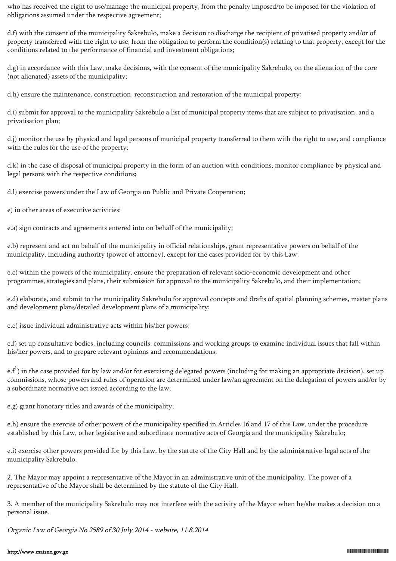who has received the right to use/manage the municipal property, from the penalty imposed/to be imposed for the violation of obligations assumed under the respective agreement;

d.f) with the consent of the municipality Sakrebulo, make a decision to discharge the recipient of privatised property and/or of property transferred with the right to use, from the obligation to perform the condition(s) relating to that property, except for the conditions related to the performance of financial and investment obligations;

d.g) in accordance with this Law, make decisions, with the consent of the municipality Sakrebulo, on the alienation of the core (not alienated) assets of the municipality;

d.h) ensure the maintenance, construction, reconstruction and restoration of the municipal property;

d.i) submit for approval to the municipality Sakrebulo a list of municipal property items that are subject to privatisation, and a privatisation plan;

d.j) monitor the use by physical and legal persons of municipal property transferred to them with the right to use, and compliance with the rules for the use of the property;

d.k) in the case of disposal of municipal property in the form of an auction with conditions, monitor compliance by physical and legal persons with the respective conditions;

d.l) exercise powers under the Law of Georgia on Public and Private Cooperation;

e) in other areas of executive activities:

e.a) sign contracts and agreements entered into on behalf of the municipality;

e.b) represent and act on behalf of the municipality in official relationships, grant representative powers on behalf of the municipality, including authority (power of attorney), except for the cases provided for by this Law;

e.c) within the powers of the municipality, ensure the preparation of relevant socio-economic development and other programmes, strategies and plans, their submission for approval to the municipality Sakrebulo, and their implementation;

e.d) elaborate, and submit to the municipality Sakrebulo for approval concepts and drafts of spatial planning schemes, master plans and development plans/detailed development plans of a municipality;

e.e) issue individual administrative acts within his/her powers;

e.f) set up consultative bodies, including councils, commissions and working groups to examine individual issues that fall within his/her powers, and to prepare relevant opinions and recommendations;

e.f<sup>1</sup>) in the case provided for by law and/or for exercising delegated powers (including for making an appropriate decision), set up commissions, whose powers and rules of operation are determined under law/an agreement on the delegation of powers and/or by a subordinate normative act issued according to the law;

e.g) grant honorary titles and awards of the municipality;

e.h) ensure the exercise of other powers of the municipality specified in Articles 16 and 17 of this Law, under the procedure established by this Law, other legislative and subordinate normative acts of Georgia and the municipality Sakrebulo;

e.i) exercise other powers provided for by this Law, by the statute of the City Hall and by the administrative-legal acts of the municipality Sakrebulo.

2. The Mayor may appoint a representative of the Mayor in an administrative unit of the municipality. The power of a representative of the Mayor shall be determined by the statute of the City Hall.

3. A member of the municipality Sakrebulo may not interfere with the activity of the Mayor when he/she makes a decision on a personal issue.

Organic Law of Georgia No 2589 of 30 July 2014 - website, 11.8.2014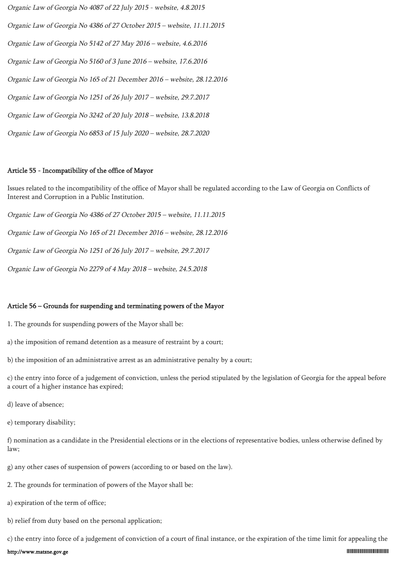Organic Law of Georgia No 4087 of 22 July 2015 - website, 4.8.2015 Organic Law of Georgia No 4386 of 27 October 2015 – website, 11.11.2015 Organic Law of Georgia No 5142 of 27 May 2016 – website, 4.6.2016 Organic Law of Georgia No 5160 of 3 June 2016 – website, 17.6.2016 Organic Law of Georgia No 165 of 21 December 2016 – website, 28.12.2016 Organic Law of Georgia No 1251 of 26 July 2017 – website, 29.7.2017 Organic Law of Georgia No 3242 of 20 July 2018 – website, 13.8.2018 Organic Law of Georgia No 6853 of 15 July 2020 – website, 28.7.2020

#### Article 55 - Incompatibility of the office of Mayor

Issues related to the incompatibility of the office of Mayor shall be regulated according to the Law of Georgia on Conflicts of Interest and Corruption in a Public Institution.

Organic Law of Georgia No 4386 of 27 October 2015 – website, 11.11.2015

Organic Law of Georgia No 165 of 21 December 2016 – website, 28.12.2016

Organic Law of Georgia No 1251 of 26 July 2017 – website, 29.7.2017

Organic Law of Georgia No 2279 of 4 May 2018 – website, 24.5.2018

#### Article 56 – Grounds for suspending and terminating powers of the Mayor

1. The grounds for suspending powers of the Mayor shall be:

- a) the imposition of remand detention as a measure of restraint by a court;
- b) the imposition of an administrative arrest as an administrative penalty by a court;

c) the entry into force of a judgement of conviction, unless the period stipulated by the legislation of Georgia for the appeal before a court of a higher instance has expired;

d) leave of absence;

e) temporary disability;

f) nomination as a candidate in the Presidential elections or in the elections of representative bodies, unless otherwise defined by law;

g) any other cases of suspension of powers (according to or based on the law).

2. The grounds for termination of powers of the Mayor shall be:

a) expiration of the term of office;

b) relief from duty based on the personal application;

c) the entry into force of a judgement of conviction of a court of final instance, or the expiration of the time limit for appealing the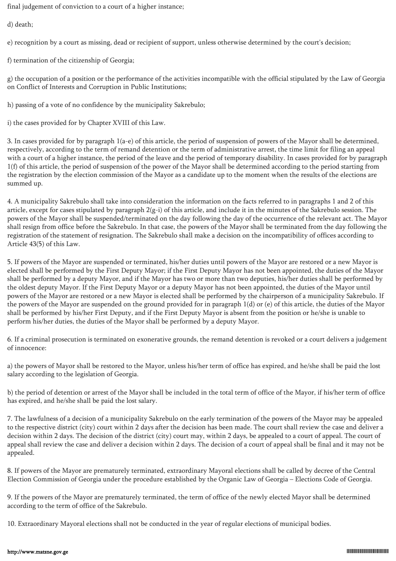final judgement of conviction to a court of a higher instance;

d) death;

e) recognition by a court as missing, dead or recipient of support, unless otherwise determined by the court's decision;

f) termination of the citizenship of Georgia;

g) the occupation of a position or the performance of the activities incompatible with the official stipulated by the Law of Georgia on Conflict of Interests and Corruption in Public Institutions;

h) passing of a vote of no confidence by the municipality Sakrebulo;

i) the cases provided for by Chapter XVIII of this Law.

3. In cases provided for by paragraph 1(a-e) of this article, the period of suspension of powers of the Mayor shall be determined, respectively, according to the term of remand detention or the term of administrative arrest, the time limit for filing an appeal with a court of a higher instance, the period of the leave and the period of temporary disability. In cases provided for by paragraph 1(f) of this article, the period of suspension of the power of the Mayor shall be determined according to the period starting from the registration by the election commission of the Mayor as a candidate up to the moment when the results of the elections are summed up.

4. A municipality Sakrebulo shall take into consideration the information on the facts referred to in paragraphs 1 and 2 of this article, except for cases stipulated by paragraph  $2(g-i)$  of this article, and include it in the minutes of the Sakrebulo session. The powers of the Mayor shall be suspended/terminated on the day following the day of the occurrence of the relevant act. The Mayor shall resign from office before the Sakrebulo. In that case, the powers of the Mayor shall be terminated from the day following the registration of the statement of resignation. The Sakrebulo shall make a decision on the incompatibility of offices according to Article 43(5) of this Law.

5. If powers of the Mayor are suspended or terminated, his/her duties until powers of the Mayor are restored or a new Mayor is elected shall be performed by the First Deputy Mayor; if the First Deputy Mayor has not been appointed, the duties of the Mayor shall be performed by a deputy Mayor, and if the Mayor has two or more than two deputies, his/her duties shall be performed by the oldest deputy Mayor. If the First Deputy Mayor or a deputy Mayor has not been appointed, the duties of the Mayor until powers of the Mayor are restored or a new Mayor is elected shall be performed by the chairperson of a municipality Sakrebulo. If the powers of the Mayor are suspended on the ground provided for in paragraph 1(d) or (e) of this article, the duties of the Mayor shall be performed by his/her First Deputy, and if the First Deputy Mayor is absent from the position or he/she is unable to perform his/her duties, the duties of the Mayor shall be performed by a deputy Mayor.

6. If a criminal prosecution is terminated on exonerative grounds, the remand detention is revoked or a court delivers a judgement of innocence:

a) the powers of Mayor shall be restored to the Mayor, unless his/her term of office has expired, and he/she shall be paid the lost salary according to the legislation of Georgia.

b) the period of detention or arrest of the Mayor shall be included in the total term of office of the Mayor, if his/her term of office has expired, and he/she shall be paid the lost salary.

7. The lawfulness of a decision of a municipality Sakrebulo on the early termination of the powers of the Mayor may be appealed to the respective district (city) court within 2 days after the decision has been made. The court shall review the case and deliver a decision within 2 days. The decision of the district (city) court may, within 2 days, be appealed to a court of appeal. The court of appeal shall review the case and deliver a decision within 2 days. The decision of a court of appeal shall be final and it may not be appealed.

8. If powers of the Mayor are prematurely terminated, extraordinary Mayoral elections shall be called by decree of the Central Election Commission of Georgia under the procedure established by the Organic Law of Georgia – Elections Code of Georgia.

9. If the powers of the Mayor are prematurely terminated, the term of office of the newly elected Mayor shall be determined according to the term of office of the Sakrebulo.

10. Extraordinary Mayoral elections shall not be conducted in the year of regular elections of municipal bodies.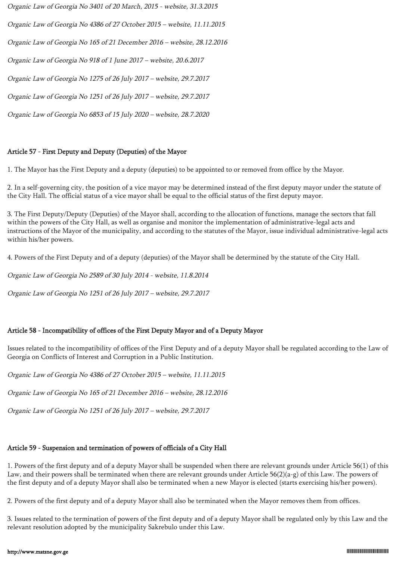Organic Law of Georgia No 3401 of 20 March, 2015 - website, 31.3.2015

Organic Law of Georgia No 4386 of 27 October 2015 – website, 11.11.2015

Organic Law of Georgia No 165 of 21 December 2016 – website, 28.12.2016

Organic Law of Georgia No 918 of 1 June 2017 – website, 20.6.2017

Organic Law of Georgia No 1275 of 26 July 2017 – website, 29.7.2017

Organic Law of Georgia No 1251 of 26 July 2017 – website, 29.7.2017

Organic Law of Georgia No 6853 of 15 July 2020 – website, 28.7.2020

## Article 57 - First Deputy and Deputy (Deputies) of the Mayor

1. The Mayor has the First Deputy and a deputy (deputies) to be appointed to or removed from office by the Mayor.

2. In a self-governing city, the position of a vice mayor may be determined instead of the first deputy mayor under the statute of the City Hall. The official status of a vice mayor shall be equal to the official status of the first deputy mayor.

3. The First Deputy/Deputy (Deputies) of the Mayor shall, according to the allocation of functions, manage the sectors that fall within the powers of the City Hall, as well as organise and monitor the implementation of administrative-legal acts and instructions of the Mayor of the municipality, and according to the statutes of the Mayor, issue individual administrative-legal acts within his/her powers.

4. Powers of the First Deputy and of a deputy (deputies) of the Mayor shall be determined by the statute of the City Hall.

Organic Law of Georgia No 2589 of 30 July 2014 - website, 11.8.2014

Organic Law of Georgia No 1251 of 26 July 2017 – website, 29.7.2017

## Article 58 - Incompatibility of offices of the First Deputy Mayor and of a Deputy Mayor

Issues related to the incompatibility of offices of the First Deputy and of a deputy Mayor shall be regulated according to the Law of Georgia on Conflicts of Interest and Corruption in a Public Institution.

Organic Law of Georgia No 4386 of 27 October 2015 – website, 11.11.2015

Organic Law of Georgia No 165 of 21 December 2016 – website, 28.12.2016

Organic Law of Georgia No 1251 of 26 July 2017 – website, 29.7.2017

## Article 59 - Suspension and termination of powers of officials of a City Hall

1. Powers of the first deputy and of a deputy Mayor shall be suspended when there are relevant grounds under Article 56(1) of this Law, and their powers shall be terminated when there are relevant grounds under Article 56(2)(a-g) of this Law. The powers of the first deputy and of a deputy Mayor shall also be terminated when a new Mayor is elected (starts exercising his/her powers).

2. Powers of the first deputy and of a deputy Mayor shall also be terminated when the Mayor removes them from offices.

3. Issues related to the termination of powers of the first deputy and of a deputy Mayor shall be regulated only by this Law and the relevant resolution adopted by the municipality Sakrebulo under this Law.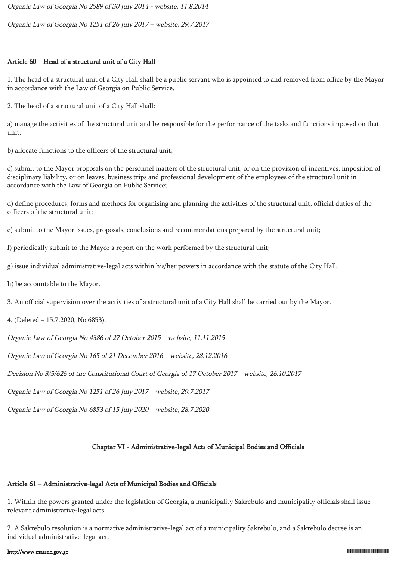Organic Law of Georgia No 2589 of 30 July 2014 - website, 11.8.2014

Organic Law of Georgia No 1251 of 26 July 2017 – website, 29.7.2017

## Article 60 – Head of a structural unit of a City Hall

1. The head of a structural unit of a City Hall shall be a public servant who is appointed to and removed from office by the Mayor in accordance with the Law of Georgia on Public Service.

2. The head of a structural unit of a City Hall shall:

a) manage the activities of the structural unit and be responsible for the performance of the tasks and functions imposed on that unit;

b) allocate functions to the officers of the structural unit;

c) submit to the Mayor proposals on the personnel matters of the structural unit, or on the provision of incentives, imposition of disciplinary liability, or on leaves, business trips and professional development of the employees of the structural unit in accordance with the Law of Georgia on Public Service;

d) define procedures, forms and methods for organising and planning the activities of the structural unit; official duties of the officers of the structural unit;

e) submit to the Mayor issues, proposals, conclusions and recommendations prepared by the structural unit;

f) periodically submit to the Mayor a report on the work performed by the structural unit;

g) issue individual administrative-legal acts within his/her powers in accordance with the statute of the City Hall;

h) be accountable to the Mayor.

3. An official supervision over the activities of a structural unit of a City Hall shall be carried out by the Mayor.

4. (Deleted – 15.7.2020, No 6853).

Organic Law of Georgia No 4386 of 27 October 2015 – website, 11.11.2015

Organic Law of Georgia No 165 of 21 December 2016 – website, 28.12.2016

Decision No 3/5/626 of the Constitutional Court of Georgia of 17 October 2017 – website, 26.10.2017

Organic Law of Georgia No 1251 of 26 July 2017 – website, 29.7.2017

Organic Law of Georgia No 6853 of 15 July 2020 – website, 28.7.2020

# Chapter VI - Administrative-legal Acts of Municipal Bodies and Officials

# Article 61 – Administrative-legal Acts of Municipal Bodies and Officials

1. Within the powers granted under the legislation of Georgia, a municipality Sakrebulo and municipality officials shall issue relevant administrative-legal acts.

2. A Sakrebulo resolution is a normative administrative-legal act of a municipality Sakrebulo, and a Sakrebulo decree is an individual administrative-legal act.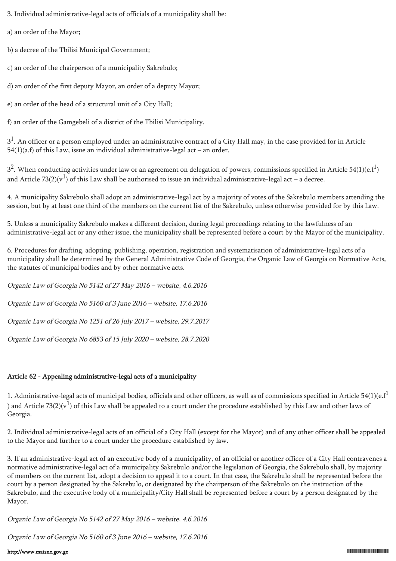3. Individual administrative-legal acts of officials of a municipality shall be:

a) an order of the Mayor;

b) a decree of the Tbilisi Municipal Government;

c) an order of the chairperson of a municipality Sakrebulo;

d) an order of the first deputy Mayor, an order of a deputy Mayor;

e) an order of the head of a structural unit of a City Hall;

f) an order of the Gamgebeli of a district of the Tbilisi Municipality.

 $3<sup>1</sup>$ . An officer or a person employed under an administrative contract of a City Hall may, in the case provided for in Article  $54(1)(a.f)$  of this Law, issue an individual administrative-legal act – an order.

 $3^2$ . When conducting activities under law or an agreement on delegation of powers, commissions specified in Article 54(1)(e.f<sup>1</sup>) and Article 73(2)(v<sup>1</sup>) of this Law shall be authorised to issue an individual administrative-legal act – a decree.

4. A municipality Sakrebulo shall adopt an administrative-legal act by a majority of votes of the Sakrebulo members attending the session, but by at least one third of the members on the current list of the Sakrebulo, unless otherwise provided for by this Law.

5. Unless a municipality Sakrebulo makes a different decision, during legal proceedings relating to the lawfulness of an administrative-legal act or any other issue, the municipality shall be represented before a court by the Mayor of the municipality.

6. Procedures for drafting, adopting, publishing, operation, registration and systematisation of administrative-legal acts of a municipality shall be determined by the General Administrative Code of Georgia, the Organic Law of Georgia on Normative Acts, the statutes of municipal bodies and by other normative acts.

Organic Law of Georgia No 5142 of 27 May 2016 – website, 4.6.2016 Organic Law of Georgia No 5160 of 3 June 2016 – website, 17.6.2016 Organic Law of Georgia No 1251 of 26 July 2017 – website, 29.7.2017

Organic Law of Georgia No 6853 of 15 July 2020 – website, 28.7.2020

# Article 62 - Appealing administrative-legal acts of a municipality

1. Administrative-legal acts of municipal bodies, officials and other officers, as well as of commissions specified in Article 54(1)(e. $f<sup>1</sup>$ ) and Article 73(2)( $\rm{v}^1$ ) of this Law shall be appealed to a court under the procedure established by this Law and other laws of Georgia.

2. Individual administrative-legal acts of an official of a City Hall (except for the Mayor) and of any other officer shall be appealed to the Mayor and further to a court under the procedure established by law.

3. If an administrative-legal act of an executive body of a municipality, of an official or another officer of a City Hall contravenes a normative administrative-legal act of a municipality Sakrebulo and/or the legislation of Georgia, the Sakrebulo shall, by majority of members on the current list, adopt a decision to appeal it to a court. In that case, the Sakrebulo shall be represented before the court by a person designated by the Sakrebulo, or designated by the chairperson of the Sakrebulo on the instruction of the Sakrebulo, and the executive body of a municipality/City Hall shall be represented before a court by a person designated by the Mayor.

Organic Law of Georgia No 5142 of 27 May 2016 – website, 4.6.2016

Organic Law of Georgia No 5160 of 3 June 2016 – website, 17.6.2016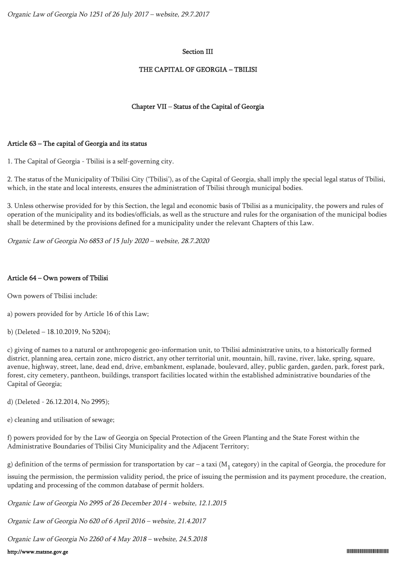## Section III

## THE CAPITAL OF GEORGIA – TBILISI

## Chapter VII – Status of the Capital of Georgia

## Article 63 – The capital of Georgia and its status

1. The Capital of Georgia - Tbilisi is a self-governing city.

2. The status of the Municipality of Tbilisi City ('Tbilisi'), as of the Capital of Georgia, shall imply the special legal status of Tbilisi, which, in the state and local interests, ensures the administration of Tbilisi through municipal bodies.

3. Unless otherwise provided for by this Section, the legal and economic basis of Tbilisi as a municipality, the powers and rules of operation of the municipality and its bodies/officials, as well as the structure and rules for the organisation of the municipal bodies shall be determined by the provisions defined for a municipality under the relevant Chapters of this Law.

Organic Law of Georgia No 6853 of 15 July 2020 – website, 28.7.2020

## Article 64 – Own powers of Tbilisi

Own powers of Tbilisi include:

a) powers provided for by Article 16 of this Law;

b) (Deleted – 18.10.2019, No 5204);

c) giving of names to a natural or anthropogenic geo-information unit, to Tbilisi administrative units, to a historically formed district, planning area, certain zone, micro district, any other territorial unit, mountain, hill, ravine, river, lake, spring, square, avenue, highway, street, lane, dead end, drive, embankment, esplanade, boulevard, alley, public garden, garden, park, forest park, forest, city cemetery, pantheon, buildings, transport facilities located within the established administrative boundaries of the Capital of Georgia;

d) (Deleted - 26.12.2014, No 2995);

e) cleaning and utilisation of sewage;

f) powers provided for by the Law of Georgia on Special Protection of the Green Planting and the State Forest within the Administrative Boundaries of Tbilisi City Municipality and the Adjacent Territory;

g) definition of the terms of permission for transportation by car – a taxi (M<sub>1</sub> category) in the capital of Georgia, the procedure for

issuing the permission, the permission validity period, the price of issuing the permission and its payment procedure, the creation, updating and processing of the common database of permit holders.

Organic Law of Georgia No 2995 of 26 December 2014 - website, 12.1.2015

Organic Law of Georgia No 620 of 6 April 2016 – website, 21.4.2017

Organic Law of Georgia No 2260 of 4 May 2018 – website, 24.5.2018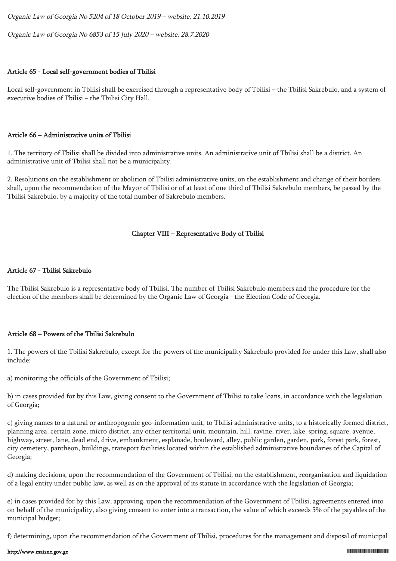Organic Law of Georgia No 5204 of 18 October 2019 – website, 21.10.2019

Organic Law of Georgia No 6853 of 15 July 2020 – website, 28.7.2020

# Article 65 - Local self-government bodies of Tbilisi

Local self-government in Tbilisi shall be exercised through a representative body of Tbilisi – the Tbilisi Sakrebulo, and a system of executive bodies of Tbilisi – the Tbilisi City Hall.

# Article 66 – Administrative units of Tbilisi

1. The territory of Tbilisi shall be divided into administrative units. An administrative unit of Tbilisi shall be a district. An administrative unit of Tbilisi shall not be a municipality.

2. Resolutions on the establishment or abolition of Tbilisi administrative units, on the establishment and change of their borders shall, upon the recommendation of the Mayor of Tbilisi or of at least of one third of Tbilisi Sakrebulo members, be passed by the Tbilisi Sakrebulo, by a majority of the total number of Sakrebulo members.

## Chapter VIII – Representative Body of Tbilisi

## Article 67 - Tbilisi Sakrebulo

The Tbilisi Sakrebulo is a representative body of Tbilisi. The number of Tbilisi Sakrebulo members and the procedure for the election of the members shall be determined by the Organic Law of Georgia - the Election Code of Georgia.

## Article 68 – Powers of the Tbilisi Sakrebulo

1. The powers of the Tbilisi Sakrebulo, except for the powers of the municipality Sakrebulo provided for under this Law, shall also include:

a) monitoring the officials of the Government of Tbilisi;

b) in cases provided for by this Law, giving consent to the Government of Tbilisi to take loans, in accordance with the legislation of Georgia;

c) giving names to a natural or anthropogenic geo-information unit, to Tbilisi administrative units, to a historically formed district, planning area, certain zone, micro district, any other territorial unit, mountain, hill, ravine, river, lake, spring, square, avenue, highway, street, lane, dead end, drive, embankment, esplanade, boulevard, alley, public garden, garden, park, forest park, forest, city cemetery, pantheon, buildings, transport facilities located within the established administrative boundaries of the Capital of Georgia;

d) making decisions, upon the recommendation of the Government of Tbilisi, on the establishment, reorganisation and liquidation of a legal entity under public law, as well as on the approval of its statute in accordance with the legislation of Georgia;

e) in cases provided for by this Law, approving, upon the recommendation of the Government of Tbilisi, agreements entered into on behalf of the municipality, also giving consent to enter into a transaction, the value of which exceeds 5% of the payables of the municipal budget;

f) determining, upon the recommendation of the Government of Tbilisi, procedures for the management and disposal of municipal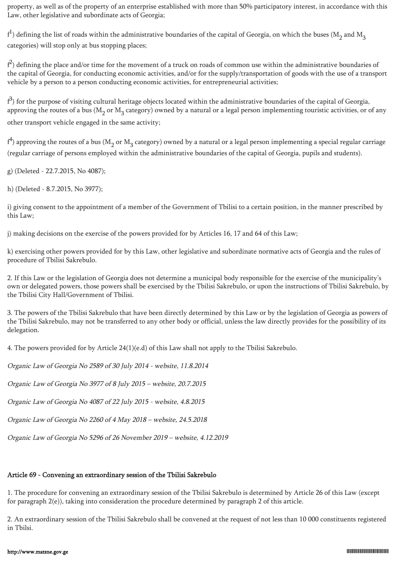property, as well as of the property of an enterprise established with more than 50% participatory interest, in accordance with this Law, other legislative and subordinate acts of Georgia;

 $f^1$ ) defining the list of roads within the administrative boundaries of the capital of Georgia, on which the buses (M<sub>2</sub> and M<sub>3</sub> categories) will stop only at bus stopping places;

 $f^2$ ) defining the place and/or time for the movement of a truck on roads of common use within the administrative boundaries of the capital of Georgia, for conducting economic activities, and/or for the supply/transportation of goods with the use of a transport vehicle by a person to a person conducting economic activities, for entrepreneurial activities;

 $f^3$ ) for the purpose of visiting cultural heritage objects located within the administrative boundaries of the capital of Georgia, approving the routes of a bus (M<sub>2</sub> or M<sub>3</sub> category) owned by a natural or a legal person implementing touristic activities, or of any other transport vehicle engaged in the same activity;

 $f^4$ ) approving the routes of a bus (M<sub>2</sub> or M<sub>3</sub> category) owned by a natural or a legal person implementing a special regular carriage (regular carriage of persons employed within the administrative boundaries of the capital of Georgia, pupils and students).

g) (Deleted - 22.7.2015, No 4087);

h) (Deleted - 8.7.2015, No 3977);

i) giving consent to the appointment of a member of the Government of Tbilisi to a certain position, in the manner prescribed by this Law;

j) making decisions on the exercise of the powers provided for by Articles 16, 17 and 64 of this Law;

k) exercising other powers provided for by this Law, other legislative and subordinate normative acts of Georgia and the rules of procedure of Tbilisi Sakrebulo.

2. If this Law or the legislation of Georgia does not determine a municipal body responsible for the exercise of the municipality's own or delegated powers, those powers shall be exercised by the Tbilisi Sakrebulo, or upon the instructions of Tbilisi Sakrebulo, by the Tbilisi City Hall/Government of Tbilisi.

3. The powers of the Tbilisi Sakrebulo that have been directly determined by this Law or by the legislation of Georgia as powers of the Tbilisi Sakrebulo, may not be transferred to any other body or official, unless the law directly provides for the possibility of its delegation.

4. The powers provided for by Article 24(1)(e.d) of this Law shall not apply to the Tbilisi Sakrebulo.

Organic Law of Georgia No 2589 of 30 July 2014 - website, 11.8.2014

Organic Law of Georgia No 3977 of 8 July 2015 – website, 20.7.2015

Organic Law of Georgia No 4087 of 22 July 2015 - website, 4.8.2015

Organic Law of Georgia No 2260 of 4 May 2018 – website, 24.5.2018

Organic Law of Georgia No 5296 of 26 November 2019 – website, 4.12.2019

## Article 69 - Convening an extraordinary session of the Tbilisi Sakrebulo

1. The procedure for convening an extraordinary session of the Tbilisi Sakrebulo is determined by Article 26 of this Law (except for paragraph 2(e)), taking into consideration the procedure determined by paragraph 2 of this article.

2. An extraordinary session of the Tbilisi Sakrebulo shall be convened at the request of not less than 10 000 constituents registered in Tbilsi.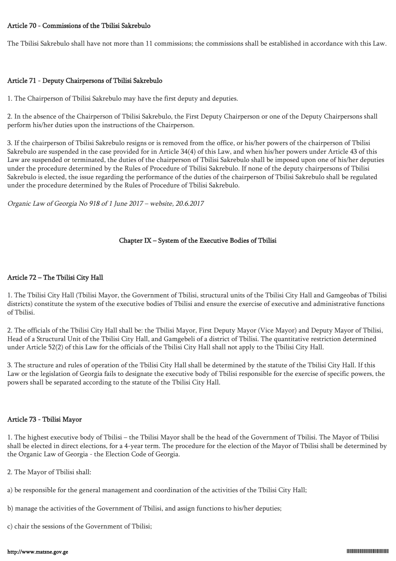#### Article 70 - Commissions of the Tbilisi Sakrebulo

The Tbilisi Sakrebulo shall have not more than 11 commissions; the commissions shall be established in accordance with this Law.

#### Article 71 - Deputy Chairpersons of Tbilisi Sakrebulo

1. The Chairperson of Tbilisi Sakrebulo may have the first deputy and deputies.

2. In the absence of the Chairperson of Tbilisi Sakrebulo, the First Deputy Chairperson or one of the Deputy Chairpersons shall perform his/her duties upon the instructions of the Chairperson.

3. If the chairperson of Tbilisi Sakrebulo resigns or is removed from the office, or his/her powers of the chairperson of Tbilisi Sakrebulo are suspended in the case provided for in Article 34(4) of this Law, and when his/her powers under Article 43 of this Law are suspended or terminated, the duties of the chairperson of Tbilisi Sakrebulo shall be imposed upon one of his/her deputies under the procedure determined by the Rules of Procedure of Tbilisi Sakrebulo. If none of the deputy chairpersons of Tbilisi Sakrebulo is elected, the issue regarding the performance of the duties of the chairperson of Tbilisi Sakrebulo shall be regulated under the procedure determined by the Rules of Procedure of Tbilisi Sakrebulo.

Organic Law of Georgia No 918 of 1 June 2017 – website, 20.6.2017

### Chapter IX – System of the Executive Bodies of Tbilisi

### Article 72 – The Tbilisi City Hall

1. The Tbilisi City Hall (Tbilisi Mayor, the Government of Tbilisi, structural units of the Tbilisi City Hall and Gamgeobas of Tbilisi districts) constitute the system of the executive bodies of Tbilisi and ensure the exercise of executive and administrative functions of Tbilisi.

2. The officials of the Tbilisi City Hall shall be: the Tbilisi Mayor, First Deputy Mayor (Vice Mayor) and Deputy Mayor of Tbilisi, Head of a Structural Unit of the Tbilisi City Hall, and Gamgebeli of a district of Tbilisi. The quantitative restriction determined under Article 52(2) of this Law for the officials of the Tbilisi City Hall shall not apply to the Tbilisi City Hall.

3. The structure and rules of operation of the Tbilisi City Hall shall be determined by the statute of the Tbilisi City Hall. If this Law or the legislation of Georgia fails to designate the executive body of Tbilisi responsible for the exercise of specific powers, the powers shall be separated according to the statute of the Tbilisi City Hall.

#### Article 73 - Tbilisi Mayor

1. The highest executive body of Tbilisi – the Tbilisi Mayor shall be the head of the Government of Tbilisi. The Mayor of Tbilisi shall be elected in direct elections, for a 4-year term. The procedure for the election of the Mayor of Tbilisi shall be determined by the Organic Law of Georgia - the Election Code of Georgia.

- 2. The Mayor of Tbilisi shall:
- a) be responsible for the general management and coordination of the activities of the Tbilisi City Hall;
- b) manage the activities of the Government of Tbilisi, and assign functions to his/her deputies;
- c) chair the sessions of the Government of Tbilisi;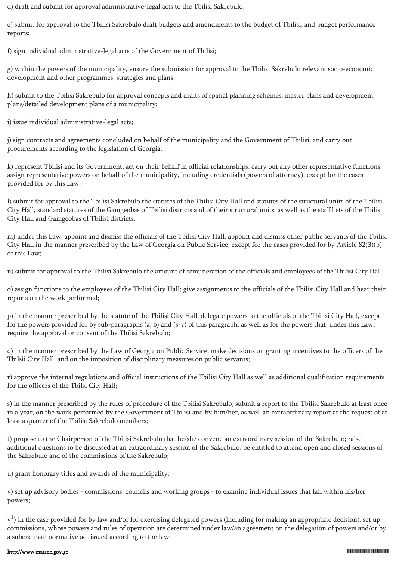d) draft and submit for approval administrative-legal acts to the Tbilisi Sakrebulo;

e) submit for approval to the Tbilisi Sakrebulo draft budgets and amendments to the budget of Tbilisi, and budget performance reports;

f) sign individual administrative-legal acts of the Government of Tbilisi;

g) within the powers of the municipality, ensure the submission for approval to the Tbilisi Sakrebulo relevant socio-economic development and other programmes, strategies and plans;

h) submit to the Tbilisi Sakrebulo for approval concepts and drafts of spatial planning schemes, master plans and development plans/detailed development plans of a municipality;

i) issue individual administrative-legal acts;

j) sign contracts and agreements concluded on behalf of the municipality and the Government of Tbilisi, and carry out procurements according to the legislation of Georgia;

k) represent Tbilisi and its Government, act on their behalf in official relationships, carry out any other representative functions, assign representative powers on behalf of the municipality, including credentials (powers of attorney), except for the cases provided for by this Law;

l) submit for approval to the Tbilisi Sakrebulo the statutes of the Tbilisi City Hall and statutes of the structural units of the Tbilisi City Hall, standard statutes of the Gamgeobas of Tbilisi districts and of their structural units, as well as the staff lists of the Tbilisi City Hall and Gamgeobas of Tbilisi districts;

m) under this Law, appoint and dismiss the officials of the Tbilisi City Hall; appoint and dismiss other public servants of the Tbilisi City Hall in the manner prescribed by the Law of Georgia on Public Service, except for the cases provided for by Article 82(3)(b) of this Law;

n) submit for approval to the Tbilisi Sakrebulo the amount of remuneration of the officials and employees of the Tbilisi City Hall;

o) assign functions to the employees of the Tbilisi City Hall; give assignments to the officials of the Tbilisi City Hall and hear their reports on the work performed;

p) in the manner prescribed by the statute of the Tbilisi City Hall, delegate powers to the officials of the Tbilisi City Hall, except for the powers provided for by sub-paragraphs (a, b) and (s-v) of this paragraph, as well as for the powers that, under this Law, require the approval or consent of the Tbilisi Sakrebulo;

q) in the manner prescribed by the Law of Georgia on Public Service, make decisions on granting incentives to the officers of the Tbilsii City Hall, and on the imposition of disciplinary measures on public servants;

r) approve the internal regulations and official instructions of the Tbilisi City Hall as well as additional qualification requirements for the officers of the Tbilsi City Hall;

s) in the manner prescribed by the rules of procedure of the Tbilisi Sakrebulo, submit a report to the Tbilisi Sakrebulo at least once in a year, on the work performed by the Government of Tbilisi and by him/her, as well an extraordinary report at the request of at least a quarter of the Tbilisi Sakrebulo members;

t) propose to the Chairperson of the Tbilisi Sakrebulo that he/she convene an extraordinary session of the Sakrebulo; raise additional questions to be discussed at an extraordinary session of the Sakrebulo; be entitled to attend open and closed sessions of the Sakrebulo and of the commissions of the Sakrebulo;

u) grant honorary titles and awards of the municipality;

v) set up advisory bodies - commissions, councils and working groups - to examine individual issues that fall within his/her powers;

 $\rm{v}^1$ ) in the case provided for by law and/or for exercising delegated powers (including for making an appropriate decision), set up commissions, whose powers and rules of operation are determined under law/an agreement on the delegation of powers and/or by a subordinate normative act issued according to the law;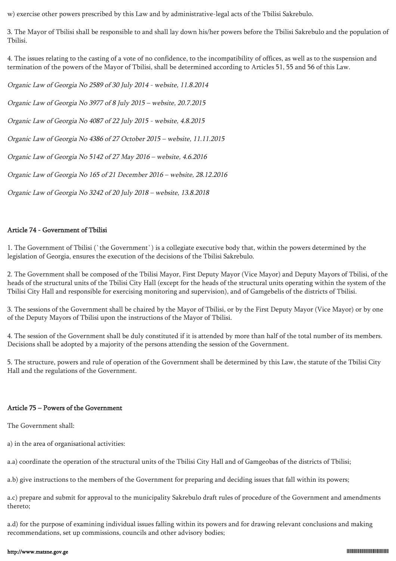w) exercise other powers prescribed by this Law and by administrative-legal acts of the Tbilisi Sakrebulo.

3. The Mayor of Tbilisi shall be responsible to and shall lay down his/her powers before the Tbilisi Sakrebulo and the population of Tbilisi.

4. The issues relating to the casting of a vote of no confidence, to the incompatibility of offices, as well as to the suspension and termination of the powers of the Mayor of Tbilisi, shall be determined according to Articles 51, 55 and 56 of this Law.

Organic Law of Georgia No 2589 of 30 July 2014 - website, 11.8.2014

Organic Law of Georgia No 3977 of 8 July 2015 – website, 20.7.2015

Organic Law of Georgia No 4087 of 22 July 2015 - website, 4.8.2015

Organic Law of Georgia No 4386 of 27 October 2015 – website, 11.11.2015

Organic Law of Georgia No 5142 of 27 May 2016 – website, 4.6.2016

Organic Law of Georgia No 165 of 21 December 2016 – website, 28.12.2016

Organic Law of Georgia No 3242 of 20 July 2018 – website, 13.8.2018

### Article 74 - Government of Tbilisi

1. The Government of Tbilisi (`the Government`) is a collegiate executive body that, within the powers determined by the legislation of Georgia, ensures the execution of the decisions of the Tbilisi Sakrebulo.

2. The Government shall be composed of the Tbilisi Mayor, First Deputy Mayor (Vice Mayor) and Deputy Mayors of Tbilisi, of the heads of the structural units of the Tbilisi City Hall (except for the heads of the structural units operating within the system of the Tbilisi City Hall and responsible for exercising monitoring and supervision), and of Gamgebelis of the districts of Tbilisi.

3. The sessions of the Government shall be chaired by the Mayor of Tbilisi, or by the First Deputy Mayor (Vice Mayor) or by one of the Deputy Mayors of Tbilisi upon the instructions of the Mayor of Tbilisi.

4. The session of the Government shall be duly constituted if it is attended by more than half of the total number of its members. Decisions shall be adopted by a majority of the persons attending the session of the Government.

5. The structure, powers and rule of operation of the Government shall be determined by this Law, the statute of the Tbilisi City Hall and the regulations of the Government.

#### Article 75 – Powers of the Government

The Government shall:

a) in the area of organisational activities:

a.a) coordinate the operation of the structural units of the Tbilisi City Hall and of Gamgeobas of the districts of Tbilisi;

a.b) give instructions to the members of the Government for preparing and deciding issues that fall within its powers;

a.c) prepare and submit for approval to the municipality Sakrebulo draft rules of procedure of the Government and amendments thereto;

a.d) for the purpose of examining individual issues falling within its powers and for drawing relevant conclusions and making recommendations, set up commissions, councils and other advisory bodies;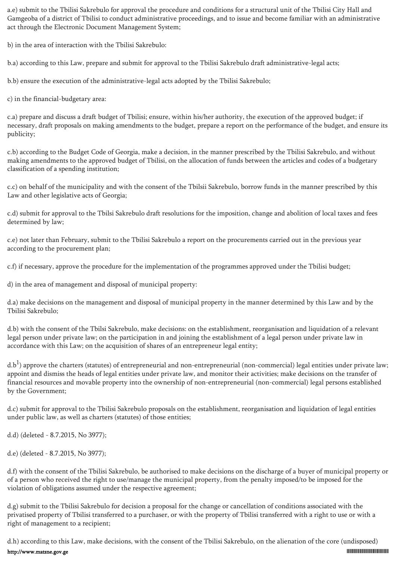a.e) submit to the Tbilisi Sakrebulo for approval the procedure and conditions for a structural unit of the Tbilisi City Hall and Gamgeoba of a district of Tbilisi to conduct administrative proceedings, and to issue and become familiar with an administrative act through the Electronic Document Management System;

b) in the area of interaction with the Tbilisi Sakrebulo:

b.a) according to this Law, prepare and submit for approval to the Tbilisi Sakrebulo draft administrative-legal acts;

b.b) ensure the execution of the administrative-legal acts adopted by the Tbilisi Sakrebulo;

c) in the financial-budgetary area:

c.a) prepare and discuss a draft budget of Tbilisi; ensure, within his/her authority, the execution of the approved budget; if necessary, draft proposals on making amendments to the budget, prepare a report on the performance of the budget, and ensure its publicity;

c.b) according to the Budget Code of Georgia, make a decision, in the manner prescribed by the Tbilisi Sakrebulo, and without making amendments to the approved budget of Tbilisi, on the allocation of funds between the articles and codes of a budgetary classification of a spending institution;

c.c) on behalf of the municipality and with the consent of the Tbilsii Sakrebulo, borrow funds in the manner prescribed by this Law and other legislative acts of Georgia;

c.d) submit for approval to the Tbilsi Sakrebulo draft resolutions for the imposition, change and abolition of local taxes and fees determined by law;

c.e) not later than February, submit to the Tbilisi Sakrebulo a report on the procurements carried out in the previous year according to the procurement plan;

c.f) if necessary, approve the procedure for the implementation of the programmes approved under the Tbilisi budget;

d) in the area of management and disposal of municipal property:

d.a) make decisions on the management and disposal of municipal property in the manner determined by this Law and by the Tbilisi Sakrebulo;

d.b) with the consent of the Tbilsi Sakrebulo, make decisions: on the establishment, reorganisation and liquidation of a relevant legal person under private law; on the participation in and joining the establishment of a legal person under private law in accordance with this Law; on the acquisition of shares of an entrepreneur legal entity;

d.b<sup>1</sup>) approve the charters (statutes) of entrepreneurial and non-entrepreneurial (non-commercial) legal entities under private law; appoint and dismiss the heads of legal entities under private law, and monitor their activities; make decisions on the transfer of financial resources and movable property into the ownership of non-entrepreneurial (non-commercial) legal persons established by the Government;

d.c) submit for approval to the Tbilisi Sakrebulo proposals on the establishment, reorganisation and liquidation of legal entities under public law, as well as charters (statutes) of those entities;

d.d) (deleted - 8.7.2015, No 3977);

d.e) (deleted - 8.7.2015, No 3977);

d.f) with the consent of the Tbilisi Sakrebulo, be authorised to make decisions on the discharge of a buyer of municipal property or of a person who received the right to use/manage the municipal property, from the penalty imposed/to be imposed for the violation of obligations assumed under the respective agreement;

d.g) submit to the Tbilisi Sakrebulo for decision a proposal for the change or cancellation of conditions associated with the privatised property of Tbilisi transferred to a purchaser, or with the property of Tbilisi transferred with a right to use or with a right of management to a recipient;

d.h) according to this Law, make decisions, with the consent of the Tbilisi Sakrebulo, on the alienation of the core (undisposed)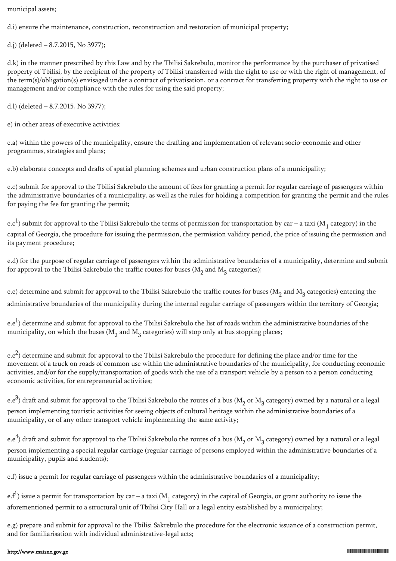municipal assets;

d.i) ensure the maintenance, construction, reconstruction and restoration of municipal property;

d.j) (deleted – 8.7.2015, No 3977);

d.k) in the manner prescribed by this Law and by the Tbilisi Sakrebulo, monitor the performance by the purchaser of privatised property of Tbilisi, by the recipient of the property of Tbilisi transferred with the right to use or with the right of management, of the term(s)/obligation(s) envisaged under a contract of privatisation, or a contract for transferring property with the right to use or management and/or compliance with the rules for using the said property;

d.l) (deleted – 8.7.2015, No 3977);

e) in other areas of executive activities:

e.a) within the powers of the municipality, ensure the drafting and implementation of relevant socio-economic and other programmes, strategies and plans;

e.b) elaborate concepts and drafts of spatial planning schemes and urban construction plans of a municipality;

e.c) submit for approval to the Tbilisi Sakrebulo the amount of fees for granting a permit for regular carriage of passengers within the administrative boundaries of a municipality, as well as the rules for holding a competition for granting the permit and the rules for paying the fee for granting the permit;

e.c $^1$ ) submit for approval to the Tbilisi Sakrebulo the terms of permission for transportation by car – a taxi (M<sub>1</sub> category) in the capital of Georgia, the procedure for issuing the permission, the permission validity period, the price of issuing the permission and its payment procedure;

e.d) for the purpose of regular carriage of passengers within the administrative boundaries of a municipality, determine and submit for approval to the Tbilisi Sakrebulo the traffic routes for buses ( $\mathrm{M}_2$  and  $\mathrm{M}_3$  categories);

e.e) determine and submit for approval to the Tbilisi Sakrebulo the traffic routes for buses ( $M^{}_2$  and  $M^{}_3$  categories) entering the administrative boundaries of the municipality during the internal regular carriage of passengers within the territory of Georgia;

e.e $^{\rm l)}$  determine and submit for approval to the Tbilisi Sakrebulo the list of roads within the administrative boundaries of the municipality, on which the buses ( $M^2_{2}$  and  $M^3_{3}$  categories) will stop only at bus stopping places;

e.e<sup>2</sup>) determine and submit for approval to the Tbilisi Sakrebulo the procedure for defining the place and/or time for the movement of a truck on roads of common use within the administrative boundaries of the municipality, for conducting economic activities, and/or for the supply/transportation of goods with the use of a transport vehicle by a person to a person conducting economic activities, for entrepreneurial activities;

e.e $^3$ ) draft and submit for approval to the Tbilisi Sakrebulo the routes of a bus (M<sub>2</sub> or M<sub>3</sub> category) owned by a natural or a legal person implementing touristic activities for seeing objects of cultural heritage within the administrative boundaries of a municipality, or of any other transport vehicle implementing the same activity;

e.e<sup>4</sup>) draft and submit for approval to the Tbilisi Sakrebulo the routes of a bus (M<sub>2</sub> or M<sub>3</sub> category) owned by a natural or a legal person implementing a special regular carriage (regular carriage of persons employed within the administrative boundaries of a municipality, pupils and students);

e.f) issue a permit for regular carriage of passengers within the administrative boundaries of a municipality;

e.f $^1$ ) issue a permit for transportation by car – a taxi (M<sub>1</sub> category) in the capital of Georgia, or grant authority to issue the aforementioned permit to a structural unit of Tbilisi City Hall or a legal entity established by a municipality;

e.g) prepare and submit for approval to the Tbilisi Sakrebulo the procedure for the electronic issuance of a construction permit, and for familiarisation with individual administrative-legal acts;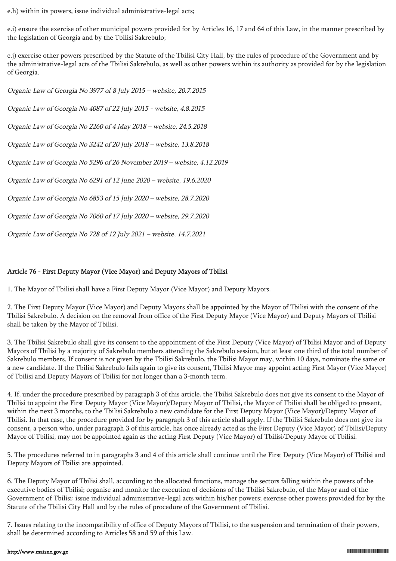e.h) within its powers, issue individual administrative-legal acts;

e.i) ensure the exercise of other municipal powers provided for by Articles 16, 17 and 64 of this Law, in the manner prescribed by the legislation of Georgia and by the Tbilisi Sakrebulo;

e.j) exercise other powers prescribed by the Statute of the Tbilisi City Hall, by the rules of procedure of the Government and by the administrative-legal acts of the Tbilisi Sakrebulo, as well as other powers within its authority as provided for by the legislation of Georgia.

Organic Law of Georgia No 3977 of 8 July 2015 – website, 20.7.2015 Organic Law of Georgia No 4087 of 22 July 2015 - website, 4.8.2015 Organic Law of Georgia No 2260 of 4 May 2018 – website, 24.5.2018 Organic Law of Georgia No 3242 of 20 July 2018 – website, 13.8.2018 Organic Law of Georgia No 5296 of 26 November 2019 – website, 4.12.2019 Organic Law of Georgia No 6291 of 12 June 2020 – website, 19.6.2020 Organic Law of Georgia No 6853 of 15 July 2020 – website, 28.7.2020 Organic Law of Georgia No 7060 of 17 July 2020 – website, 29.7.2020 Organic Law of Georgia No 728 of 12 July 2021 – website, 14.7.2021

## Article 76 - First Deputy Mayor (Vice Mayor) and Deputy Mayors of Tbilisi

1. The Mayor of Tbilisi shall have a First Deputy Mayor (Vice Mayor) and Deputy Mayors.

2. The First Deputy Mayor (Vice Mayor) and Deputy Mayors shall be appointed by the Mayor of Tbilisi with the consent of the Tbilisi Sakrebulo. A decision on the removal from office of the First Deputy Mayor (Vice Mayor) and Deputy Mayors of Tbilisi shall be taken by the Mayor of Tbilisi.

3. The Tbilisi Sakrebulo shall give its consent to the appointment of the First Deputy (Vice Mayor) of Tbilisi Mayor and of Deputy Mayors of Tbilisi by a majority of Sakrebulo members attending the Sakrebulo session, but at least one third of the total number of Sakrebulo members. If consent is not given by the Tbilisi Sakrebulo, the Tbilisi Mayor may, within 10 days, nominate the same or a new candidate. If the Tbilisi Sakrebulo fails again to give its consent, Tbilisi Mayor may appoint acting First Mayor (Vice Mayor) of Tbilisi and Deputy Mayors of Tbilisi for not longer than a 3-month term.

4. If, under the procedure prescribed by paragraph 3 of this article, the Tbilisi Sakrebulo does not give its consent to the Mayor of Tbilisi to appoint the First Deputy Mayor (Vice Mayor)/Deputy Mayor of Tbilisi, the Mayor of Tbilisi shall be obliged to present, within the next 3 months, to the Tbilisi Sakrebulo a new candidate for the First Deputy Mayor (Vice Mayor)/Deputy Mayor of Tbilisi. In that case, the procedure provided for by paragraph 3 of this article shall apply. If the Tbilisi Sakrebulo does not give its consent, a person who, under paragraph 3 of this article, has once already acted as the First Deputy (Vice Mayor) of Tbilisi/Deputy Mayor of Tbilisi, may not be appointed again as the acting First Deputy (Vice Mayor) of Tbilisi/Deputy Mayor of Tbilisi.

5. The procedures referred to in paragraphs 3 and 4 of this article shall continue until the First Deputy (Vice Mayor) of Tbilisi and Deputy Mayors of Tbilisi are appointed.

6. The Deputy Mayor of Tbilisi shall, according to the allocated functions, manage the sectors falling within the powers of the executive bodies of Tbilisi; organise and monitor the execution of decisions of the Tbilisi Sakrebulo, of the Mayor and of the Government of Tbilisi; issue individual administrative-legal acts within his/her powers; exercise other powers provided for by the Statute of the Tbilisi City Hall and by the rules of procedure of the Government of Tbilisi.

7. Issues relating to the incompatibility of office of Deputy Mayors of Tbilisi, to the suspension and termination of their powers, shall be determined according to Articles 58 and 59 of this Law.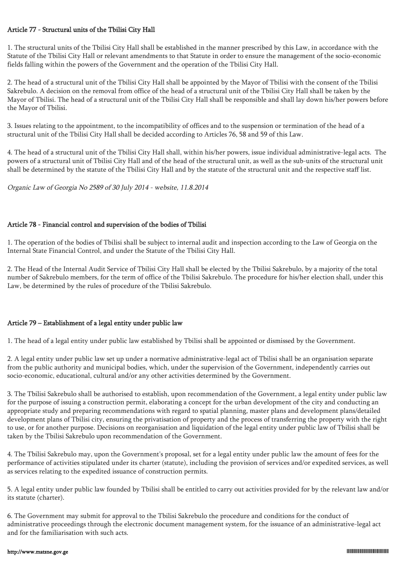## Article 77 - Structural units of the Tbilisi City Hall

1. The structural units of the Tbilisi City Hall shall be established in the manner prescribed by this Law, in accordance with the Statute of the Tbilisi City Hall or relevant amendments to that Statute in order to ensure the management of the socio-economic fields falling within the powers of the Government and the operation of the Tbilisi City Hall.

2. The head of a structural unit of the Tbilisi City Hall shall be appointed by the Mayor of Tbilisi with the consent of the Tbilisi Sakrebulo. A decision on the removal from office of the head of a structural unit of the Tbilisi City Hall shall be taken by the Mayor of Tbilisi. The head of a structural unit of the Tbilisi City Hall shall be responsible and shall lay down his/her powers before the Mayor of Tbilisi.

3. Issues relating to the appointment, to the incompatibility of offices and to the suspension or termination of the head of a structural unit of the Tbilisi City Hall shall be decided according to Articles 76, 58 and 59 of this Law.

4. The head of a structural unit of the Tbilisi City Hall shall, within his/her powers, issue individual administrative-legal acts. The powers of a structural unit of Tbilisi City Hall and of the head of the structural unit, as well as the sub-units of the structural unit shall be determined by the statute of the Tbilisi City Hall and by the statute of the structural unit and the respective staff list.

Organic Law of Georgia No 2589 of 30 July 2014 - website, 11.8.2014

### Article 78 - Financial control and supervision of the bodies of Tbilisi

1. The operation of the bodies of Tbilisi shall be subject to internal audit and inspection according to the Law of Georgia on the Internal State Financial Control, and under the Statute of the Tbilisi City Hall.

2. The Head of the Internal Audit Service of Tbilisi City Hall shall be elected by the Tbilisi Sakrebulo, by a majority of the total number of Sakrebulo members, for the term of office of the Tbilisi Sakrebulo. The procedure for his/her election shall, under this Law, be determined by the rules of procedure of the Tbilisi Sakrebulo.

## Article 79 – Establishment of a legal entity under public law

1. The head of a legal entity under public law established by Tbilisi shall be appointed or dismissed by the Government.

2. A legal entity under public law set up under a normative administrative-legal act of Tbilisi shall be an organisation separate from the public authority and municipal bodies, which, under the supervision of the Government, independently carries out socio-economic, educational, cultural and/or any other activities determined by the Government.

3. The Tbilisi Sakrebulo shall be authorised to establish, upon recommendation of the Government, a legal entity under public law for the purpose of issuing a construction permit, elaborating a concept for the urban development of the city and conducting an appropriate study and preparing recommendations with regard to spatial planning, master plans and development plans/detailed development plans of Tbilisi city, ensuring the privatisation of property and the process of transferring the property with the right to use, or for another purpose. Decisions on reorganisation and liquidation of the legal entity under public law of Tbilisi shall be taken by the Tbilisi Sakrebulo upon recommendation of the Government.

4. The Tbilisi Sakrebulo may, upon the Government's proposal, set for a legal entity under public law the amount of fees for the performance of activities stipulated under its charter (statute), including the provision of services and/or expedited services, as well as services relating to the expedited issuance of construction permits.

5. A legal entity under public law founded by Tbilisi shall be entitled to carry out activities provided for by the relevant law and/or its statute (charter).

6. The Government may submit for approval to the Tbilisi Sakrebulo the procedure and conditions for the conduct of administrative proceedings through the electronic document management system, for the issuance of an administrative-legal act and for the familiarisation with such acts.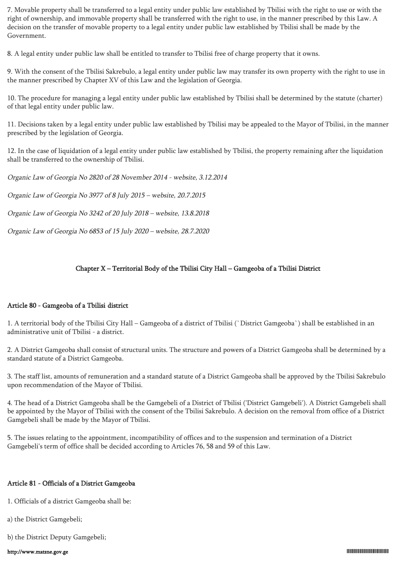7. Movable property shall be transferred to a legal entity under public law established by Tbilisi with the right to use or with the right of ownership, and immovable property shall be transferred with the right to use, in the manner prescribed by this Law. A decision on the transfer of movable property to a legal entity under public law established by Tbilisi shall be made by the Government.

8. A legal entity under public law shall be entitled to transfer to Tbilisi free of charge property that it owns.

9. With the consent of the Tbilisi Sakrebulo, a legal entity under public law may transfer its own property with the right to use in the manner prescribed by Chapter XV of this Law and the legislation of Georgia.

10. The procedure for managing a legal entity under public law established by Tbilisi shall be determined by the statute (charter) of that legal entity under public law.

11. Decisions taken by a legal entity under public law established by Tbilisi may be appealed to the Mayor of Tbilisi, in the manner prescribed by the legislation of Georgia.

12. In the case of liquidation of a legal entity under public law established by Tbilisi, the property remaining after the liquidation shall be transferred to the ownership of Tbilisi.

Organic Law of Georgia No 2820 of 28 November 2014 - website, 3.12.2014

Organic Law of Georgia No 3977 of 8 July 2015 – website, 20.7.2015

Organic Law of Georgia No 3242 of 20 July 2018 – website, 13.8.2018

Organic Law of Georgia No 6853 of 15 July 2020 – website, 28.7.2020

## Chapter X – Territorial Body of the Tbilisi City Hall – Gamgeoba of a Tbilisi District

#### Article 80 - Gamgeoba of a Tbilisi district

1. A territorial body of the Tbilisi City Hall – Gamgeoba of a district of Tbilisi (`District Gamgeoba`) shall be established in an administrative unit of Tbilisi - a district.

2. A District Gamgeoba shall consist of structural units. The structure and powers of a District Gamgeoba shall be determined by a standard statute of a District Gamgeoba.

3. The staff list, amounts of remuneration and a standard statute of a District Gamgeoba shall be approved by the Tbilisi Sakrebulo upon recommendation of the Mayor of Tbilisi.

4. The head of a District Gamgeoba shall be the Gamgebeli of a District of Tbilisi ('District Gamgebeli'). A District Gamgebeli shall be appointed by the Mayor of Tbilisi with the consent of the Tbilisi Sakrebulo. A decision on the removal from office of a District Gamgebeli shall be made by the Mayor of Tbilisi.

5. The issues relating to the appointment, incompatibility of offices and to the suspension and termination of a District Gamgebeli's term of office shall be decided according to Articles 76, 58 and 59 of this Law.

## Article 81 - Officials of a District Gamgeoba

1. Officials of a district Gamgeoba shall be:

a) the District Gamgebeli;

b) the District Deputy Gamgebeli;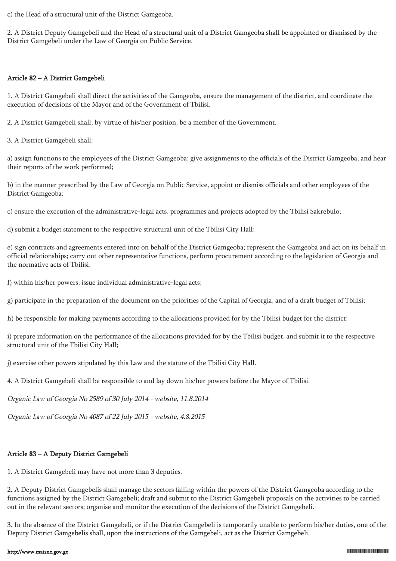c) the Head of a structural unit of the District Gamgeoba.

2. A District Deputy Gamgebeli and the Head of a structural unit of a District Gamgeoba shall be appointed or dismissed by the District Gamgebeli under the Law of Georgia on Public Service.

#### Article 82 – A District Gamgebeli

1. A District Gamgebeli shall direct the activities of the Gamgeoba, ensure the management of the district, and coordinate the execution of decisions of the Mayor and of the Government of Tbilisi.

2. A District Gamgebeli shall, by virtue of his/her position, be a member of the Government.

3. A District Gamgebeli shall:

a) assign functions to the employees of the District Gamgeoba; give assignments to the officials of the District Gamgeoba, and hear their reports of the work performed;

b) in the manner prescribed by the Law of Georgia on Public Service, appoint or dismiss officials and other employees of the District Gamgeoba;

c) ensure the execution of the administrative-legal acts, programmes and projects adopted by the Tbilisi Sakrebulo;

d) submit a budget statement to the respective structural unit of the Tbilisi City Hall;

e) sign contracts and agreements entered into on behalf of the District Gamgeoba; represent the Gamgeoba and act on its behalf in official relationships; carry out other representative functions, perform procurement according to the legislation of Georgia and the normative acts of Tbilisi;

f) within his/her powers, issue individual administrative-legal acts;

g) participate in the preparation of the document on the priorities of the Capital of Georgia, and of a draft budget of Tbilisi;

h) be responsible for making payments according to the allocations provided for by the Tbilisi budget for the district;

i) prepare information on the performance of the allocations provided for by the Tbilisi budget, and submit it to the respective structural unit of the Tbilisi City Hall;

j) exercise other powers stipulated by this Law and the statute of the Tbilisi City Hall.

4. A District Gamgebeli shall be responsible to and lay down his/her powers before the Mayor of Tbilisi.

Organic Law of Georgia No 2589 of 30 July 2014 - website, 11.8.2014

Organic Law of Georgia No 4087 of 22 July 2015 - website, 4.8.2015

# Article 83 – A Deputy District Gamgebeli

1. A District Gamgebeli may have not more than 3 deputies.

2. A Deputy District Gamgebelis shall manage the sectors falling within the powers of the District Gamgeoba according to the functions assigned by the District Gamgebeli; draft and submit to the District Gamgebeli proposals on the activities to be carried out in the relevant sectors; organise and monitor the execution of the decisions of the District Gamgebeli.

3. In the absence of the District Gamgebeli, or if the District Gamgebeli is temporarily unable to perform his/her duties, one of the Deputy District Gamgebelis shall, upon the instructions of the Gamgebeli, act as the District Gamgebeli.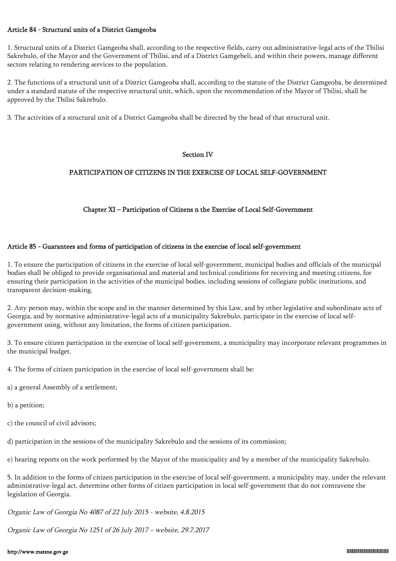#### Article 84 - Structural units of a District Gamgeoba

1. Structural units of a District Gamgeoba shall, according to the respective fields, carry out administrative-legal acts of the Tbilisi Sakrebulo, of the Mayor and the Government of Tbilisi, and of a District Gamgebeli, and within their powers, manage different sectors relating to rendering services to the population.

2. The functions of a structural unit of a District Gamgeoba shall, according to the statute of the District Gamgeoba, be determined under a standard statute of the respective structural unit, which, upon the recommendation of the Mayor of Tbilisi, shall be approved by the Tbilisi Sakrebulo.

3. The activities of a structural unit of a District Gamgeoba shall be directed by the head of that structural unit.

#### Section IV

#### PARTICIPATION OF CITIZENS IN THE EXERCISE OF LOCAL SELF-GOVERNMENT

### Chapter XI – Participation of Citizens n the Exercise of Local Self-Government

#### Article 85 - Guarantees and forms of participation of citizens in the exercise of local self-government

1. To ensure the participation of citizens in the exercise of local self-government, municipal bodies and officials of the municipal bodies shall be obliged to provide organisational and material and technical conditions for receiving and meeting citizens, for ensuring their participation in the activities of the municipal bodies, including sessions of collegiate public institutions, and transparent decision-making.

2. Any person may, within the scope and in the manner determined by this Law, and by other legislative and subordinate acts of Georgia, and by normative administrative-legal acts of a municipality Sakrebulo, participate in the exercise of local selfgovernment using, without any limitation, the forms of citizen participation.

3. To ensure citizen participation in the exercise of local self-government, a municipality may incorporate relevant programmes in the municipal budget.

4. The forms of citizen participation in the exercise of local self-government shall be:

a) a general Assembly of a settlement;

b) a petition;

c) the council of civil advisors;

d) participation in the sessions of the municipality Sakrebulo and the sessions of its commission;

e) hearing reports on the work performed by the Mayor of the municipality and by a member of the municipality Sakrebulo.

5. In addition to the forms of citizen participation in the exercise of local self-government, a municipality may, under the relevant administrative-legal act, determine other forms of citizen participation in local self-government that do not contravene the legislation of Georgia.

Organic Law of Georgia No 4087 of 22 July 2015 - website, 4.8.2015

Organic Law of Georgia No 1251 of 26 July 2017 – website, 29.7.2017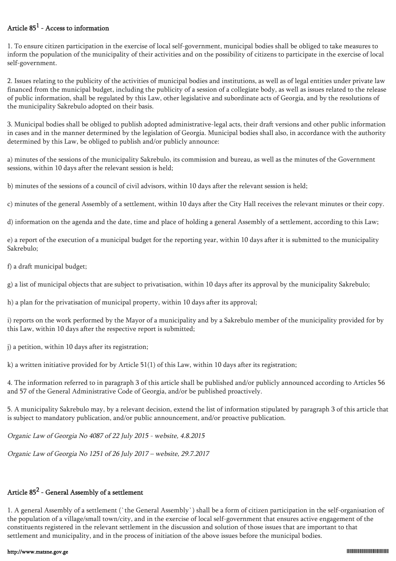## Article  $85^1$  - Access to information

1. To ensure citizen participation in the exercise of local self-government, municipal bodies shall be obliged to take measures to inform the population of the municipality of their activities and on the possibility of citizens to participate in the exercise of local self-government.

2. Issues relating to the publicity of the activities of municipal bodies and institutions, as well as of legal entities under private law financed from the municipal budget, including the publicity of a session of a collegiate body, as well as issues related to the release of public information, shall be regulated by this Law, other legislative and subordinate acts of Georgia, and by the resolutions of the municipality Sakrebulo adopted on their basis.

3. Municipal bodies shall be obliged to publish adopted administrative-legal acts, their draft versions and other public information in cases and in the manner determined by the legislation of Georgia. Municipal bodies shall also, in accordance with the authority determined by this Law, be obliged to publish and/or publicly announce:

a) minutes of the sessions of the municipality Sakrebulo, its commission and bureau, as well as the minutes of the Government sessions, within 10 days after the relevant session is held;

b) minutes of the sessions of a council of civil advisors, within 10 days after the relevant session is held;

c) minutes of the general Assembly of a settlement, within 10 days after the City Hall receives the relevant minutes or their copy.

d) information on the agenda and the date, time and place of holding a general Assembly of a settlement, according to this Law;

e) a report of the execution of a municipal budget for the reporting year, within 10 days after it is submitted to the municipality Sakrebulo;

f) a draft municipal budget;

g) a list of municipal objects that are subject to privatisation, within 10 days after its approval by the municipality Sakrebulo;

h) a plan for the privatisation of municipal property, within 10 days after its approval;

i) reports on the work performed by the Mayor of a municipality and by a Sakrebulo member of the municipality provided for by this Law, within 10 days after the respective report is submitted;

j) a petition, within 10 days after its registration;

k) a written initiative provided for by Article 51(1) of this Law, within 10 days after its registration;

4. The information referred to in paragraph 3 of this article shall be published and/or publicly announced according to Articles 56 and 57 of the General Administrative Code of Georgia, and/or be published proactively.

5. A municipality Sakrebulo may, by a relevant decision, extend the list of information stipulated by paragraph 3 of this article that is subject to mandatory publication, and/or public announcement, and/or proactive publication.

Organic Law of Georgia No 4087 of 22 July 2015 - website, 4.8.2015

Organic Law of Georgia No 1251 of 26 July 2017 – website, 29.7.2017

# Article 85 $^2$  - General Assembly of a settlement

1. A general Assembly of a settlement (`the General Assembly`) shall be a form of citizen participation in the self-organisation of the population of a village/small town/city, and in the exercise of local self-government that ensures active engagement of the constituents registered in the relevant settlement in the discussion and solution of those issues that are important to that settlement and municipality, and in the process of initiation of the above issues before the municipal bodies.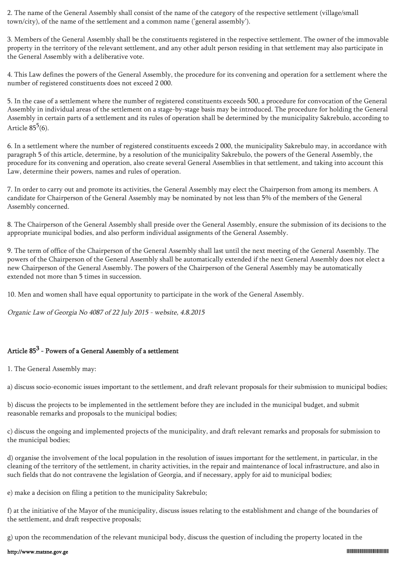2. The name of the General Assembly shall consist of the name of the category of the respective settlement (village/small town/city), of the name of the settlement and a common name ('general assembly').

3. Members of the General Assembly shall be the constituents registered in the respective settlement. The owner of the immovable property in the territory of the relevant settlement, and any other adult person residing in that settlement may also participate in the General Assembly with a deliberative vote.

4. This Law defines the powers of the General Assembly, the procedure for its convening and operation for a settlement where the number of registered constituents does not exceed 2 000.

5. In the case of a settlement where the number of registered constituents exceeds 500, a procedure for convocation of the General Assembly in individual areas of the settlement on a stage-by-stage basis may be introduced. The procedure for holding the General Assembly in certain parts of a settlement and its rules of operation shall be determined by the municipality Sakrebulo, according to Article  $85^5(6)$ .

6. In a settlement where the number of registered constituents exceeds 2 000, the municipality Sakrebulo may, in accordance with paragraph 5 of this article, determine, by a resolution of the municipality Sakrebulo, the powers of the General Assembly, the procedure for its convening and operation, also create several General Assemblies in that settlement, and taking into account this Law, determine their powers, names and rules of operation.

7. In order to carry out and promote its activities, the General Assembly may elect the Chairperson from among its members. A candidate for Chairperson of the General Assembly may be nominated by not less than 5% of the members of the General Assembly concerned.

8. The Chairperson of the General Assembly shall preside over the General Assembly, ensure the submission of its decisions to the appropriate municipal bodies, and also perform individual assignments of the General Assembly.

9. The term of office of the Chairperson of the General Assembly shall last until the next meeting of the General Assembly. The powers of the Chairperson of the General Assembly shall be automatically extended if the next General Assembly does not elect a new Chairperson of the General Assembly. The powers of the Chairperson of the General Assembly may be automatically extended not more than 5 times in succession.

10. Men and women shall have equal opportunity to participate in the work of the General Assembly.

Organic Law of Georgia No 4087 of 22 July 2015 - website, 4.8.2015

# Article  $85^3$  - Powers of a General Assembly of a settlement

1. The General Assembly may:

a) discuss socio-economic issues important to the settlement, and draft relevant proposals for their submission to municipal bodies;

b) discuss the projects to be implemented in the settlement before they are included in the municipal budget, and submit reasonable remarks and proposals to the municipal bodies;

c) discuss the ongoing and implemented projects of the municipality, and draft relevant remarks and proposals for submission to the municipal bodies;

d) organise the involvement of the local population in the resolution of issues important for the settlement, in particular, in the cleaning of the territory of the settlement, in charity activities, in the repair and maintenance of local infrastructure, and also in such fields that do not contravene the legislation of Georgia, and if necessary, apply for aid to municipal bodies;

e) make a decision on filing a petition to the municipality Sakrebulo;

f) at the initiative of the Mayor of the municipality, discuss issues relating to the establishment and change of the boundaries of the settlement, and draft respective proposals;

g) upon the recommendation of the relevant municipal body, discuss the question of including the property located in the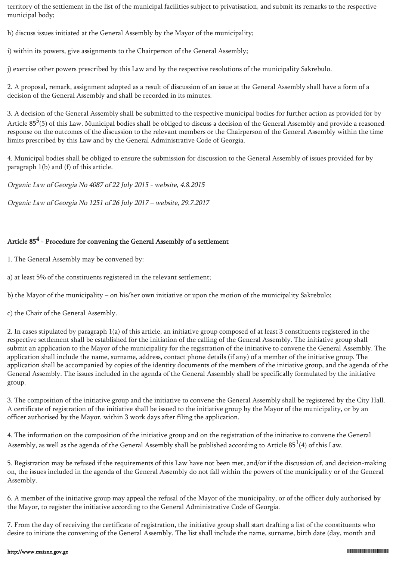territory of the settlement in the list of the municipal facilities subject to privatisation, and submit its remarks to the respective municipal body;

h) discuss issues initiated at the General Assembly by the Mayor of the municipality;

i) within its powers, give assignments to the Chairperson of the General Assembly;

j) exercise other powers prescribed by this Law and by the respective resolutions of the municipality Sakrebulo.

2. A proposal, remark, assignment adopted as a result of discussion of an issue at the General Assembly shall have a form of a decision of the General Assembly and shall be recorded in its minutes.

3. A decision of the General Assembly shall be submitted to the respective municipal bodies for further action as provided for by Article 85<sup>5</sup>(5) of this Law. Municipal bodies shall be obliged to discuss a decision of the General Assembly and provide a reasoned response on the outcomes of the discussion to the relevant members or the Chairperson of the General Assembly within the time limits prescribed by this Law and by the General Administrative Code of Georgia.

4. Municipal bodies shall be obliged to ensure the submission for discussion to the General Assembly of issues provided for by paragraph 1(b) and (f) of this article.

Organic Law of Georgia No 4087 of 22 July 2015 - website, 4.8.2015

Organic Law of Georgia No 1251 of 26 July 2017 – website, 29.7.2017

# Article  $85^4$  - Procedure for convening the General Assembly of a settlement

1. The General Assembly may be convened by:

a) at least 5% of the constituents registered in the relevant settlement;

b) the Mayor of the municipality – on his/her own initiative or upon the motion of the municipality Sakrebulo;

c) the Chair of the General Assembly.

2. In cases stipulated by paragraph 1(a) of this article, an initiative group composed of at least 3 constituents registered in the respective settlement shall be established for the initiation of the calling of the General Assembly. The initiative group shall submit an application to the Mayor of the municipality for the registration of the initiative to convene the General Assembly. The application shall include the name, surname, address, contact phone details (if any) of a member of the initiative group. The application shall be accompanied by copies of the identity documents of the members of the initiative group, and the agenda of the General Assembly. The issues included in the agenda of the General Assembly shall be specifically formulated by the initiative group.

3. The composition of the initiative group and the initiative to convene the General Assembly shall be registered by the City Hall. A certificate of registration of the initiative shall be issued to the initiative group by the Mayor of the municipality, or by an officer authorised by the Mayor, within 3 work days after filing the application.

4. The information on the composition of the initiative group and on the registration of the initiative to convene the General Assembly, as well as the agenda of the General Assembly shall be published according to Article  $85^{\rm 1}(4)$  of this Law.

5. Registration may be refused if the requirements of this Law have not been met, and/or if the discussion of, and decision-making on, the issues included in the agenda of the General Assembly do not fall within the powers of the municipality or of the General Assembly.

6. A member of the initiative group may appeal the refusal of the Mayor of the municipality, or of the officer duly authorised by the Mayor, to register the initiative according to the General Administrative Code of Georgia.

7. From the day of receiving the certificate of registration, the initiative group shall start drafting a list of the constituents who desire to initiate the convening of the General Assembly. The list shall include the name, surname, birth date (day, month and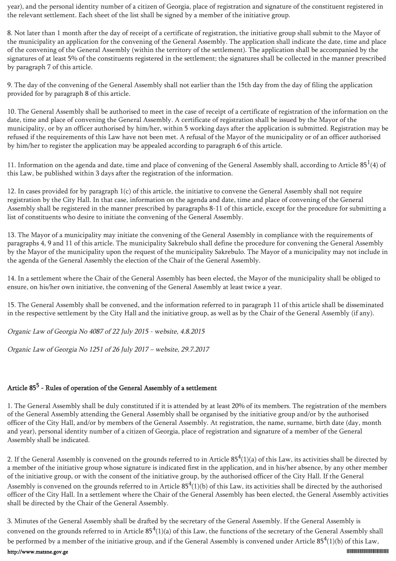year), and the personal identity number of a citizen of Georgia, place of registration and signature of the constituent registered in the relevant settlement. Each sheet of the list shall be signed by a member of the initiative group.

8. Not later than 1 month after the day of receipt of a certificate of registration, the initiative group shall submit to the Mayor of the municipality an application for the convening of the General Assembly. The application shall indicate the date, time and place of the convening of the General Assembly (within the territory of the settlement). The application shall be accompanied by the signatures of at least 5% of the constituents registered in the settlement; the signatures shall be collected in the manner prescribed by paragraph 7 of this article.

9. The day of the convening of the General Assembly shall not earlier than the 15th day from the day of filing the application provided for by paragraph 8 of this article.

10. The General Assembly shall be authorised to meet in the case of receipt of a certificate of registration of the information on the date, time and place of convening the General Assembly. A certificate of registration shall be issued by the Mayor of the municipality, or by an officer authorised by him/her, within 5 working days after the application is submitted. Registration may be refused if the requirements of this Law have not been met. A refusal of the Mayor of the municipality or of an officer authorised by him/her to register the application may be appealed according to paragraph 6 of this article.

11. Information on the agenda and date, time and place of convening of the General Assembly shall, according to Article  $85<sup>1</sup>(4)$  of this Law, be published within 3 days after the registration of the information.

12. In cases provided for by paragraph 1(c) of this article, the initiative to convene the General Assembly shall not require registration by the City Hall. In that case, information on the agenda and date, time and place of convening of the General Assembly shall be registered in the manner prescribed by paragraphs 8-11 of this article, except for the procedure for submitting a list of constituents who desire to initiate the convening of the General Assembly.

13. The Mayor of a municipality may initiate the convening of the General Assembly in compliance with the requirements of paragraphs 4, 9 and 11 of this article. The municipality Sakrebulo shall define the procedure for convening the General Assembly by the Mayor of the municipality upon the request of the municipality Sakrebulo. The Mayor of a municipality may not include in the agenda of the General Assembly the election of the Chair of the General Assembly.

14. In a settlement where the Chair of the General Assembly has been elected, the Mayor of the municipality shall be obliged to ensure, on his/her own initiative, the convening of the General Assembly at least twice a year.

15. The General Assembly shall be convened, and the information referred to in paragraph 11 of this article shall be disseminated in the respective settlement by the City Hall and the initiative group, as well as by the Chair of the General Assembly (if any).

Organic Law of Georgia No 4087 of 22 July 2015 - website, 4.8.2015

Organic Law of Georgia No 1251 of 26 July 2017 – website, 29.7.2017

# Article 85<sup>5</sup> - Rules of operation of the General Assembly of a settlement

1. The General Assembly shall be duly constituted if it is attended by at least 20% of its members. The registration of the members of the General Assembly attending the General Assembly shall be organised by the initiative group and/or by the authorised officer of the City Hall, and/or by members of the General Assembly. At registration, the name, surname, birth date (day, month and year), personal identity number of a citizen of Georgia, place of registration and signature of a member of the General Assembly shall be indicated.

2. If the General Assembly is convened on the grounds referred to in Article  $85^4$ (1)(a) of this Law, its activities shall be directed by a member of the initiative group whose signature is indicated first in the application, and in his/her absence, by any other member of the initiative group, or with the consent of the initiative group, by the authorised officer of the City Hall. If the General Assembly is convened on the grounds referred to in Article  $85^4(1)(b)$  of this Law, its activities shall be directed by the authorised officer of the City Hall. In a settlement where the Chair of the General Assembly has been elected, the General Assembly activities shall be directed by the Chair of the General Assembly.

3. Minutes of the General Assembly shall be drafted by the secretary of the General Assembly. If the General Assembly is convened on the grounds referred to in Article  $85^4$ (1)(a) of this Law, the functions of the secretary of the General Assembly shall be performed by a member of the initiative group, and if the General Assembly is convened under Article  $85^4(1)(b)$  of this Law,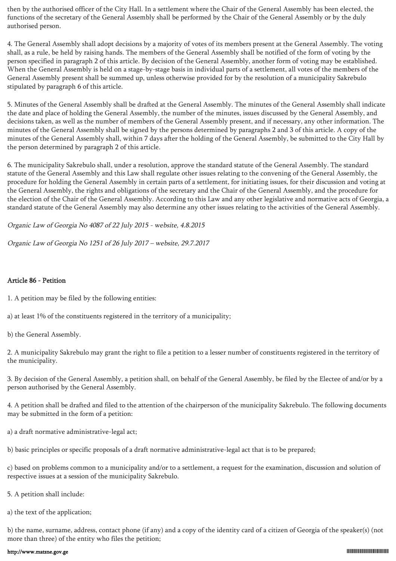then by the authorised officer of the City Hall. In a settlement where the Chair of the General Assembly has been elected, the functions of the secretary of the General Assembly shall be performed by the Chair of the General Assembly or by the duly authorised person.

4. The General Assembly shall adopt decisions by a majority of votes of its members present at the General Assembly. The voting shall, as a rule, be held by raising hands. The members of the General Assembly shall be notified of the form of voting by the person specified in paragraph 2 of this article. By decision of the General Assembly, another form of voting may be established. When the General Assembly is held on a stage-by-stage basis in individual parts of a settlement, all votes of the members of the General Assembly present shall be summed up, unless otherwise provided for by the resolution of a municipality Sakrebulo stipulated by paragraph 6 of this article.

5. Minutes of the General Assembly shall be drafted at the General Assembly. The minutes of the General Assembly shall indicate the date and place of holding the General Assembly, the number of the minutes, issues discussed by the General Assembly, and decisions taken, as well as the number of members of the General Assembly present, and if necessary, any other information. The minutes of the General Assembly shall be signed by the persons determined by paragraphs 2 and 3 of this article. A copy of the minutes of the General Assembly shall, within 7 days after the holding of the General Assembly, be submitted to the City Hall by the person determined by paragraph 2 of this article.

6. The municipality Sakrebulo shall, under a resolution, approve the standard statute of the General Assembly. The standard statute of the General Assembly and this Law shall regulate other issues relating to the convening of the General Assembly, the procedure for holding the General Assembly in certain parts of a settlement, for initiating issues, for their discussion and voting at the General Assembly, the rights and obligations of the secretary and the Chair of the General Assembly, and the procedure for the election of the Chair of the General Assembly. According to this Law and any other legislative and normative acts of Georgia, a standard statute of the General Assembly may also determine any other issues relating to the activities of the General Assembly.

Organic Law of Georgia No 4087 of 22 July 2015 - website, 4.8.2015

Organic Law of Georgia No 1251 of 26 July 2017 – website, 29.7.2017

#### Article 86 - Petition

1. A petition may be filed by the following entities:

a) at least 1% of the constituents registered in the territory of a municipality;

b) the General Assembly.

2. A municipality Sakrebulo may grant the right to file a petition to a lesser number of constituents registered in the territory of the municipality.

3. By decision of the General Assembly, a petition shall, on behalf of the General Assembly, be filed by the Electee of and/or by a person authorised by the General Assembly.

4. A petition shall be drafted and filed to the attention of the chairperson of the municipality Sakrebulo. The following documents may be submitted in the form of a petition:

a) a draft normative administrative-legal act;

b) basic principles or specific proposals of a draft normative administrative-legal act that is to be prepared;

c) based on problems common to a municipality and/or to a settlement, a request for the examination, discussion and solution of respective issues at a session of the municipality Sakrebulo.

5. A petition shall include:

a) the text of the application;

b) the name, surname, address, contact phone (if any) and a copy of the identity card of a citizen of Georgia of the speaker(s) (not more than three) of the entity who files the petition;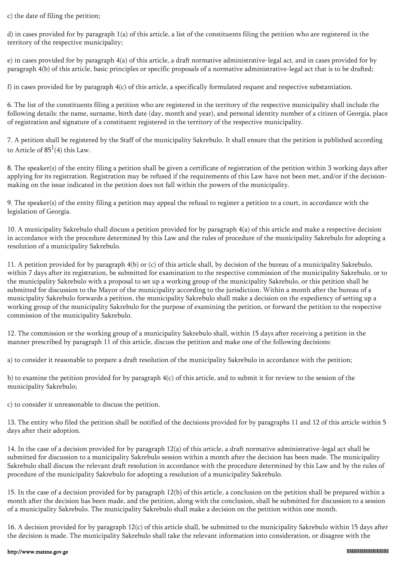c) the date of filing the petition;

d) in cases provided for by paragraph 1(a) of this article, a list of the constituents filing the petition who are registered in the territory of the respective municipality;

e) in cases provided for by paragraph 4(a) of this article, a draft normative administrative-legal act, and in cases provided for by paragraph 4(b) of this article, basic principles or specific proposals of a normative administrative-legal act that is to be drafted;

f) in cases provided for by paragraph  $4(c)$  of this article, a specifically formulated request and respective substantiation.

6. The list of the constituents filing a petition who are registered in the territory of the respective municipality shall include the following details: the name, surname, birth date (day, month and year), and personal identity number of a citizen of Georgia, place of registration and signature of a constituent registered in the territory of the respective municipality.

7. A petition shall be registered by the Staff of the municipality Sakrebulo. It shall ensure that the petition is published according to Article of  $85^1(4)$  this Law.

8. The speaker(s) of the entity filing a petition shall be given a certificate of registration of the petition within 3 working days after applying for its registration. Registration may be refused if the requirements of this Law have not been met, and/or if the decisionmaking on the issue indicated in the petition does not fall within the powers of the municipality.

9. The speaker(s) of the entity filing a petition may appeal the refusal to register a petition to a court, in accordance with the legislation of Georgia.

10. A municipality Sakrebulo shall discuss a petition provided for by paragraph 4(a) of this article and make a respective decision in accordance with the procedure determined by this Law and the rules of procedure of the municipality Sakrebulo for adopting a resolution of a municipality Sakrebulo.

11. A petition provided for by paragraph 4(b) or (c) of this article shall, by decision of the bureau of a municipality Sakrebulo, within 7 days after its registration, be submitted for examination to the respective commission of the municipality Sakrebulo, or to the municipality Sakrebulo with a proposal to set up a working group of the municipality Sakrebulo, or this petition shall be submitted for discussion to the Mayor of the municipality according to the jurisdiction. Within a month after the bureau of a municipality Sakrebulo forwards a petition, the municipality Sakrebulo shall make a decision on the expediency of setting up a working group of the municipality Sakrebulo for the purpose of examining the petition, or forward the petition to the respective commission of the municipality Sakrebulo.

12. The commission or the working group of a municipality Sakrebulo shall, within 15 days after receiving a petition in the manner prescribed by paragraph 11 of this article, discuss the petition and make one of the following decisions:

a) to consider it reasonable to prepare a draft resolution of the municipality Sakrebulo in accordance with the petition;

b) to examine the petition provided for by paragraph 4(c) of this article, and to submit it for review to the session of the municipality Sakrebulo;

c) to consider it unreasonable to discuss the petition.

13. The entity who filed the petition shall be notified of the decisions provided for by paragraphs 11 and 12 of this article within 5 days after their adoption.

14. In the case of a decision provided for by paragraph 12(a) of this article, a draft normative administrative-legal act shall be submitted for discussion to a municipality Sakrebulo session within a month after the decision has been made. The municipality Sakrebulo shall discuss the relevant draft resolution in accordance with the procedure determined by this Law and by the rules of procedure of the municipality Sakrebulo for adopting a resolution of a municipality Sakrebulo.

15. In the case of a decision provided for by paragraph 12(b) of this article, a conclusion on the petition shall be prepared within a month after the decision has been made, and the petition, along with the conclusion, shall be submitted for discussion to a session of a municipality Sakrebulo. The municipality Sakrebulo shall make a decision on the petition within one month.

16. A decision provided for by paragraph 12(c) of this article shall, be submitted to the municipality Sakrebulo within 15 days after the decision is made. The municipality Sakrebulo shall take the relevant information into consideration, or disagree with the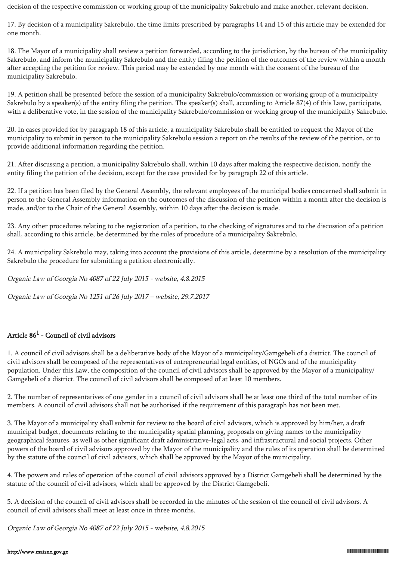decision of the respective commission or working group of the municipality Sakrebulo and make another, relevant decision.

17. By decision of a municipality Sakrebulo, the time limits prescribed by paragraphs 14 and 15 of this article may be extended for one month.

18. The Mayor of a municipality shall review a petition forwarded, according to the jurisdiction, by the bureau of the municipality Sakrebulo, and inform the municipality Sakrebulo and the entity filing the petition of the outcomes of the review within a month after accepting the petition for review. This period may be extended by one month with the consent of the bureau of the municipality Sakrebulo.

19. A petition shall be presented before the session of a municipality Sakrebulo/commission or working group of a municipality Sakrebulo by a speaker(s) of the entity filing the petition. The speaker(s) shall, according to Article 87(4) of this Law, participate, with a deliberative vote, in the session of the municipality Sakrebulo/commission or working group of the municipality Sakrebulo.

20. In cases provided for by paragraph 18 of this article, a municipality Sakrebulo shall be entitled to request the Mayor of the municipality to submit in person to the municipality Sakrebulo session a report on the results of the review of the petition, or to provide additional information regarding the petition.

21. After discussing a petition, a municipality Sakrebulo shall, within 10 days after making the respective decision, notify the entity filing the petition of the decision, except for the case provided for by paragraph 22 of this article.

22. If a petition has been filed by the General Assembly, the relevant employees of the municipal bodies concerned shall submit in person to the General Assembly information on the outcomes of the discussion of the petition within a month after the decision is made, and/or to the Chair of the General Assembly, within 10 days after the decision is made.

23. Any other procedures relating to the registration of a petition, to the checking of signatures and to the discussion of a petition shall, according to this article, be determined by the rules of procedure of a municipality Sakrebulo.

24. A municipality Sakrebulo may, taking into account the provisions of this article, determine by a resolution of the municipality Sakrebulo the procedure for submitting a petition electronically.

Organic Law of Georgia No 4087 of 22 July 2015 - website, 4.8.2015

Organic Law of Georgia No 1251 of 26 July 2017 – website, 29.7.2017

## Article  $86^1$  - Council of civil advisors

1. A council of civil advisors shall be a deliberative body of the Mayor of a municipality/Gamgebeli of a district. The council of civil advisors shall be composed of the representatives of entrepreneurial legal entities, of NGOs and of the municipality population. Under this Law, the composition of the council of civil advisors shall be approved by the Mayor of a municipality/ Gamgebeli of a district. The council of civil advisors shall be composed of at least 10 members.

2. The number of representatives of one gender in a council of civil advisors shall be at least one third of the total number of its members. A council of civil advisors shall not be authorised if the requirement of this paragraph has not been met.

3. The Mayor of a municipality shall submit for review to the board of civil advisors, which is approved by him/her, a draft municipal budget, documents relating to the municipality spatial planning, proposals on giving names to the municipality geographical features, as well as other significant draft administrative-legal acts, and infrastructural and social projects. Other powers of the board of civil advisors approved by the Mayor of the municipality and the rules of its operation shall be determined by the statute of the council of civil advisors, which shall be approved by the Mayor of the municipality.

4. The powers and rules of operation of the council of civil advisors approved by a District Gamgebeli shall be determined by the statute of the council of civil advisors, which shall be approved by the District Gamgebeli.

5. A decision of the council of civil advisors shall be recorded in the minutes of the session of the council of civil advisors. A council of civil advisors shall meet at least once in three months.

Organic Law of Georgia No 4087 of 22 July 2015 - website, 4.8.2015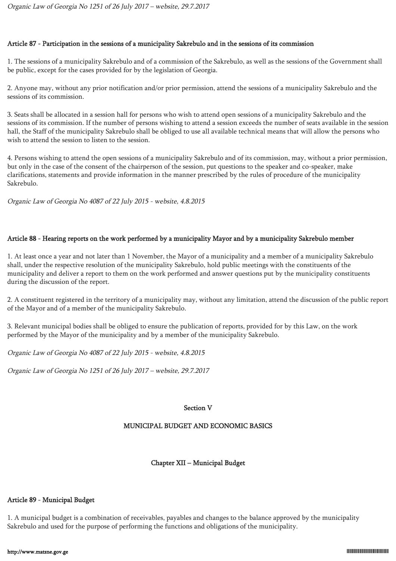### Article 87 - Participation in the sessions of a municipality Sakrebulo and in the sessions of its commission

1. The sessions of a municipality Sakrebulo and of a commission of the Sakrebulo, as well as the sessions of the Government shall be public, except for the cases provided for by the legislation of Georgia.

2. Anyone may, without any prior notification and/or prior permission, attend the sessions of a municipality Sakrebulo and the sessions of its commission.

3. Seats shall be allocated in a session hall for persons who wish to attend open sessions of a municipality Sakrebulo and the sessions of its commission. If the number of persons wishing to attend a session exceeds the number of seats available in the session hall, the Staff of the municipality Sakrebulo shall be obliged to use all available technical means that will allow the persons who wish to attend the session to listen to the session.

4. Persons wishing to attend the open sessions of a municipality Sakrebulo and of its commission, may, without a prior permission, but only in the case of the consent of the chairperson of the session, put questions to the speaker and co-speaker, make clarifications, statements and provide information in the manner prescribed by the rules of procedure of the municipality Sakrebulo.

Organic Law of Georgia No 4087 of 22 July 2015 - website, 4.8.2015

## Article 88 - Hearing reports on the work performed by a municipality Mayor and by a municipality Sakrebulo member

1. At least once a year and not later than 1 November, the Mayor of a municipality and a member of a municipality Sakrebulo shall, under the respective resolution of the municipality Sakrebulo, hold public meetings with the constituents of the municipality and deliver a report to them on the work performed and answer questions put by the municipality constituents during the discussion of the report.

2. A constituent registered in the territory of a municipality may, without any limitation, attend the discussion of the public report of the Mayor and of a member of the municipality Sakrebulo.

3. Relevant municipal bodies shall be obliged to ensure the publication of reports, provided for by this Law, on the work performed by the Mayor of the municipality and by a member of the municipality Sakrebulo.

Organic Law of Georgia No 4087 of 22 July 2015 - website, 4.8.2015

Organic Law of Georgia No 1251 of 26 July 2017 – website, 29.7.2017

#### Section V

## MUNICIPAL BUDGET AND ECONOMIC BASICS

## Chapter XII – Municipal Budget

#### Article 89 - Municipal Budget

1. A municipal budget is a combination of receivables, payables and changes to the balance approved by the municipality Sakrebulo and used for the purpose of performing the functions and obligations of the municipality.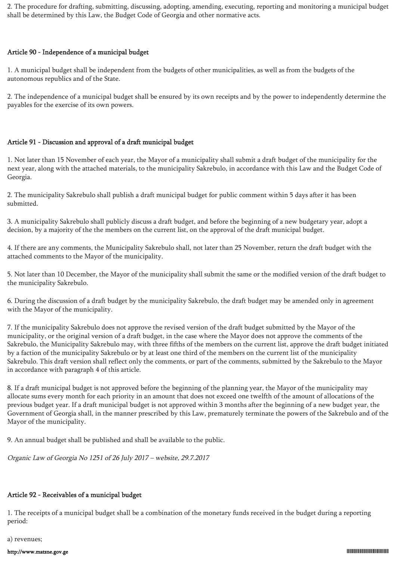2. The procedure for drafting, submitting, discussing, adopting, amending, executing, reporting and monitoring a municipal budget shall be determined by this Law, the Budget Code of Georgia and other normative acts.

#### Article 90 - Independence of a municipal budget

1. A municipal budget shall be independent from the budgets of other municipalities, as well as from the budgets of the autonomous republics and of the State.

2. The independence of a municipal budget shall be ensured by its own receipts and by the power to independently determine the payables for the exercise of its own powers.

#### Article 91 - Discussion and approval of a draft municipal budget

1. Not later than 15 November of each year, the Mayor of a municipality shall submit a draft budget of the municipality for the next year, along with the attached materials, to the municipality Sakrebulo, in accordance with this Law and the Budget Code of Georgia.

2. The municipality Sakrebulo shall publish a draft municipal budget for public comment within 5 days after it has been submitted.

3. A municipality Sakrebulo shall publicly discuss a draft budget, and before the beginning of a new budgetary year, adopt a decision, by a majority of the the members on the current list, on the approval of the draft municipal budget.

4. If there are any comments, the Municipality Sakrebulo shall, not later than 25 November, return the draft budget with the attached comments to the Mayor of the municipality.

5. Not later than 10 December, the Mayor of the municipality shall submit the same or the modified version of the draft budget to the municipality Sakrebulo.

6. During the discussion of a draft budget by the municipality Sakrebulo, the draft budget may be amended only in agreement with the Mayor of the municipality.

7. If the municipality Sakrebulo does not approve the revised version of the draft budget submitted by the Mayor of the municipality, or the original version of a draft budget, in the case where the Mayor does not approve the comments of the Sakrebulo, the Municipality Sakrebulo may, with three fifths of the members on the current list, approve the draft budget initiated by a faction of the municipality Sakrebulo or by at least one third of the members on the current list of the municipality Sakrebulo. This draft version shall reflect only the comments, or part of the comments, submitted by the Sakrebulo to the Mayor in accordance with paragraph 4 of this article.

8. If a draft municipal budget is not approved before the beginning of the planning year, the Mayor of the municipality may allocate sums every month for each priority in an amount that does not exceed one twelfth of the amount of allocations of the previous budget year. If a draft municipal budget is not approved within 3 months after the beginning of a new budget year, the Government of Georgia shall, in the manner prescribed by this Law, prematurely terminate the powers of the Sakrebulo and of the Mayor of the municipality.

9. An annual budget shall be published and shall be available to the public.

Organic Law of Georgia No 1251 of 26 July 2017 – website, 29.7.2017

#### Article 92 - Receivables of a municipal budget

1. The receipts of a municipal budget shall be a combination of the monetary funds received in the budget during a reporting period:

a) revenues;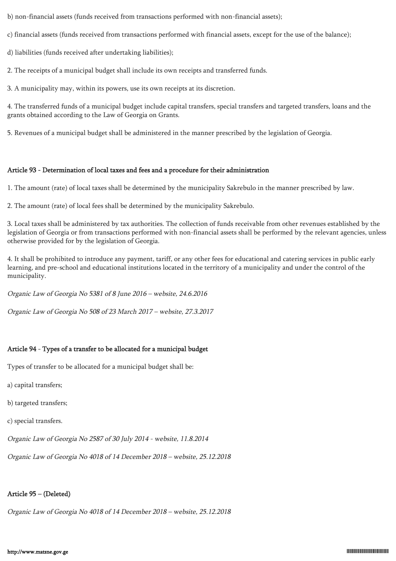b) non-financial assets (funds received from transactions performed with non-financial assets);

c) financial assets (funds received from transactions performed with financial assets, except for the use of the balance);

d) liabilities (funds received after undertaking liabilities);

2. The receipts of a municipal budget shall include its own receipts and transferred funds.

3. A municipality may, within its powers, use its own receipts at its discretion.

4. The transferred funds of a municipal budget include capital transfers, special transfers and targeted transfers, loans and the grants obtained according to the Law of Georgia on Grants.

5. Revenues of a municipal budget shall be administered in the manner prescribed by the legislation of Georgia.

### Article 93 - Determination of local taxes and fees and a procedure for their administration

1. The amount (rate) of local taxes shall be determined by the municipality Sakrebulo in the manner prescribed by law.

2. The amount (rate) of local fees shall be determined by the municipality Sakrebulo.

3. Local taxes shall be administered by tax authorities. The collection of funds receivable from other revenues established by the legislation of Georgia or from transactions performed with non-financial assets shall be performed by the relevant agencies, unless otherwise provided for by the legislation of Georgia.

4. It shall be prohibited to introduce any payment, tariff, or any other fees for educational and catering services in public early learning, and pre-school and educational institutions located in the territory of a municipality and under the control of the municipality.

Organic Law of Georgia No 5381 of 8 June 2016 – website, 24.6.2016

Organic Law of Georgia No 508 of 23 March 2017 – website, 27.3.2017

## Article 94 - Types of a transfer to be allocated for a municipal budget

Types of transfer to be allocated for a municipal budget shall be:

- a) capital transfers;
- b) targeted transfers;
- c) special transfers.

Organic Law of Georgia No 2587 of 30 July 2014 - website, 11.8.2014

Organic Law of Georgia No 4018 of 14 December 2018 – website, 25.12.2018

# Article 95 – (Deleted)

Organic Law of Georgia No 4018 of 14 December 2018 – website, 25.12.2018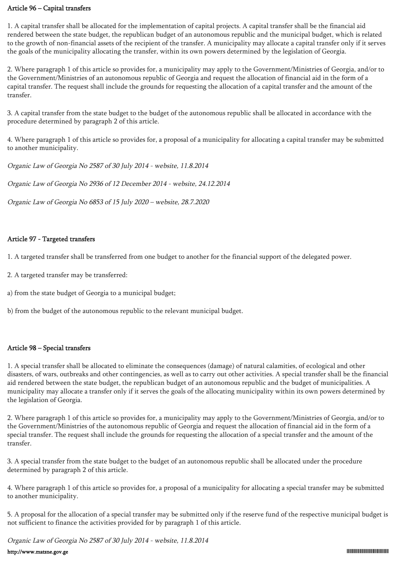#### Article 96 – Capital transfers

1. A capital transfer shall be allocated for the implementation of capital projects. A capital transfer shall be the financial aid rendered between the state budget, the republican budget of an autonomous republic and the municipal budget, which is related to the growth of non-financial assets of the recipient of the transfer. A municipality may allocate a capital transfer only if it serves the goals of the municipality allocating the transfer, within its own powers determined by the legislation of Georgia.

2. Where paragraph 1 of this article so provides for, a municipality may apply to the Government/Ministries of Georgia, and/or to the Government/Ministries of an autonomous republic of Georgia and request the allocation of financial aid in the form of a capital transfer. The request shall include the grounds for requesting the allocation of a capital transfer and the amount of the transfer.

3. A capital transfer from the state budget to the budget of the autonomous republic shall be allocated in accordance with the procedure determined by paragraph 2 of this article.

4. Where paragraph 1 of this article so provides for, a proposal of a municipality for allocating a capital transfer may be submitted to another municipality.

Organic Law of Georgia No 2587 of 30 July 2014 - website, 11.8.2014

Organic Law of Georgia No 2936 of 12 December 2014 - website, 24.12.2014

Organic Law of Georgia No 6853 of 15 July 2020 – website, 28.7.2020

### Article 97 - Targeted transfers

1. A targeted transfer shall be transferred from one budget to another for the financial support of the delegated power.

- 2. A targeted transfer may be transferred:
- a) from the state budget of Georgia to a municipal budget;
- b) from the budget of the autonomous republic to the relevant municipal budget.

#### Article 98 – Special transfers

1. A special transfer shall be allocated to eliminate the consequences (damage) of natural calamities, of ecological and other disasters, of wars, outbreaks and other contingencies, as well as to carry out other activities. A special transfer shall be the financial aid rendered between the state budget, the republican budget of an autonomous republic and the budget of municipalities. A municipality may allocate a transfer only if it serves the goals of the allocating municipality within its own powers determined by the legislation of Georgia.

2. Where paragraph 1 of this article so provides for, a municipality may apply to the Government/Ministries of Georgia, and/or to the Government/Ministries of the autonomous republic of Georgia and request the allocation of financial aid in the form of a special transfer. The request shall include the grounds for requesting the allocation of a special transfer and the amount of the transfer.

3. A special transfer from the state budget to the budget of an autonomous republic shall be allocated under the procedure determined by paragraph 2 of this article.

4. Where paragraph 1 of this article so provides for, a proposal of a municipality for allocating a special transfer may be submitted to another municipality.

5. A proposal for the allocation of a special transfer may be submitted only if the reserve fund of the respective municipal budget is not sufficient to finance the activities provided for by paragraph 1 of this article.

Organic Law of Georgia No 2587 of 30 July 2014 - website, 11.8.2014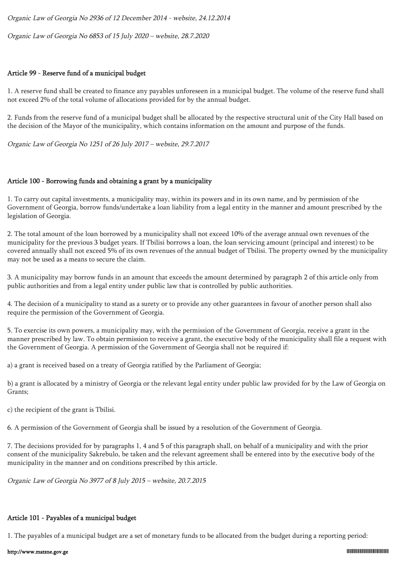Organic Law of Georgia No 6853 of 15 July 2020 – website, 28.7.2020

#### Article 99 - Reserve fund of a municipal budget

1. A reserve fund shall be created to finance any payables unforeseen in a municipal budget. The volume of the reserve fund shall not exceed 2% of the total volume of allocations provided for by the annual budget.

2. Funds from the reserve fund of a municipal budget shall be allocated by the respective structural unit of the City Hall based on the decision of the Mayor of the municipality, which contains information on the amount and purpose of the funds.

Organic Law of Georgia No 1251 of 26 July 2017 – website, 29.7.2017

#### Article 100 - Borrowing funds and obtaining a grant by a municipality

1. To carry out capital investments, a municipality may, within its powers and in its own name, and by permission of the Government of Georgia, borrow funds/undertake a loan liability from a legal entity in the manner and amount prescribed by the legislation of Georgia.

2. The total amount of the loan borrowed by a municipality shall not exceed 10% of the average annual own revenues of the municipality for the previous 3 budget years. If Tbilisi borrows a loan, the loan servicing amount (principal and interest) to be covered annually shall not exceed 5% of its own revenues of the annual budget of Tbilisi. The property owned by the municipality may not be used as a means to secure the claim.

3. A municipality may borrow funds in an amount that exceeds the amount determined by paragraph 2 of this article only from public authorities and from a legal entity under public law that is controlled by public authorities.

4. The decision of a municipality to stand as a surety or to provide any other guarantees in favour of another person shall also require the permission of the Government of Georgia.

5. To exercise its own powers, a municipality may, with the permission of the Government of Georgia, receive a grant in the manner prescribed by law. To obtain permission to receive a grant, the executive body of the municipality shall file a request with the Government of Georgia. A permission of the Government of Georgia shall not be required if:

a) a grant is received based on a treaty of Georgia ratified by the Parliament of Georgia;

b) a grant is allocated by a ministry of Georgia or the relevant legal entity under public law provided for by the Law of Georgia on Grants;

c) the recipient of the grant is Tbilisi.

6. A permission of the Government of Georgia shall be issued by a resolution of the Government of Georgia.

7. The decisions provided for by paragraphs 1, 4 and 5 of this paragraph shall, on behalf of a municipality and with the prior consent of the municipality Sakrebulo, be taken and the relevant agreement shall be entered into by the executive body of the municipality in the manner and on conditions prescribed by this article.

Organic Law of Georgia No 3977 of 8 July 2015 – website, 20.7.2015

#### Article 101 - Payables of a municipal budget

1. The payables of a municipal budget are a set of monetary funds to be allocated from the budget during a reporting period: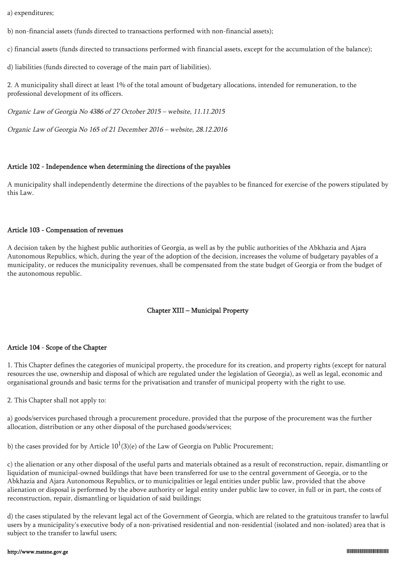a) expenditures;

b) non-financial assets (funds directed to transactions performed with non-financial assets);

c) financial assets (funds directed to transactions performed with financial assets, except for the accumulation of the balance);

d) liabilities (funds directed to coverage of the main part of liabilities).

2. A municipality shall direct at least 1% of the total amount of budgetary allocations, intended for remuneration, to the professional development of its officers.

Organic Law of Georgia No 4386 of 27 October 2015 – website, 11.11.2015

Organic Law of Georgia No 165 of 21 December 2016 – website, 28.12.2016

### Article 102 - Independence when determining the directions of the payables

A municipality shall independently determine the directions of the payables to be financed for exercise of the powers stipulated by this Law.

#### Article 103 - Compensation of revenues

A decision taken by the highest public authorities of Georgia, as well as by the public authorities of the Abkhazia and Ajara Autonomous Republics, which, during the year of the adoption of the decision, increases the volume of budgetary payables of a municipality, or reduces the municipality revenues, shall be compensated from the state budget of Georgia or from the budget of the autonomous republic.

## Chapter XIII – Municipal Property

#### Article 104 - Scope of the Chapter

1. This Chapter defines the categories of municipal property, the procedure for its creation, and property rights (except for natural resources the use, ownership and disposal of which are regulated under the legislation of Georgia), as well as legal, economic and organisational grounds and basic terms for the privatisation and transfer of municipal property with the right to use.

2. This Chapter shall not apply to:

a) goods/services purchased through a procurement procedure, provided that the purpose of the procurement was the further allocation, distribution or any other disposal of the purchased goods/services;

b) the cases provided for by Article  $10^1(3)$ (e) of the Law of Georgia on Public Procurement;

c) the alienation or any other disposal of the useful parts and materials obtained as a result of reconstruction, repair, dismantling or liquidation of municipal-owned buildings that have been transferred for use to the central government of Georgia, or to the Abkhazia and Ajara Autonomous Republics, or to municipalities or legal entities under public law, provided that the above alienation or disposal is performed by the above authority or legal entity under public law to cover, in full or in part, the costs of reconstruction, repair, dismantling or liquidation of said buildings;

d) the cases stipulated by the relevant legal act of the Government of Georgia, which are related to the gratuitous transfer to lawful users by a municipality's executive body of a non-privatised residential and non-residential (isolated and non-isolated) area that is subject to the transfer to lawful users;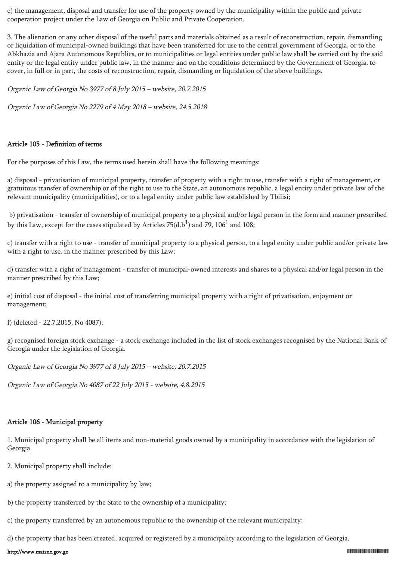e) the management, disposal and transfer for use of the property owned by the municipality within the public and private cooperation project under the Law of Georgia on Public and Private Cooperation.

3. The alienation or any other disposal of the useful parts and materials obtained as a result of reconstruction, repair, dismantling or liquidation of municipal-owned buildings that have been transferred for use to the central government of Georgia, or to the Abkhazia and Ajara Autonomous Republics, or to municipalities or legal entities under public law shall be carried out by the said entity or the legal entity under public law, in the manner and on the conditions determined by the Government of Georgia, to cover, in full or in part, the costs of reconstruction, repair, dismantling or liquidation of the above buildings.

Organic Law of Georgia No 3977 of 8 July 2015 – website, 20.7.2015

Organic Law of Georgia No 2279 of 4 May 2018 – website, 24.5.2018

#### Article 105 - Definition of terms

For the purposes of this Law, the terms used herein shall have the following meanings:

a) disposal - privatisation of municipal property, transfer of property with a right to use, transfer with a right of management, or gratuitous transfer of ownership or of the right to use to the State, an autonomous republic, a legal entity under private law of the relevant municipality (municipalities), or to a legal entity under public law established by Tbilisi;

 b) privatisation - transfer of ownership of municipal property to a physical and/or legal person in the form and manner prescribed by this Law, except for the cases stipulated by Articles 75(d.b<sup>1</sup>) and 79, 106<sup>1</sup> and 108;

c) transfer with a right to use - transfer of municipal property to a physical person, to a legal entity under public and/or private law with a right to use, in the manner prescribed by this Law;

d) transfer with a right of management - transfer of municipal-owned interests and shares to a physical and/or legal person in the manner prescribed by this Law;

e) initial cost of disposal - the initial cost of transferring municipal property with a right of privatisation, enjoyment or management;

f) (deleted - 22.7.2015, No 4087);

g) recognised foreign stock exchange - a stock exchange included in the list of stock exchanges recognised by the National Bank of Georgia under the legislation of Georgia.

Organic Law of Georgia No 3977 of 8 July 2015 – website, 20.7.2015

Organic Law of Georgia No 4087 of 22 July 2015 - website, 4.8.2015

#### Article 106 - Municipal property

1. Municipal property shall be all items and non-material goods owned by a municipality in accordance with the legislation of Georgia.

- 2. Municipal property shall include:
- a) the property assigned to a municipality by law;
- b) the property transferred by the State to the ownership of a municipality;
- c) the property transferred by an autonomous republic to the ownership of the relevant municipality;

d) the property that has been created, acquired or registered by a municipality according to the legislation of Georgia.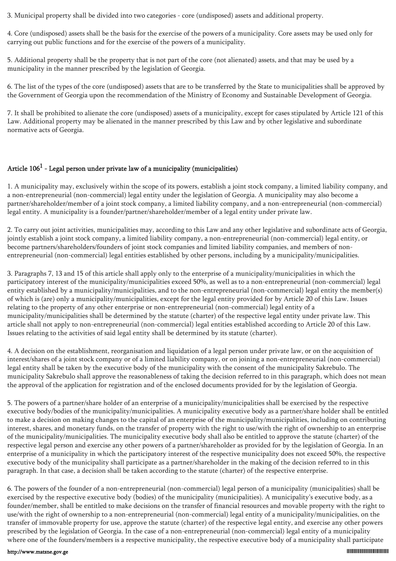3. Municipal property shall be divided into two categories - core (undisposed) assets and additional property.

4. Core (undisposed) assets shall be the basis for the exercise of the powers of a municipality. Core assets may be used only for carrying out public functions and for the exercise of the powers of a municipality.

5. Additional property shall be the property that is not part of the core (not alienated) assets, and that may be used by a municipality in the manner prescribed by the legislation of Georgia.

6. The list of the types of the core (undisposed) assets that are to be transferred by the State to municipalities shall be approved by the Government of Georgia upon the recommendation of the Ministry of Economy and Sustainable Development of Georgia.

7. It shall be prohibited to alienate the core (undisposed) assets of a municipality, except for cases stipulated by Article 121 of this Law. Additional property may be alienated in the manner prescribed by this Law and by other legislative and subordinate normative acts of Georgia.

# Article 106<sup>1</sup> - Legal person under private law of a municipality (municipalities)

1. A municipality may, exclusively within the scope of its powers, establish a joint stock company, a limited liability company, and a non-entrepreneurial (non-commercial) legal entity under the legislation of Georgia. A municipality may also become a partner/shareholder/member of a joint stock company, a limited liability company, and a non-entrepreneurial (non-commercial) legal entity. A municipality is a founder/partner/shareholder/member of a legal entity under private law.

2. To carry out joint activities, municipalities may, according to this Law and any other legislative and subordinate acts of Georgia, jointly establish a joint stock company, a limited liability company, a non-entrepreneurial (non-commercial) legal entity, or become partners/shareholders/founders of joint stock companies and limited liability companies, and members of nonentrepreneurial (non-commercial) legal entities established by other persons, including by a municipality/municipalities.

3. Paragraphs 7, 13 and 15 of this article shall apply only to the enterprise of a municipality/municipalities in which the participatory interest of the municipality/municipalities exceed 50%, as well as to a non-entrepreneurial (non-commercial) legal entity established by a municipality/municipalities, and to the non-entrepreneurial (non-commercial) legal entity the member(s) of which is (are) only a municipality/municipalities, except for the legal entity provided for by Article 20 of this Law. Issues relating to the property of any other enterprise or non-entrepreneurial (non-commercial) legal entity of a municipality/municipalities shall be determined by the statute (charter) of the respective legal entity under private law. This article shall not apply to non-entrepreneurial (non-commercial) legal entities established according to Article 20 of this Law. Issues relating to the activities of said legal entity shall be determined by its statute (charter).

4. A decision on the establishment, reorganisation and liquidation of a legal person under private law, or on the acquisition of interest/shares of a joint stock company or of a limited liability company, or on joining a non-entrepreneurial (non-commercial) legal entity shall be taken by the executive body of the municipality with the consent of the municipality Sakrebulo. The municipality Sakrebulo shall approve the reasonableness of taking the decision referred to in this paragraph, which does not mean the approval of the application for registration and of the enclosed documents provided for by the legislation of Georgia.

5. The powers of a partner/share holder of an enterprise of a municipality/municipalities shall be exercised by the respective executive body/bodies of the municipality/municipalities. A municipality executive body as a partner/share holder shall be entitled to make a decision on making changes to the capital of an enterprise of the municipality/municipalities, including on contributing interest, shares, and monetary funds, on the transfer of property with the right to use/with the right of ownership to an enterprise of the municipality/municipalities. The municipality executive body shall also be entitled to approve the statute (charter) of the respective legal person and exercise any other powers of a partner/shareholder as provided for by the legislation of Georgia. In an enterprise of a municipality in which the participatory interest of the respective municipality does not exceed 50%, the respective executive body of the municipality shall participate as a partner/shareholder in the making of the decision referred to in this paragraph. In that case, a decision shall be taken according to the statute (charter) of the respective enterprise.

6. The powers of the founder of a non-entrepreneurial (non-commercial) legal person of a municipality (municipalities) shall be exercised by the respective executive body (bodies) of the municipality (municipalities). A municipality's executive body, as a founder/member, shall be entitled to make decisions on the transfer of financial resources and movable property with the right to use/with the right of ownership to a non-entrepreneurial (non-commercial) legal entity of a municipality/municipalities, on the transfer of immovable property for use, approve the statute (charter) of the respective legal entity, and exercise any other powers prescribed by the legislation of Georgia. In the case of a non-entrepreneurial (non-commercial) legal entity of a municipality where one of the founders/members is a respective municipality, the respective executive body of a municipality shall participate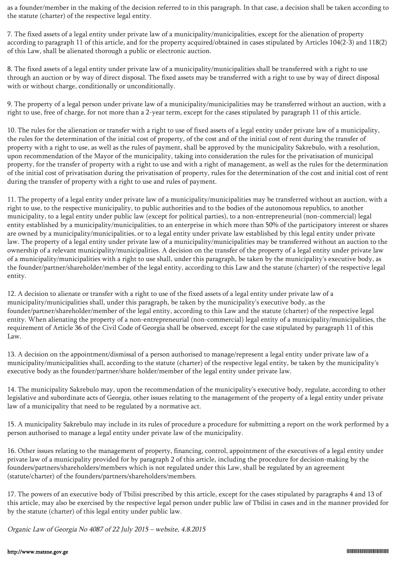as a founder/member in the making of the decision referred to in this paragraph. In that case, a decision shall be taken according to the statute (charter) of the respective legal entity.

7. The fixed assets of a legal entity under private law of a municipality/municipalities, except for the alienation of property according to paragraph 11 of this article, and for the property acquired/obtained in cases stipulated by Articles 104(2-3) and 118(2) of this Law, shall be alienated thorough a public or electronic auction.

8. The fixed assets of a legal entity under private law of a municipality/municipalities shall be transferred with a right to use through an auction or by way of direct disposal. The fixed assets may be transferred with a right to use by way of direct disposal with or without charge, conditionally or unconditionally.

9. The property of a legal person under private law of a municipality/municipalities may be transferred without an auction, with a right to use, free of charge, for not more than a 2-year term, except for the cases stipulated by paragraph 11 of this article.

10. The rules for the alienation or transfer with a right to use of fixed assets of a legal entity under private law of a municipality, the rules for the determination of the initial cost of property, of the cost and of the initial cost of rent during the transfer of property with a right to use, as well as the rules of payment, shall be approved by the municipality Sakrebulo, with a resolution, upon recommendation of the Mayor of the municipality, taking into consideration the rules for the privatisation of municipal property, for the transfer of property with a right to use and with a right of management, as well as the rules for the determination of the initial cost of privatisation during the privatisation of property, rules for the determination of the cost and initial cost of rent during the transfer of property with a right to use and rules of payment.

11. The property of a legal entity under private law of a municipality/municipalities may be transferred without an auction, with a right to use, to the respective municipality, to public authorities and to the bodies of the autonomous republics, to another municipality, to a legal entity under public law (except for political parties), to a non-entrepreneurial (non-commercial) legal entity established by a municipality/municipalities, to an enterprise in which more than 50% of the participatory interest or shares are owned by a municipality/municipalities, or to a legal entity under private law established by this legal entity under private law. The property of a legal entity under private law of a municipality/municipalities may be transferred without an auction to the ownership of a relevant municipality/municipalities. A decision on the transfer of the property of a legal entity under private law of a municipality/municipalities with a right to use shall, under this paragraph, be taken by the municipality's executive body, as the founder/partner/shareholder/member of the legal entity, according to this Law and the statute (charter) of the respective legal entity.

12. A decision to alienate or transfer with a right to use of the fixed assets of a legal entity under private law of a municipality/municipalities shall, under this paragraph, be taken by the municipality's executive body, as the founder/partner/shareholder/member of the legal entity, according to this Law and the statute (charter) of the respective legal entity. When alienating the property of a non-entrepreneurial (non-commercial) legal entity of a municipality/municipalities, the requirement of Article 36 of the Civil Code of Georgia shall be observed, except for the case stipulated by paragraph 11 of this Law.

13. A decision on the appointment/dismissal of a person authorised to manage/represent a legal entity under private law of a municipality/municipalities shall, according to the statute (charter) of the respective legal entity, be taken by the municipality's executive body as the founder/partner/share holder/member of the legal entity under private law.

14. The municipality Sakrebulo may, upon the recommendation of the municipality's executive body, regulate, according to other legislative and subordinate acts of Georgia, other issues relating to the management of the property of a legal entity under private law of a municipality that need to be regulated by a normative act.

15. A municipality Sakrebulo may include in its rules of procedure a procedure for submitting a report on the work performed by a person authorised to manage a legal entity under private law of the municipality.

16. Other issues relating to the management of property, financing, control, appointment of the executives of a legal entity under private law of a municipality provided for by paragraph 2 of this article, including the procedure for decision-making by the founders/partners/shareholders/members which is not regulated under this Law, shall be regulated by an agreement (statute/charter) of the founders/partners/shareholders/members.

17. The powers of an executive body of Tbilisi prescribed by this article, except for the cases stipulated by paragraphs 4 and 13 of this article, may also be exercised by the respective legal person under public law of Tbilisi in cases and in the manner provided for by the statute (charter) of this legal entity under public law.

Organic Law of Georgia No 4087 of 22 July 2015 – website, 4.8.2015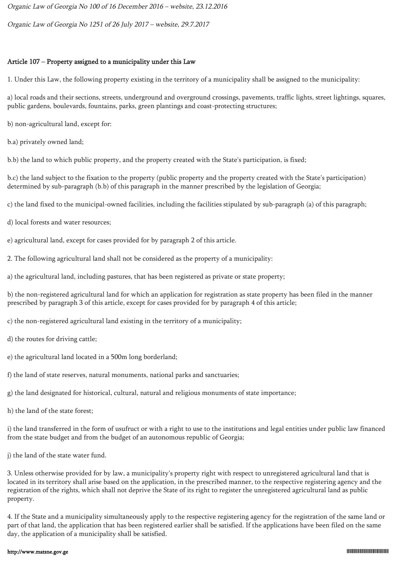Organic Law of Georgia No 100 of 16 December 2016 – website, 23.12.2016

Organic Law of Georgia No 1251 of 26 July 2017 – website, 29.7.2017

#### Article 107 – Property assigned to a municipality under this Law

1. Under this Law, the following property existing in the territory of a municipality shall be assigned to the municipality:

a) local roads and their sections, streets, underground and overground crossings, pavements, traffic lights, street lightings, squares, public gardens, boulevards, fountains, parks, green plantings and coast-protecting structures;

b) non-agricultural land, except for:

b.a) privately owned land;

b.b) the land to which public property, and the property created with the State's participation, is fixed;

b.c) the land subject to the fixation to the property (public property and the property created with the State's participation) determined by sub-paragraph (b.b) of this paragraph in the manner prescribed by the legislation of Georgia;

c) the land fixed to the municipal-owned facilities, including the facilities stipulated by sub-paragraph (a) of this paragraph;

- d) local forests and water resources;
- e) agricultural land, except for cases provided for by paragraph 2 of this article.
- 2. The following agricultural land shall not be considered as the property of a municipality:
- a) the agricultural land, including pastures, that has been registered as private or state property;

b) the non-registered agricultural land for which an application for registration as state property has been filed in the manner prescribed by paragraph 3 of this article, except for cases provided for by paragraph 4 of this article;

c) the non-registered agricultural land existing in the territory of a municipality;

- d) the routes for driving cattle;
- e) the agricultural land located in a 500m long borderland;
- f) the land of state reserves, natural monuments, national parks and sanctuaries;
- g) the land designated for historical, cultural, natural and religious monuments of state importance;
- h) the land of the state forest;

i) the land transferred in the form of usufruct or with a right to use to the institutions and legal entities under public law financed from the state budget and from the budget of an autonomous republic of Georgia;

j) the land of the state water fund.

3. Unless otherwise provided for by law, a municipality's property right with respect to unregistered agricultural land that is located in its territory shall arise based on the application, in the prescribed manner, to the respective registering agency and the registration of the rights, which shall not deprive the State of its right to register the unregistered agricultural land as public property.

4. If the State and a municipality simultaneously apply to the respective registering agency for the registration of the same land or part of that land, the application that has been registered earlier shall be satisfied. If the applications have been filed on the same day, the application of a municipality shall be satisfied.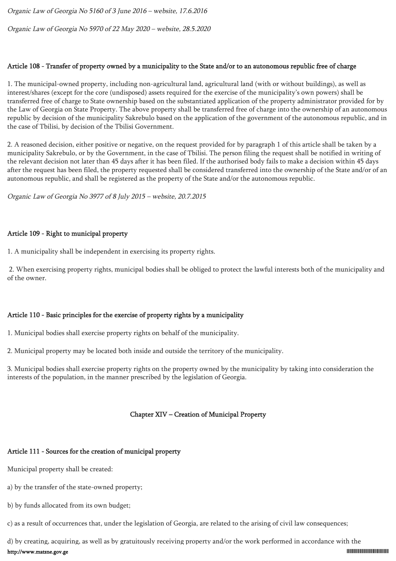Organic Law of Georgia No 5160 of 3 June 2016 – website, 17.6.2016

Organic Law of Georgia No 5970 of 22 May 2020 – website, 28.5.2020

#### Article 108 - Transfer of property owned by a municipality to the State and/or to an autonomous republic free of charge

1. The municipal-owned property, including non-agricultural land, agricultural land (with or without buildings), as well as interest/shares (except for the core (undisposed) assets required for the exercise of the municipality's own powers) shall be transferred free of charge to State ownership based on the substantiated application of the property administrator provided for by the Law of Georgia on State Property. The above property shall be transferred free of charge into the ownership of an autonomous republic by decision of the municipality Sakrebulo based on the application of the government of the autonomous republic, and in the case of Tbilisi, by decision of the Tbilisi Government.

2. A reasoned decision, either positive or negative, on the request provided for by paragraph 1 of this article shall be taken by a municipality Sakrebulo, or by the Government, in the case of Tbilisi. The person filing the request shall be notified in writing of the relevant decision not later than 45 days after it has been filed. If the authorised body fails to make a decision within 45 days after the request has been filed, the property requested shall be considered transferred into the ownership of the State and/or of an autonomous republic, and shall be registered as the property of the State and/or the autonomous republic.

Organic Law of Georgia No 3977 of 8 July 2015 – website, 20.7.2015

### Article 109 - Right to municipal property

1. A municipality shall be independent in exercising its property rights.

 2. When exercising property rights, municipal bodies shall be obliged to protect the lawful interests both of the municipality and of the owner.

## Article 110 - Basic principles for the exercise of property rights by a municipality

1. Municipal bodies shall exercise property rights on behalf of the municipality.

2. Municipal property may be located both inside and outside the territory of the municipality.

3. Municipal bodies shall exercise property rights on the property owned by the municipality by taking into consideration the interests of the population, in the manner prescribed by the legislation of Georgia.

## Chapter XIV – Creation of Municipal Property

#### Article 111 - Sources for the creation of municipal property

Municipal property shall be created:

- a) by the transfer of the state-owned property;
- b) by funds allocated from its own budget;

c) as a result of occurrences that, under the legislation of Georgia, are related to the arising of civil law consequences;

d) by creating, acquiring, as well as by gratuitously receiving property and/or the work performed in accordance with the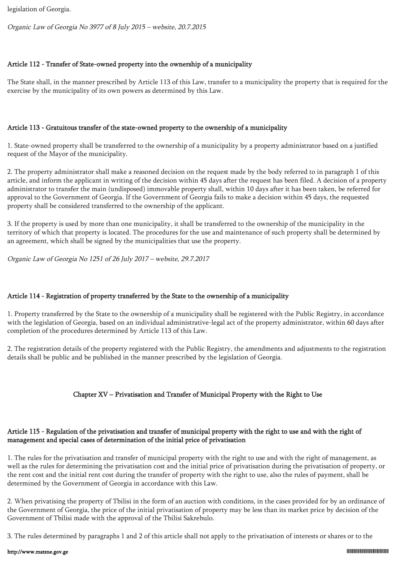legislation of Georgia.

Organic Law of Georgia No 3977 of 8 July 2015 – website, 20.7.2015

## Article 112 - Transfer of State-owned property into the ownership of a municipality

The State shall, in the manner prescribed by Article 113 of this Law, transfer to a municipality the property that is required for the exercise by the municipality of its own powers as determined by this Law.

### Article 113 - Gratuitous transfer of the state-owned property to the ownership of a municipality

1. State-owned property shall be transferred to the ownership of a municipality by a property administrator based on a justified request of the Mayor of the municipality.

2. The property administrator shall make a reasoned decision on the request made by the body referred to in paragraph 1 of this article, and inform the applicant in writing of the decision within 45 days after the request has been filed. A decision of a property administrator to transfer the main (undisposed) immovable property shall, within 10 days after it has been taken, be referred for approval to the Government of Georgia. If the Government of Georgia fails to make a decision within 45 days, the requested property shall be considered transferred to the ownership of the applicant.

3. If the property is used by more than one municipality, it shall be transferred to the ownership of the municipality in the territory of which that property is located. The procedures for the use and maintenance of such property shall be determined by an agreement, which shall be signed by the municipalities that use the property.

Organic Law of Georgia No 1251 of 26 July 2017 – website, 29.7.2017

## Article 114 - Registration of property transferred by the State to the ownership of a municipality

1. Property transferred by the State to the ownership of a municipality shall be registered with the Public Registry, in accordance with the legislation of Georgia, based on an individual administrative-legal act of the property administrator, within 60 days after completion of the procedures determined by Article 113 of this Law.

2. The registration details of the property registered with the Public Registry, the amendments and adjustments to the registration details shall be public and be published in the manner prescribed by the legislation of Georgia.

## Chapter XV – Privatisation and Transfer of Municipal Property with the Right to Use

### Article 115 - Regulation of the privatisation and transfer of municipal property with the right to use and with the right of management and special cases of determination of the initial price of privatisation

1. The rules for the privatisation and transfer of municipal property with the right to use and with the right of management, as well as the rules for determining the privatisation cost and the initial price of privatisation during the privatisation of property, or the rent cost and the initial rent cost during the transfer of property with the right to use, also the rules of payment, shall be determined by the Government of Georgia in accordance with this Law.

2. When privatising the property of Tbilisi in the form of an auction with conditions, in the cases provided for by an ordinance of the Government of Georgia, the price of the initial privatisation of property may be less than its market price by decision of the Government of Tbilisi made with the approval of the Tbilisi Sakrebulo.

3. The rules determined by paragraphs 1 and 2 of this article shall not apply to the privatisation of interests or shares or to the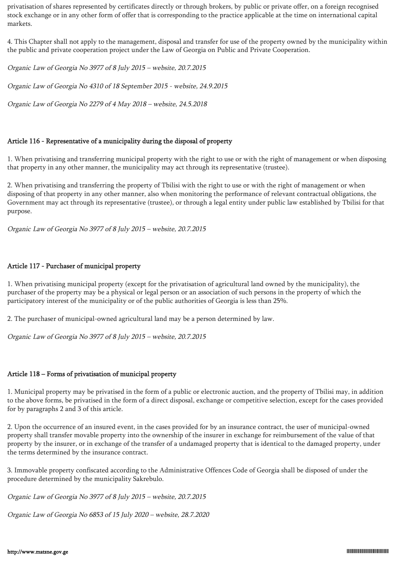privatisation of shares represented by certificates directly or through brokers, by public or private offer, on a foreign recognised stock exchange or in any other form of offer that is corresponding to the practice applicable at the time on international capital markets.

4. This Chapter shall not apply to the management, disposal and transfer for use of the property owned by the municipality within the public and private cooperation project under the Law of Georgia on Public and Private Cooperation.

Organic Law of Georgia No 3977 of 8 July 2015 – website, 20.7.2015

Organic Law of Georgia No 4310 of 18 September 2015 - website, 24.9.2015

Organic Law of Georgia No 2279 of 4 May 2018 – website, 24.5.2018

#### Article 116 - Representative of a municipality during the disposal of property

1. When privatising and transferring municipal property with the right to use or with the right of management or when disposing that property in any other manner, the municipality may act through its representative (trustee).

2. When privatising and transferring the property of Tbilisi with the right to use or with the right of management or when disposing of that property in any other manner, also when monitoring the performance of relevant contractual obligations, the Government may act through its representative (trustee), or through a legal entity under public law established by Tbilisi for that purpose.

Organic Law of Georgia No 3977 of 8 July 2015 – website, 20.7.2015

#### Article 117 - Purchaser of municipal property

1. When privatising municipal property (except for the privatisation of agricultural land owned by the municipality), the purchaser of the property may be a physical or legal person or an association of such persons in the property of which the participatory interest of the municipality or of the public authorities of Georgia is less than 25%.

2. The purchaser of municipal-owned agricultural land may be a person determined by law.

Organic Law of Georgia No 3977 of 8 July 2015 – website, 20.7.2015

#### Article 118 – Forms of privatisation of municipal property

1. Municipal property may be privatised in the form of a public or electronic auction, and the property of Tbilisi may, in addition to the above forms, be privatised in the form of a direct disposal, exchange or competitive selection, except for the cases provided for by paragraphs 2 and 3 of this article.

2. Upon the occurrence of an insured event, in the cases provided for by an insurance contract, the user of municipal-owned property shall transfer movable property into the ownership of the insurer in exchange for reimbursement of the value of that property by the insurer, or in exchange of the transfer of a undamaged property that is identical to the damaged property, under the terms determined by the insurance contract.

3. Immovable property confiscated according to the Administrative Offences Code of Georgia shall be disposed of under the procedure determined by the municipality Sakrebulo.

Organic Law of Georgia No 3977 of 8 July 2015 – website, 20.7.2015

Organic Law of Georgia No 6853 of 15 July 2020 – website, 28.7.2020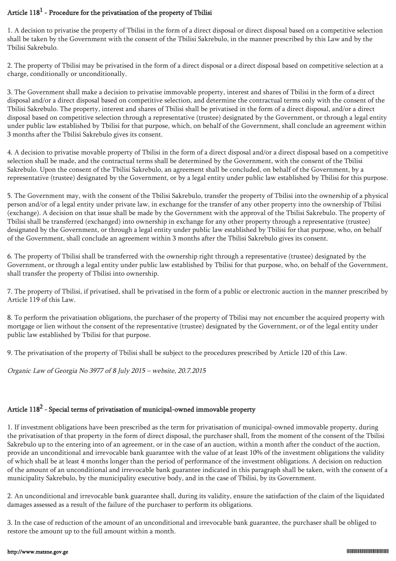## Article  $118^1$  - Procedure for the privatisation of the property of Tbilisi

1. A decision to privatise the property of Tbilisi in the form of a direct disposal or direct disposal based on a competitive selection shall be taken by the Government with the consent of the Tbilisi Sakrebulo, in the manner prescribed by this Law and by the Tbilisi Sakrebulo.

2. The property of Tbilisi may be privatised in the form of a direct disposal or a direct disposal based on competitive selection at a charge, conditionally or unconditionally.

3. The Government shall make a decision to privatise immovable property, interest and shares of Tbilisi in the form of a direct disposal and/or a direct disposal based on competitive selection, and determine the contractual terms only with the consent of the Tbilisi Sakrebulo. The property, interest and shares of Tbilisi shall be privatised in the form of a direct disposal, and/or a direct disposal based on competitive selection through a representative (trustee) designated by the Government, or through a legal entity under public law established by Tbilisi for that purpose, which, on behalf of the Government, shall conclude an agreement within 3 months after the Tbilisi Sakrebulo gives its consent.

4. A decision to privatise movable property of Tbilisi in the form of a direct disposal and/or a direct disposal based on a competitive selection shall be made, and the contractual terms shall be determined by the Government, with the consent of the Tbilisi Sakrebulo. Upon the consent of the Tbilisi Sakrebulo, an agreement shall be concluded, on behalf of the Government, by a representative (trustee) designated by the Government, or by a legal entity under public law established by Tbilisi for this purpose.

5. The Government may, with the consent of the Tbilisi Sakrebulo, transfer the property of Tbilisi into the ownership of a physical person and/or of a legal entity under private law, in exchange for the transfer of any other property into the ownership of Tbilisi (exchange). A decision on that issue shall be made by the Government with the approval of the Tbilisi Sakrebulo. The property of Tbilisi shall be transferred (exchanged) into ownership in exchange for any other property through a representative (trustee) designated by the Government, or through a legal entity under public law established by Tbilisi for that purpose, who, on behalf of the Government, shall conclude an agreement within 3 months after the Tbilisi Sakrebulo gives its consent.

6. The property of Tbilisi shall be transferred with the ownership right through a representative (trustee) designated by the Government, or through a legal entity under public law established by Tbilisi for that purpose, who, on behalf of the Government, shall transfer the property of Tbilisi into ownership.

7. The property of Tbilisi, if privatised, shall be privatised in the form of a public or electronic auction in the manner prescribed by Article 119 of this Law.

8. To perform the privatisation obligations, the purchaser of the property of Tbilisi may not encumber the acquired property with mortgage or lien without the consent of the representative (trustee) designated by the Government, or of the legal entity under public law established by Tbilisi for that purpose.

9. The privatisation of the property of Tbilisi shall be subject to the procedures prescribed by Article 120 of this Law.

Organic Law of Georgia No 3977 of 8 July 2015 – website, 20.7.2015

# Article  $118^2$  - Special terms of privatisation of municipal-owned immovable property

1. If investment obligations have been prescribed as the term for privatisation of municipal-owned immovable property, during the privatisation of that property in the form of direct disposal, the purchaser shall, from the moment of the consent of the Tbilisi Sakrebulo up to the entering into of an agreement, or in the case of an auction, within a month after the conduct of the auction, provide an unconditional and irrevocable bank guarantee with the value of at least 10% of the investment obligations the validity of which shall be at least 4 months longer than the period of performance of the investment obligations. A decision on reduction of the amount of an unconditional and irrevocable bank guarantee indicated in this paragraph shall be taken, with the consent of a municipality Sakrebulo, by the municipality executive body, and in the case of Tbilisi, by its Government.

2. An unconditional and irrevocable bank guarantee shall, during its validity, ensure the satisfaction of the claim of the liquidated damages assessed as a result of the failure of the purchaser to perform its obligations.

3. In the case of reduction of the amount of an unconditional and irrevocable bank guarantee, the purchaser shall be obliged to restore the amount up to the full amount within a month.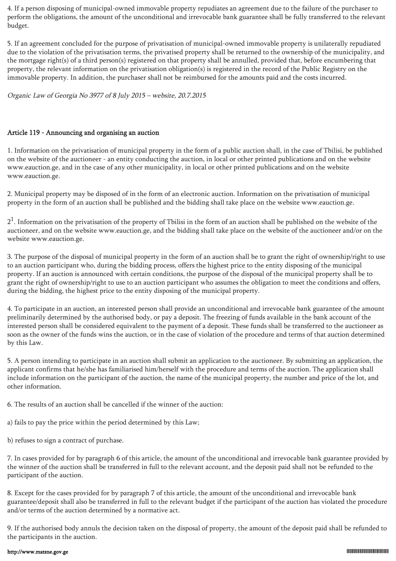4. If a person disposing of municipal-owned immovable property repudiates an agreement due to the failure of the purchaser to perform the obligations, the amount of the unconditional and irrevocable bank guarantee shall be fully transferred to the relevant budget.

5. If an agreement concluded for the purpose of privatisation of municipal-owned immovable property is unilaterally repudiated due to the violation of the privatisation terms, the privatised property shall be returned to the ownership of the municipality, and the mortgage right(s) of a third person(s) registered on that property shall be annulled, provided that, before encumbering that property, the relevant information on the privatisation obligation(s) is registered in the record of the Public Registry on the immovable property. In addition, the purchaser shall not be reimbursed for the amounts paid and the costs incurred.

Organic Law of Georgia No 3977 of 8 July 2015 – website, 20.7.2015

### Article 119 - Announcing and organising an auction

1. Information on the privatisation of municipal property in the form of a public auction shall, in the case of Tbilisi, be published on the website of the auctioneer - an entity conducting the auction, in local or other printed publications and on the website www.eauction.ge, and in the case of any other municipality, in local or other printed publications and on the website www.eauction.ge.

2. Municipal property may be disposed of in the form of an electronic auction. Information on the privatisation of municipal property in the form of an auction shall be published and the bidding shall take place on the website www.eauction.ge.

 $2<sup>1</sup>$ . Information on the privatisation of the property of Tbilisi in the form of an auction shall be published on the website of the auctioneer, and on the website www.eauction.ge, and the bidding shall take place on the website of the auctioneer and/or on the website www.eauction.ge.

3. The purpose of the disposal of municipal property in the form of an auction shall be to grant the right of ownership/right to use to an auction participant who, during the bidding process, offers the highest price to the entity disposing of the municipal property. If an auction is announced with certain conditions, the purpose of the disposal of the municipal property shall be to grant the right of ownership/right to use to an auction participant who assumes the obligation to meet the conditions and offers, during the bidding, the highest price to the entity disposing of the municipal property.

4. To participate in an auction, an interested person shall provide an unconditional and irrevocable bank guarantee of the amount preliminarily determined by the authorised body, or pay a deposit. The freezing of funds available in the bank account of the interested person shall be considered equivalent to the payment of a deposit. These funds shall be transferred to the auctioneer as soon as the owner of the funds wins the auction, or in the case of violation of the procedure and terms of that auction determined by this Law.

5. A person intending to participate in an auction shall submit an application to the auctioneer. By submitting an application, the applicant confirms that he/she has familiarised him/herself with the procedure and terms of the auction. The application shall include information on the participant of the auction, the name of the municipal property, the number and price of the lot, and other information.

6. The results of an auction shall be cancelled if the winner of the auction:

a) fails to pay the price within the period determined by this Law;

b) refuses to sign a contract of purchase.

7. In cases provided for by paragraph 6 of this article, the amount of the unconditional and irrevocable bank guarantee provided by the winner of the auction shall be transferred in full to the relevant account, and the deposit paid shall not be refunded to the participant of the auction.

8. Except for the cases provided for by paragraph 7 of this article, the amount of the unconditional and irrevocable bank guarantee/deposit shall also be transferred in full to the relevant budget if the participant of the auction has violated the procedure and/or terms of the auction determined by a normative act.

9. If the authorised body annuls the decision taken on the disposal of property, the amount of the deposit paid shall be refunded to the participants in the auction.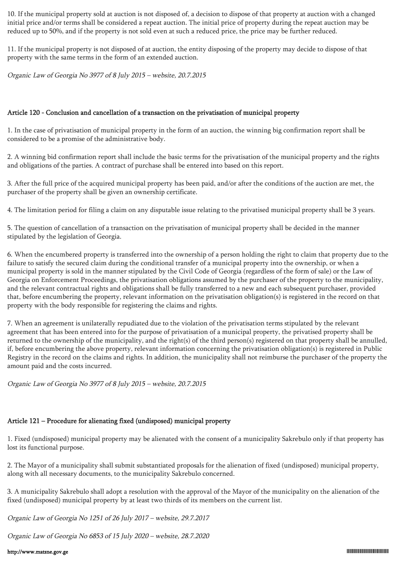10. If the municipal property sold at auction is not disposed of, a decision to dispose of that property at auction with a changed initial price and/or terms shall be considered a repeat auction. The initial price of property during the repeat auction may be reduced up to 50%, and if the property is not sold even at such a reduced price, the price may be further reduced.

11. If the municipal property is not disposed of at auction, the entity disposing of the property may decide to dispose of that property with the same terms in the form of an extended auction.

Organic Law of Georgia No 3977 of 8 July 2015 – website, 20.7.2015

#### Article 120 - Conclusion and cancellation of a transaction on the privatisation of municipal property

1. In the case of privatisation of municipal property in the form of an auction, the winning big confirmation report shall be considered to be a promise of the administrative body.

2. A winning bid confirmation report shall include the basic terms for the privatisation of the municipal property and the rights and obligations of the parties. A contract of purchase shall be entered into based on this report.

3. After the full price of the acquired municipal property has been paid, and/or after the conditions of the auction are met, the purchaser of the property shall be given an ownership certificate.

4. The limitation period for filing a claim on any disputable issue relating to the privatised municipal property shall be 3 years.

5. The question of cancellation of a transaction on the privatisation of municipal property shall be decided in the manner stipulated by the legislation of Georgia.

6. When the encumbered property is transferred into the ownership of a person holding the right to claim that property due to the failure to satisfy the secured claim during the conditional transfer of a municipal property into the ownership, or when a municipal property is sold in the manner stipulated by the Civil Code of Georgia (regardless of the form of sale) or the Law of Georgia on Enforcement Proceedings, the privatisation obligations assumed by the purchaser of the property to the municipality, and the relevant contractual rights and obligations shall be fully transferred to a new and each subsequent purchaser, provided that, before encumbering the property, relevant information on the privatisation obligation(s) is registered in the record on that property with the body responsible for registering the claims and rights.

7. When an agreement is unilaterally repudiated due to the violation of the privatisation terms stipulated by the relevant agreement that has been entered into for the purpose of privatisation of a municipal property, the privatised property shall be returned to the ownership of the municipality, and the right(s) of the third person(s) registered on that property shall be annulled, if, before encumbering the above property, relevant information concerning the privatisation obligation(s) is registered in Public Registry in the record on the claims and rights. In addition, the municipality shall not reimburse the purchaser of the property the amount paid and the costs incurred.

Organic Law of Georgia No 3977 of 8 July 2015 – website, 20.7.2015

# Article 121 – Procedure for alienating fixed (undisposed) municipal property

1. Fixed (undisposed) municipal property may be alienated with the consent of a municipality Sakrebulo only if that property has lost its functional purpose.

2. The Mayor of a municipality shall submit substantiated proposals for the alienation of fixed (undisposed) municipal property, along with all necessary documents, to the municipality Sakrebulo concerned.

3. A municipality Sakrebulo shall adopt a resolution with the approval of the Mayor of the municipality on the alienation of the fixed (undisposed) municipal property by at least two thirds of its members on the current list.

Organic Law of Georgia No 1251 of 26 July 2017 – website, 29.7.2017

Organic Law of Georgia No 6853 of 15 July 2020 – website, 28.7.2020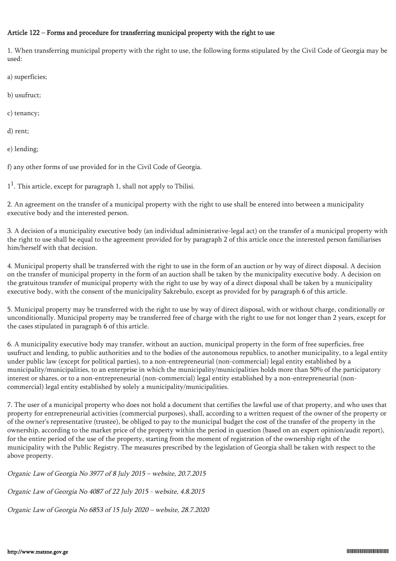#### Article 122 – Forms and procedure for transferring municipal property with the right to use

1. When transferring municipal property with the right to use, the following forms stipulated by the Civil Code of Georgia may be used:

a) superficies;

b) usufruct;

c) tenancy;

d) rent;

e) lending;

f) any other forms of use provided for in the Civil Code of Georgia.

 $1<sup>1</sup>$ . This article, except for paragraph 1, shall not apply to Tbilisi.

2. An agreement on the transfer of a municipal property with the right to use shall be entered into between a municipality executive body and the interested person.

3. A decision of a municipality executive body (an individual administrative-legal act) on the transfer of a municipal property with the right to use shall be equal to the agreement provided for by paragraph 2 of this article once the interested person familiarises him/herself with that decision.

4. Municipal property shall be transferred with the right to use in the form of an auction or by way of direct disposal. A decision on the transfer of municipal property in the form of an auction shall be taken by the municipality executive body. A decision on the gratuitous transfer of municipal property with the right to use by way of a direct disposal shall be taken by a municipality executive body, with the consent of the municipality Sakrebulo, except as provided for by paragraph 6 of this article.

5. Municipal property may be transferred with the right to use by way of direct disposal, with or without charge, conditionally or unconditionally. Municipal property may be transferred free of charge with the right to use for not longer than 2 years, except for the cases stipulated in paragraph 6 of this article.

6. A municipality executive body may transfer, without an auction, municipal property in the form of free superficies, free usufruct and lending, to public authorities and to the bodies of the autonomous republics, to another municipality, to a legal entity under public law (except for political parties), to a non-entrepreneurial (non-commercial) legal entity established by a municipality/municipalities, to an enterprise in which the municipality/municipalities holds more than 50% of the participatory interest or shares, or to a non-entrepreneurial (non-commercial) legal entity established by a non-entrepreneurial (noncommercial) legal entity established by solely a municipality/municipalities.

7. The user of a municipal property who does not hold a document that certifies the lawful use of that property, and who uses that property for entrepreneurial activities (commercial purposes), shall, according to a written request of the owner of the property or of the owner's representative (trustee), be obliged to pay to the municipal budget the cost of the transfer of the property in the ownership, according to the market price of the property within the period in question (based on an expert opinion/audit report), for the entire period of the use of the property, starting from the moment of registration of the ownership right of the municipality with the Public Registry. The measures prescribed by the legislation of Georgia shall be taken with respect to the above property.

Organic Law of Georgia No 3977 of 8 July 2015 – website, 20.7.2015

Organic Law of Georgia No 4087 of 22 July 2015 - website, 4.8.2015

Organic Law of Georgia No 6853 of 15 July 2020 – website, 28.7.2020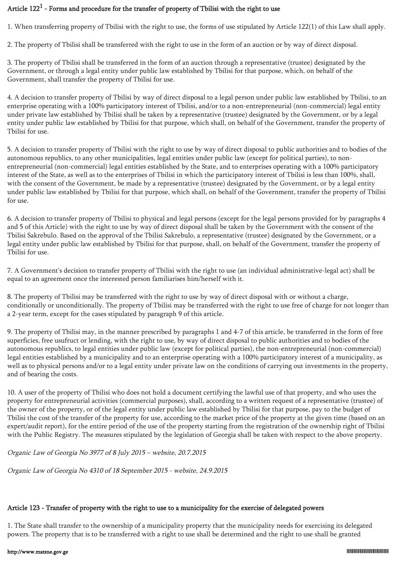# Article  $122^1$  - Forms and procedure for the transfer of property of Tbilisi with the right to use

1. When transferring property of Tbilisi with the right to use, the forms of use stipulated by Article 122(1) of this Law shall apply.

2. The property of Tbilisi shall be transferred with the right to use in the form of an auction or by way of direct disposal.

3. The property of Tbilisi shall be transferred in the form of an auction through a representative (trustee) designated by the Government, or through a legal entity under public law established by Tbilisi for that purpose, which, on behalf of the Government, shall transfer the property of Tbilisi for use.

4. A decision to transfer property of Tbilisi by way of direct disposal to a legal person under public law established by Tbilisi, to an enterprise operating with a 100% participatory interest of Tbilisi, and/or to a non-entrepreneurial (non-commercial) legal entity under private law established by Tbilisi shall be taken by a representative (trustee) designated by the Government, or by a legal entity under public law established by Tbilisi for that purpose, which shall, on behalf of the Government, transfer the property of Tbilisi for use.

5. A decision to transfer property of Tbilisi with the right to use by way of direct disposal to public authorities and to bodies of the autonomous republics, to any other municipalities, legal entities under public law (except for political parties), to nonentrepreneurial (non-commercial) legal entities established by the State, and to enterprises operating with a 100% participatory interest of the State, as well as to the enterprises of Tbilisi in which the participatory interest of Tbilisi is less than 100%, shall, with the consent of the Government, be made by a representative (trustee) designated by the Government, or by a legal entity under public law established by Tbilisi for that purpose, which shall, on behalf of the Government, transfer the property of Tbilisi for use.

6. A decision to transfer property of Tbilisi to physical and legal persons (except for the legal persons provided for by paragraphs 4 and 5 of this Article) with the right to use by way of direct disposal shall be taken by the Government with the consent of the Tbilisi Sakrebulo. Based on the approval of the Tbilisi Sakrebulo, a representative (trustee) designated by the Government, or a legal entity under public law established by Tbilisi for that purpose, shall, on behalf of the Government, transfer the property of Tbilisi for use.

7. A Government's decision to transfer property of Tbilisi with the right to use (an individual administrative-legal act) shall be equal to an agreement once the interested person familiarises him/herself with it.

8. The property of Tbilisi may be transferred with the right to use by way of direct disposal with or without a charge, conditionally or unconditionally. The property of Tbilisi may be transferred with the right to use free of charge for not longer than a 2-year term, except for the cases stipulated by paragraph 9 of this article.

9. The property of Tbilisi may, in the manner prescribed by paragraphs 1 and 4-7 of this article, be transferred in the form of free superficies, free usufruct or lending, with the right to use, by way of direct disposal to public authorities and to bodies of the autonomous republics, to legal entities under public law (except for political parties), the non-entrepreneurial (non-commercial) legal entities established by a municipality and to an enterprise operating with a 100% participatory interest of a municipality, as well as to physical persons and/or to a legal entity under private law on the conditions of carrying out investments in the property, and of bearing the costs.

10. A user of the property of Tbilisi who does not hold a document certifying the lawful use of that property, and who uses the property for entrepreneurial activities (commercial purposes), shall, according to a written request of a representative (trustee) of the owner of the property, or of the legal entity under public law established by Tbilisi for that purpose, pay to the budget of Tbilisi the cost of the transfer of the property for use, according to the market price of the property at the given time (based on an expert/audit report), for the entire period of the use of the property starting from the registration of the ownership right of Tbilisi with the Public Registry. The measures stipulated by the legislation of Georgia shall be taken with respect to the above property.

Organic Law of Georgia No 3977 of 8 July 2015 – website, 20.7.2015

Organic Law of Georgia No 4310 of 18 September 2015 - website, 24.9.2015

## Article 123 - Transfer of property with the right to use to a municipality for the exercise of delegated powers

1. The State shall transfer to the ownership of a municipality property that the municipality needs for exercising its delegated powers. The property that is to be transferred with a right to use shall be determined and the right to use shall be granted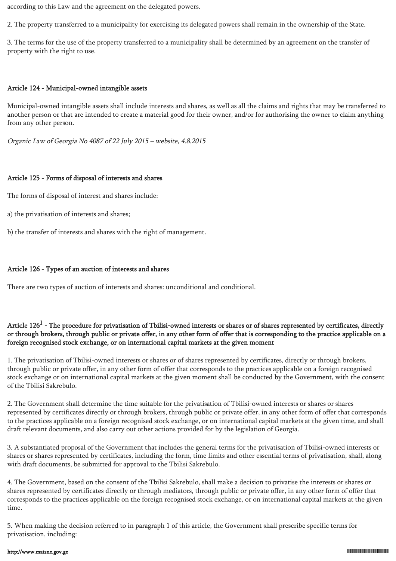according to this Law and the agreement on the delegated powers.

2. The property transferred to a municipality for exercising its delegated powers shall remain in the ownership of the State.

3. The terms for the use of the property transferred to a municipality shall be determined by an agreement on the transfer of property with the right to use.

#### Article 124 - Municipal-owned intangible assets

Municipal-owned intangible assets shall include interests and shares, as well as all the claims and rights that may be transferred to another person or that are intended to create a material good for their owner, and/or for authorising the owner to claim anything from any other person.

Organic Law of Georgia No 4087 of 22 July 2015 – website, 4.8.2015

#### Article 125 - Forms of disposal of interests and shares

The forms of disposal of interest and shares include:

a) the privatisation of interests and shares;

b) the transfer of interests and shares with the right of management.

#### Article 126 - Types of an auction of interests and shares

There are two types of auction of interests and shares: unconditional and conditional.

## Article 126 $^1$  - The procedure for privatisation of Tbilisi-owned interests or shares or of shares represented by certificates, directly or through brokers, through public or private offer, in any other form of offer that is corresponding to the practice applicable on a foreign recognised stock exchange, or on international capital markets at the given moment

1. The privatisation of Tbilisi-owned interests or shares or of shares represented by certificates, directly or through brokers, through public or private offer, in any other form of offer that corresponds to the practices applicable on a foreign recognised stock exchange or on international capital markets at the given moment shall be conducted by the Government, with the consent of the Tbilisi Sakrebulo.

2. The Government shall determine the time suitable for the privatisation of Tbilisi-owned interests or shares or shares represented by certificates directly or through brokers, through public or private offer, in any other form of offer that corresponds to the practices applicable on a foreign recognised stock exchange, or on international capital markets at the given time, and shall draft relevant documents, and also carry out other actions provided for by the legislation of Georgia.

3. A substantiated proposal of the Government that includes the general terms for the privatisation of Tbilisi-owned interests or shares or shares represented by certificates, including the form, time limits and other essential terms of privatisation, shall, along with draft documents, be submitted for approval to the Tbilisi Sakrebulo.

4. The Government, based on the consent of the Tbilisi Sakrebulo, shall make a decision to privatise the interests or shares or shares represented by certificates directly or through mediators, through public or private offer, in any other form of offer that corresponds to the practices applicable on the foreign recognised stock exchange, or on international capital markets at the given time.

5. When making the decision referred to in paragraph 1 of this article, the Government shall prescribe specific terms for privatisation, including: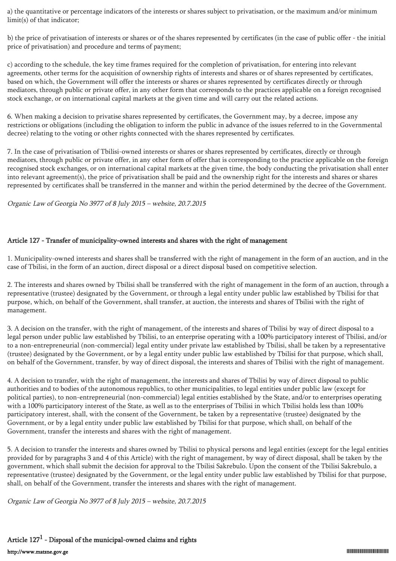a) the quantitative or percentage indicators of the interests or shares subject to privatisation, or the maximum and/or minimum limit(s) of that indicator;

b) the price of privatisation of interests or shares or of the shares represented by certificates (in the case of public offer - the initial price of privatisation) and procedure and terms of payment;

c) according to the schedule, the key time frames required for the completion of privatisation, for entering into relevant agreements, other terms for the acquisition of ownership rights of interests and shares or of shares represented by certificates, based on which, the Government will offer the interests or shares or shares represented by certificates directly or through mediators, through public or private offer, in any other form that corresponds to the practices applicable on a foreign recognised stock exchange, or on international capital markets at the given time and will carry out the related actions.

6. When making a decision to privatise shares represented by certificates, the Government may, by a decree, impose any restrictions or obligations (including the obligation to inform the public in advance of the issues referred to in the Governmental decree) relating to the voting or other rights connected with the shares represented by certificates.

7. In the case of privatisation of Tbilisi-owned interests or shares or shares represented by certificates, directly or through mediators, through public or private offer, in any other form of offer that is corresponding to the practice applicable on the foreign recognised stock exchanges, or on international capital markets at the given time, the body conducting the privatisation shall enter into relevant agreement(s), the price of privatisation shall be paid and the ownership right for the interests and shares or shares represented by certificates shall be transferred in the manner and within the period determined by the decree of the Government.

Organic Law of Georgia No 3977 of 8 July 2015 – website, 20.7.2015

### Article 127 - Transfer of municipality-owned interests and shares with the right of management

1. Municipality-owned interests and shares shall be transferred with the right of management in the form of an auction, and in the case of Tbilisi, in the form of an auction, direct disposal or a direct disposal based on competitive selection.

2. The interests and shares owned by Tbilisi shall be transferred with the right of management in the form of an auction, through a representative (trustee) designated by the Government, or through a legal entity under public law established by Tbilisi for that purpose, which, on behalf of the Government, shall transfer, at auction, the interests and shares of Tbilisi with the right of management.

3. A decision on the transfer, with the right of management, of the interests and shares of Tbilisi by way of direct disposal to a legal person under public law established by Tbilisi, to an enterprise operating with a 100% participatory interest of Tbilisi, and/or to a non-entrepreneurial (non-commercial) legal entity under private law established by Tbilisi, shall be taken by a representative (trustee) designated by the Government, or by a legal entity under public law established by Tbilisi for that purpose, which shall, on behalf of the Government, transfer, by way of direct disposal, the interests and shares of Tbilisi with the right of management.

4. A decision to transfer, with the right of management, the interests and shares of Tbilisi by way of direct disposal to public authorities and to bodies of the autonomous republics, to other municipalities, to legal entities under public law (except for political parties), to non-entrepreneurial (non-commercial) legal entities established by the State, and/or to enterprises operating with a 100% participatory interest of the State, as well as to the enterprises of Tbilisi in which Tbilisi holds less than 100% participatory interest, shall, with the consent of the Government, be taken by a representative (trustee) designated by the Government, or by a legal entity under public law established by Tbilisi for that purpose, which shall, on behalf of the Government, transfer the interests and shares with the right of management.

5. A decision to transfer the interests and shares owned by Tbilisi to physical persons and legal entities (except for the legal entities provided for by paragraphs 3 and 4 of this Article) with the right of management, by way of direct disposal, shall be taken by the government, which shall submit the decision for approval to the Tbilisi Sakrebulo. Upon the consent of the Tbilisi Sakrebulo, a representative (trustee) designated by the Government, or the legal entity under public law established by Tbilisi for that purpose, shall, on behalf of the Government, transfer the interests and shares with the right of management.

Organic Law of Georgia No 3977 of 8 July 2015 – website, 20.7.2015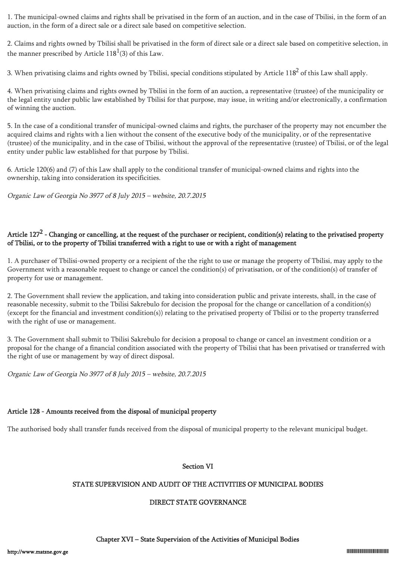1. The municipal-owned claims and rights shall be privatised in the form of an auction, and in the case of Tbilisi, in the form of an auction, in the form of a direct sale or a direct sale based on competitive selection.

2. Claims and rights owned by Tbilisi shall be privatised in the form of direct sale or a direct sale based on competitive selection, in the manner prescribed by Article  $118^1(3)$  of this Law.

3. When privatising claims and rights owned by Tbilisi, special conditions stipulated by Article  $118^2$  of this Law shall apply.

4. When privatising claims and rights owned by Tbilisi in the form of an auction, a representative (trustee) of the municipality or the legal entity under public law established by Tbilisi for that purpose, may issue, in writing and/or electronically, a confirmation of winning the auction.

5. In the case of a conditional transfer of municipal-owned claims and rights, the purchaser of the property may not encumber the acquired claims and rights with a lien without the consent of the executive body of the municipality, or of the representative (trustee) of the municipality, and in the case of Tbilisi, without the approval of the representative (trustee) of Tbilisi, or of the legal entity under public law established for that purpose by Tbilisi.

6. Article 120(6) and (7) of this Law shall apply to the conditional transfer of municipal-owned claims and rights into the ownership, taking into consideration its specificities.

Organic Law of Georgia No 3977 of 8 July 2015 – website, 20.7.2015

## Article 127<sup>2</sup> - Changing or cancelling, at the request of the purchaser or recipient, condition(s) relating to the privatised property of Tbilisi, or to the property of Tbilisi transferred with a right to use or with a right of management

1. A purchaser of Tbilisi-owned property or a recipient of the the right to use or manage the property of Tbilisi, may apply to the Government with a reasonable request to change or cancel the condition(s) of privatisation, or of the condition(s) of transfer of property for use or management.

2. The Government shall review the application, and taking into consideration public and private interests, shall, in the case of reasonable necessity, submit to the Tbilisi Sakrebulo for decision the proposal for the change or cancellation of a condition(s) (except for the financial and investment condition(s)) relating to the privatised property of Tbilisi or to the property transferred with the right of use or management.

3. The Government shall submit to Tbilisi Sakrebulo for decision a proposal to change or cancel an investment condition or a proposal for the change of a financial condition associated with the property of Tbilisi that has been privatised or transferred with the right of use or management by way of direct disposal.

Organic Law of Georgia No 3977 of 8 July 2015 – website, 20.7.2015

# Article 128 - Amounts received from the disposal of municipal property

The authorised body shall transfer funds received from the disposal of municipal property to the relevant municipal budget.

#### Section VI

### STATE SUPERVISION AND AUDIT OF THE ACTIVITIES OF MUNICIPAL BODIES

### DIRECT STATE GOVERNANCE

#### Chapter XVI – State Supervision of the Activities of Municipal Bodies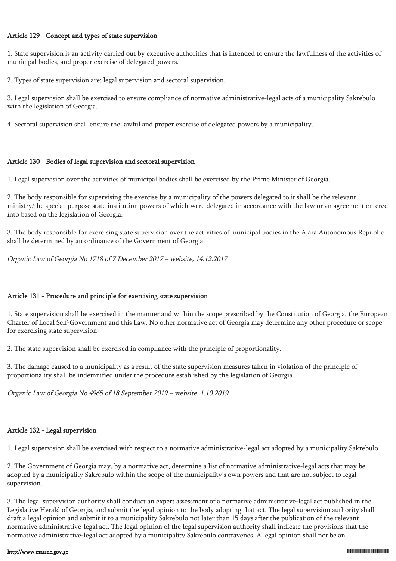#### Article 129 - Concept and types of state supervision

1. State supervision is an activity carried out by executive authorities that is intended to ensure the lawfulness of the activities of municipal bodies, and proper exercise of delegated powers.

2. Types of state supervision are: legal supervision and sectoral supervision.

3. Legal supervision shall be exercised to ensure compliance of normative administrative-legal acts of a municipality Sakrebulo with the legislation of Georgia.

4. Sectoral supervision shall ensure the lawful and proper exercise of delegated powers by a municipality.

### Article 130 - Bodies of legal supervision and sectoral supervision

1. Legal supervision over the activities of municipal bodies shall be exercised by the Prime Minister of Georgia.

2. The body responsible for supervising the exercise by a municipality of the powers delegated to it shall be the relevant ministry/the special-purpose state institution powers of which were delegated in accordance with the law or an agreement entered into based on the legislation of Georgia.

3. The body responsible for exercising state supervision over the activities of municipal bodies in the Ajara Autonomous Republic shall be determined by an ordinance of the Government of Georgia.

Organic Law of Georgia No 1718 of 7 December 2017 – website, 14.12.2017

### Article 131 - Procedure and principle for exercising state supervision

1. State supervision shall be exercised in the manner and within the scope prescribed by the Constitution of Georgia, the European Charter of Local Self-Government and this Law. No other normative act of Georgia may determine any other procedure or scope for exercising state supervision.

2. The state supervision shall be exercised in compliance with the principle of proportionality.

3. The damage caused to a municipality as a result of the state supervision measures taken in violation of the principle of proportionality shall be indemnified under the procedure established by the legislation of Georgia.

Organic Law of Georgia No 4965 of 18 September 2019 – website, 1.10.2019

### Article 132 - Legal supervision

1. Legal supervision shall be exercised with respect to a normative administrative-legal act adopted by a municipality Sakrebulo.

2. The Government of Georgia may, by a normative act, determine a list of normative administrative-legal acts that may be adopted by a municipality Sakrebulo within the scope of the municipality's own powers and that are not subject to legal supervision.

3. The legal supervision authority shall conduct an expert assessment of a normative administrative-legal act published in the Legislative Herald of Georgia, and submit the legal opinion to the body adopting that act. The legal supervision authority shall draft a legal opinion and submit it to a municipality Sakrebulo not later than 15 days after the publication of the relevant normative administrative-legal act. The legal opinion of the legal supervision authority shall indicate the provisions that the normative administrative-legal act adopted by a municipality Sakrebulo contravenes. A legal opinion shall not be an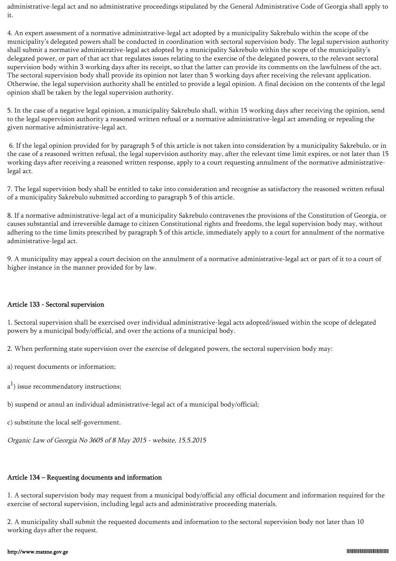administrative-legal act and no administrative proceedings stipulated by the General Administrative Code of Georgia shall apply to it.

4. An expert assessment of a normative administrative-legal act adopted by a municipality Sakrebulo within the scope of the municipality's delegated powers shall be conducted in coordination with sectoral supervision body. The legal supervision authority shall submit a normative administrative-legal act adopted by a municipality Sakrebulo within the scope of the municipality's delegated power, or part of that act that regulates issues relating to the exercise of the delegated powers, to the relevant sectoral supervision body within 3 working days after its receipt, so that the latter can provide its comments on the lawfulness of the act. The sectoral supervision body shall provide its opinion not later than 5 working days after receiving the relevant application. Otherwise, the legal supervision authority shall be entitled to provide a legal opinion. A final decision on the contents of the legal opinion shall be taken by the legal supervision authority.

5. In the case of a negative legal opinion, a municipality Sakrebulo shall, within 15 working days after receiving the opinion, send to the legal supervision authority a reasoned written refusal or a normative administrative-legal act amending or repealing the given normative administrative-legal act.

 6. If the legal opinion provided for by paragraph 5 of this article is not taken into consideration by a municipality Sakrebulo, or in the case of a reasoned written refusal, the legal supervision authority may, after the relevant time limit expires, or not later than 15 working days after receiving a reasoned written response, apply to a court requesting annulment of the normative administrativelegal act.

7. The legal supervision body shall be entitled to take into consideration and recognise as satisfactory the reasoned written refusal of a municipality Sakrebulo submitted according to paragraph 5 of this article.

8. If a normative administrative-legal act of a municipality Sakrebulo contravenes the provisions of the Constitution of Georgia, or causes substantial and irreversible damage to citizen Constitutional rights and freedoms, the legal supervision body may, without adhering to the time limits prescribed by paragraph 5 of this article, immediately apply to a court for annulment of the normative administrative-legal act.

9. A municipality may appeal a court decision on the annulment of a normative administrative-legal act or part of it to a court of higher instance in the manner provided for by law.

#### Article 133 - Sectoral supervision

1. Sectoral supervision shall be exercised over individual administrative-legal acts adopted/issued within the scope of delegated powers by a municipal body/official, and over the actions of a municipal body.

2. When performing state supervision over the exercise of delegated powers, the sectoral supervision body may:

- a) request documents or information;
- $a<sup>1</sup>$ ) issue recommendatory instructions;

b) suspend or annul an individual administrative-legal act of a municipal body/official;

c) substitute the local self-government.

Organic Law of Georgia No 3605 of 8 May 2015 - website, 15.5.2015

# Article 134 – Requesting documents and information

1. A sectoral supervision body may request from a municipal body/official any official document and information required for the exercise of sectoral supervision, including legal acts and administrative proceeding materials.

2. A municipality shall submit the requested documents and information to the sectoral supervision body not later than 10 working days after the request.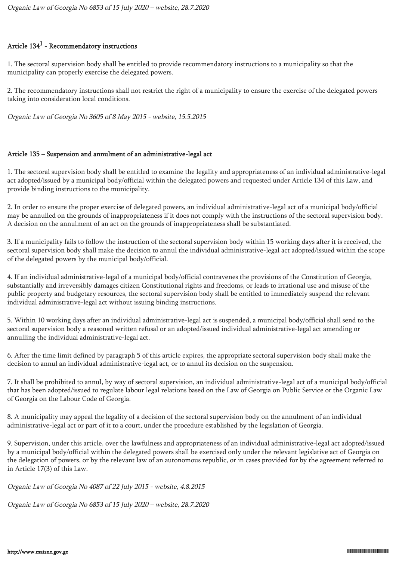## Article  $134^1$  - Recommendatory instructions

1. The sectoral supervision body shall be entitled to provide recommendatory instructions to a municipality so that the municipality can properly exercise the delegated powers.

2. The recommendatory instructions shall not restrict the right of a municipality to ensure the exercise of the delegated powers taking into consideration local conditions.

Organic Law of Georgia No 3605 of 8 May 2015 - website, 15.5.2015

#### Article 135 – Suspension and annulment of an administrative-legal act

1. The sectoral supervision body shall be entitled to examine the legality and appropriateness of an individual administrative-legal act adopted/issued by a municipal body/official within the delegated powers and requested under Article 134 of this Law, and provide binding instructions to the municipality.

2. In order to ensure the proper exercise of delegated powers, an individual administrative-legal act of a municipal body/official may be annulled on the grounds of inappropriateness if it does not comply with the instructions of the sectoral supervision body. A decision on the annulment of an act on the grounds of inappropriateness shall be substantiated.

3. If a municipality fails to follow the instruction of the sectoral supervision body within 15 working days after it is received, the sectoral supervision body shall make the decision to annul the individual administrative-legal act adopted/issued within the scope of the delegated powers by the municipal body/official.

4. If an individual administrative-legal of a municipal body/official contravenes the provisions of the Constitution of Georgia, substantially and irreversibly damages citizen Constitutional rights and freedoms, or leads to irrational use and misuse of the public property and budgetary resources, the sectoral supervision body shall be entitled to immediately suspend the relevant individual administrative-legal act without issuing binding instructions.

5. Within 10 working days after an individual administrative-legal act is suspended, a municipal body/official shall send to the sectoral supervision body a reasoned written refusal or an adopted/issued individual administrative-legal act amending or annulling the individual administrative-legal act.

6. After the time limit defined by paragraph 5 of this article expires, the appropriate sectoral supervision body shall make the decision to annul an individual administrative-legal act, or to annul its decision on the suspension.

7. It shall be prohibited to annul, by way of sectoral supervision, an individual administrative-legal act of a municipal body/official that has been adopted/issued to regulate labour legal relations based on the Law of Georgia on Public Service or the Organic Law of Georgia on the Labour Code of Georgia.

8. A municipality may appeal the legality of a decision of the sectoral supervision body on the annulment of an individual administrative-legal act or part of it to a court, under the procedure established by the legislation of Georgia.

9. Supervision, under this article, over the lawfulness and appropriateness of an individual administrative-legal act adopted/issued by a municipal body/official within the delegated powers shall be exercised only under the relevant legislative act of Georgia on the delegation of powers, or by the relevant law of an autonomous republic, or in cases provided for by the agreement referred to in Article 17(3) of this Law.

Organic Law of Georgia No 4087 of 22 July 2015 - website, 4.8.2015

Organic Law of Georgia No 6853 of 15 July 2020 – website, 28.7.2020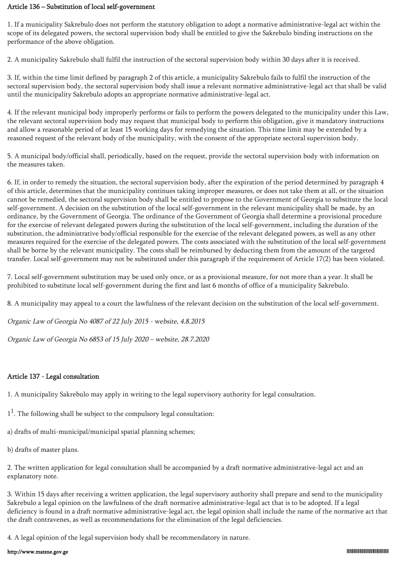#### Article 136 – Substitution of local self-government

1. If a municipality Sakrebulo does not perform the statutory obligation to adopt a normative administrative-legal act within the scope of its delegated powers, the sectoral supervision body shall be entitled to give the Sakrebulo binding instructions on the performance of the above obligation.

2. A municipality Sakrebulo shall fulfil the instruction of the sectoral supervision body within 30 days after it is received.

3. If, within the time limit defined by paragraph 2 of this article, a municipality Sakrebulo fails to fulfil the instruction of the sectoral supervision body, the sectoral supervision body shall issue a relevant normative administrative-legal act that shall be valid until the municipality Sakrebulo adopts an appropriate normative administrative-legal act.

4. If the relevant municipal body improperly performs or fails to perform the powers delegated to the municipality under this Law, the relevant sectoral supervision body may request that municipal body to perform this obligation, give it mandatory instructions and allow a reasonable period of at least 15 working days for remedying the situation. This time limit may be extended by a reasoned request of the relevant body of the municipality, with the consent of the appropriate sectoral supervision body.

5. A municipal body/official shall, periodically, based on the request, provide the sectoral supervision body with information on the measures taken.

6. If, in order to remedy the situation, the sectoral supervision body, after the expiration of the period determined by paragraph 4 of this article, determines that the municipality continues taking improper measures, or does not take them at all, or the situation cannot be remedied, the sectoral supervision body shall be entitled to propose to the Government of Georgia to substitute the local self-government. A decision on the substitution of the local self-government in the relevant municipality shall be made, by an ordinance, by the Government of Georgia. The ordinance of the Government of Georgia shall determine a provisional procedure for the exercise of relevant delegated powers during the substitution of the local self-government, including the duration of the substitution, the administrative body/official responsible for the exercise of the relevant delegated powers, as well as any other measures required for the exercise of the delegated powers. The costs associated with the substitution of the local self-government shall be borne by the relevant municipality. The costs shall be reimbursed by deducting them from the amount of the targeted transfer. Local self-government may not be substituted under this paragraph if the requirement of Article 17(2) has been violated.

7. Local self-government substitution may be used only once, or as a provisional measure, for not more than a year. It shall be prohibited to substitute local self-government during the first and last 6 months of office of a municipality Sakrebulo.

8. A municipality may appeal to a court the lawfulness of the relevant decision on the substitution of the local self-government.

Organic Law of Georgia No 4087 of 22 July 2015 - website, 4.8.2015

Organic Law of Georgia No 6853 of 15 July 2020 – website, 28.7.2020

### Article 137 - Legal consultation

1. A municipality Sakrebulo may apply in writing to the legal supervisory authority for legal consultation.

 $1<sup>1</sup>$ . The following shall be subject to the compulsory legal consultation:

a) drafts of multi-municipal/municipal spatial planning schemes;

b) drafts of master plans.

2. The written application for legal consultation shall be accompanied by a draft normative administrative-legal act and an explanatory note.

3. Within 15 days after receiving a written application, the legal supervisory authority shall prepare and send to the municipality Sakrebulo a legal opinion on the lawfulness of the draft normative administrative-legal act that is to be adopted. If a legal deficiency is found in a draft normative administrative-legal act, the legal opinion shall include the name of the normative act that the draft contravenes, as well as recommendations for the elimination of the legal deficiencies.

4. A legal opinion of the legal supervision body shall be recommendatory in nature.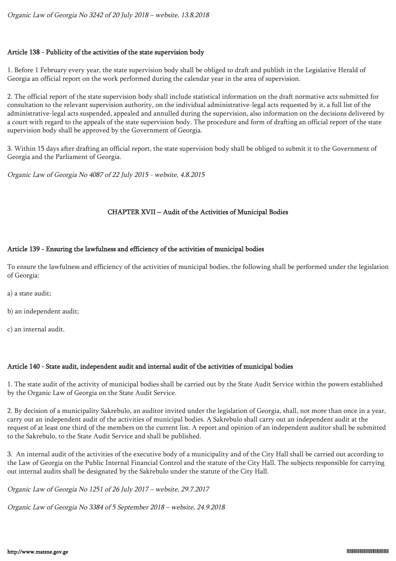#### Article 138 - Publicity of the activities of the state supervision body

1. Before 1 February every year, the state supervision body shall be obliged to draft and publish in the Legislative Herald of Georgia an official report on the work performed during the calendar year in the area of supervision.

2. The official report of the state supervision body shall include statistical information on the draft normative acts submitted for consultation to the relevant supervision authority, on the individual administrative-legal acts requested by it, a full list of the administrative-legal acts suspended, appealed and annulled during the supervision, also information on the decisions delivered by a court with regard to the appeals of the state supervision body. The procedure and form of drafting an official report of the state supervision body shall be approved by the Government of Georgia.

3. Within 15 days after drafting an official report, the state supervision body shall be obliged to submit it to the Government of Georgia and the Parliament of Georgia.

Organic Law of Georgia No 4087 of 22 July 2015 - website, 4.8.2015

### CHAPTER XVII – Audit of the Activities of Municipal Bodies

#### Article 139 - Ensuring the lawfulness and efficiency of the activities of municipal bodies

To ensure the lawfulness and efficiency of the activities of municipal bodies, the following shall be performed under the legislation of Georgia:

a) a state audit;

b) an independent audit;

c) an internal audit.

#### Article 140 - State audit, independent audit and internal audit of the activities of municipal bodies

1. The state audit of the activity of municipal bodies shall be carried out by the State Audit Service within the powers established by the Organic Law of Georgia on the State Audit Service.

2. By decision of a municipality Sakrebulo, an auditor invited under the legislation of Georgia, shall, not more than once in a year, carry out an independent audit of the activities of municipal bodies. A Sakrebulo shall carry out an independent audit at the request of at least one third of the members on the current list. A report and opinion of an independent auditor shall be submitted to the Sakrebulo, to the State Audit Service and shall be published.

3. An internal audit of the activities of the executive body of a municipality and of the City Hall shall be carried out according to the Law of Georgia on the Public Internal Financial Control and the statute of the City Hall. The subjects responsible for carrying out internal audits shall be designated by the Sakrebulo under the statute of the City Hall.

Organic Law of Georgia No 1251 of 26 July 2017 – website, 29.7.2017

Organic Law of Georgia No 3384 of 5 September 2018 – website, 24.9.2018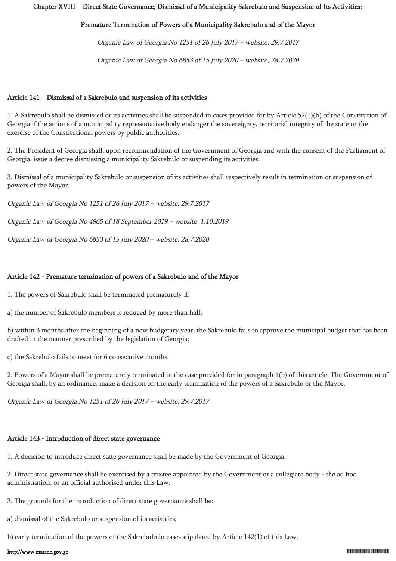#### Chapter XVIII – Direct State Governance; Dismissal of a Municipality Sakrebulo and Suspension of Its Activities;

### Premature Termination of Powers of a Municipality Sakrebulo and of the Mayor

Organic Law of Georgia No 1251 of 26 July 2017 – website, 29.7.2017

Organic Law of Georgia No 6853 of 15 July 2020 – website, 28.7.2020

#### Article 141 – Dismissal of a Sakrebulo and suspension of its activities

1. A Sakrebulo shall be dismissed or its activities shall be suspended in cases provided for by Article 52(1)(h) of the Constitution of Georgia if the actions of a municipality representative body endanger the sovereignty, territorial integrity of the state or the exercise of the Constitutional powers by public authorities.

2. The President of Georgia shall, upon recommendation of the Government of Georgia and with the consent of the Parliament of Georgia, issue a decree dismissing a municipality Sakrebulo or suspending its activities.

3. Dismissal of a municipality Sakrebulo or suspension of its activities shall respectively result in termination or suspension of powers of the Mayor.

Organic Law of Georgia No 1251 of 26 July 2017 – website, 29.7.2017

Organic Law of Georgia No 4965 of 18 September 2019 – website, 1.10.2019

Organic Law of Georgia No 6853 of 15 July 2020 – website, 28.7.2020

#### Article 142 - Premature termination of powers of a Sakrebulo and of the Mayor

1. The powers of Sakrebulo shall be terminated prematurely if:

a) the number of Sakrebulo members is reduced by more than half;

b) within 3 months after the beginning of a new budgetary year, the Sakrebulo fails to approve the municipal budget that has been drafted in the manner prescribed by the legislation of Georgia;

c) the Sakrebulo fails to meet for 6 consecutive months.

2. Powers of a Mayor shall be prematurely terminated in the case provided for in paragraph 1(b) of this article. The Government of Georgia shall, by an ordinance, make a decision on the early termination of the powers of a Sakrebulo or the Mayor.

Organic Law of Georgia No 1251 of 26 July 2017 – website, 29.7.2017

#### Article 143 - Introduction of direct state governance

1. A decision to introduce direct state governance shall be made by the Government of Georgia.

2. Direct state governance shall be exercised by a trustee appointed by the Government or a collegiate body - the ad hoc administration, or an official authorised under this Law.

3. The grounds for the introduction of direct state governance shall be:

a) dismissal of the Sakrebulo or suspension of its activities;

b) early termination of the powers of the Sakrebulo in cases stipulated by Article 142(1) of this Law.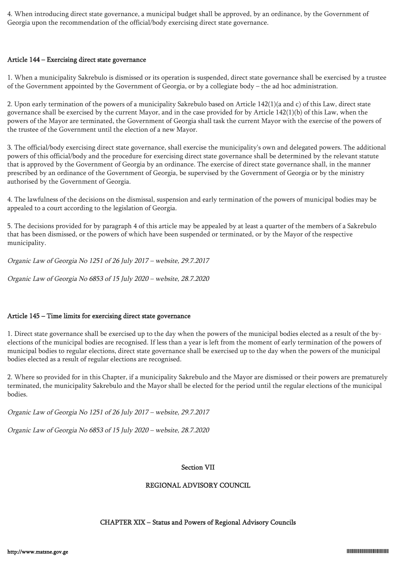4. When introducing direct state governance, a municipal budget shall be approved, by an ordinance, by the Government of Georgia upon the recommendation of the official/body exercising direct state governance.

#### Article 144 – Exercising direct state governance

1. When a municipality Sakrebulo is dismissed or its operation is suspended, direct state governance shall be exercised by a trustee of the Government appointed by the Government of Georgia, or by a collegiate body – the ad hoc administration.

2. Upon early termination of the powers of a municipality Sakrebulo based on Article 142(1)(a and c) of this Law, direct state governance shall be exercised by the current Mayor, and in the case provided for by Article 142(1)(b) of this Law, when the powers of the Mayor are terminated, the Government of Georgia shall task the current Mayor with the exercise of the powers of the trustee of the Government until the election of a new Mayor.

3. The official/body exercising direct state governance, shall exercise the municipality's own and delegated powers. The additional powers of this official/body and the procedure for exercising direct state governance shall be determined by the relevant statute that is approved by the Government of Georgia by an ordinance. The exercise of direct state governance shall, in the manner prescribed by an ordinance of the Government of Georgia, be supervised by the Government of Georgia or by the ministry authorised by the Government of Georgia.

4. The lawfulness of the decisions on the dismissal, suspension and early termination of the powers of municipal bodies may be appealed to a court according to the legislation of Georgia.

5. The decisions provided for by paragraph 4 of this article may be appealed by at least a quarter of the members of a Sakrebulo that has been dismissed, or the powers of which have been suspended or terminated, or by the Mayor of the respective municipality.

Organic Law of Georgia No 1251 of 26 July 2017 – website, 29.7.2017

Organic Law of Georgia No 6853 of 15 July 2020 – website, 28.7.2020

#### Article 145 – Time limits for exercising direct state governance

1. Direct state governance shall be exercised up to the day when the powers of the municipal bodies elected as a result of the byelections of the municipal bodies are recognised. If less than a year is left from the moment of early termination of the powers of municipal bodies to regular elections, direct state governance shall be exercised up to the day when the powers of the municipal bodies elected as a result of regular elections are recognised.

2. Where so provided for in this Chapter, if a municipality Sakrebulo and the Mayor are dismissed or their powers are prematurely terminated, the municipality Sakrebulo and the Mayor shall be elected for the period until the regular elections of the municipal bodies.

Organic Law of Georgia No 1251 of 26 July 2017 – website, 29.7.2017

Organic Law of Georgia No 6853 of 15 July 2020 – website, 28.7.2020

#### Section VII

#### REGIONAL ADVISORY COUNCIL

#### CHAPTER XIX – Status and Powers of Regional Advisory Councils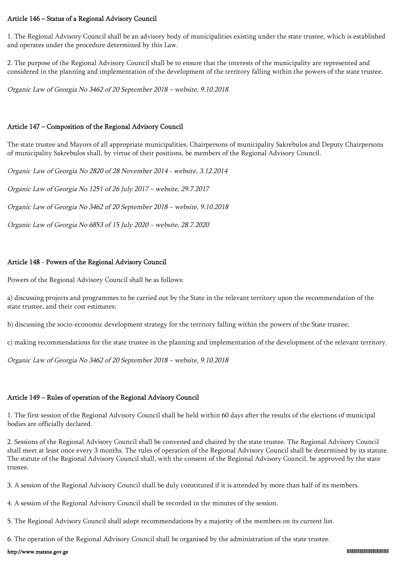#### Article 146 – Status of a Regional Advisory Council

1. The Regional Advisory Council shall be an advisory body of municipalities existing under the state trustee, which is established and operates under the procedure determined by this Law.

2. The purpose of the Regional Advisory Council shall be to ensure that the interests of the municipality are represented and considered in the planning and implementation of the development of the territory falling within the powers of the state trustee.

Organic Law of Georgia No 3462 of 20 September 2018 – website, 9.10.2018

#### Article 147 – Composition of the Regional Advisory Council

The state trustee and Mayors of all appropriate municipalities, Chairpersons of municipality Sakrebulos and Deputy Chairpersons of municipality Sakrebulos shall, by virtue of their positions, be members of the Regional Advisory Council.

Organic Law of Georgia No 2820 of 28 November 2014 - website, 3.12.2014

Organic Law of Georgia No 1251 of 26 July 2017 – website, 29.7.2017

Organic Law of Georgia No 3462 of 20 September 2018 – website, 9.10.2018

Organic Law of Georgia No 6853 of 15 July 2020 – website, 28.7.2020

#### Article 148 - Powers of the Regional Advisory Council

Powers of the Regional Advisory Council shall be as follows:

a) discussing projects and programmes to be carried out by the State in the relevant territory upon the recommendation of the state trustee, and their cost estimates;

b) discussing the socio-economic development strategy for the territory falling within the powers of the State trustee;

c) making recommendations for the state trustee in the planning and implementation of the development of the relevant territory.

Organic Law of Georgia No 3462 of 20 September 2018 – website, 9.10.2018

## Article 149 – Rules of operation of the Regional Advisory Council

1. The first session of the Regional Advisory Council shall be held within 60 days after the results of the elections of municipal bodies are officially declared.

2. Sessions of the Regional Advisory Council shall be convened and chaired by the state trustee. The Regional Advisory Council shall meet at least once every 3 months. The rules of operation of the Regional Advisory Council shall be determined by its statute. The statute of the Regional Advisory Council shall, with the consent of the Regional Advisory Council, be approved by the state trustee.

3. A session of the Regional Advisory Council shall be duly constituted if it is attended by more than half of its members.

- 4. A session of the Regional Advisory Council shall be recorded in the minutes of the session.
- 5. The Regional Advisory Council shall adopt recommendations by a majority of the members on its current list.
- 6. The operation of the Regional Advisory Council shall be organised by the administration of the state trustee.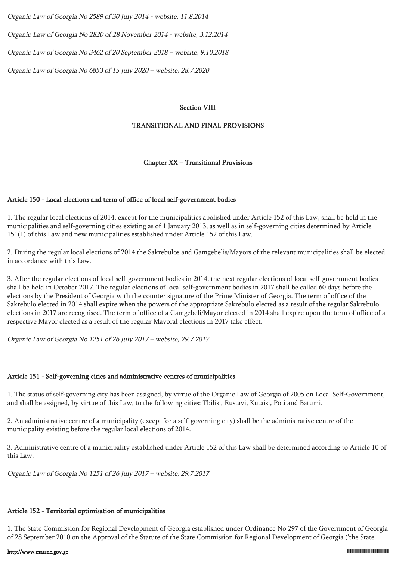Organic Law of Georgia No 2589 of 30 July 2014 - website, 11.8.2014

Organic Law of Georgia No 2820 of 28 November 2014 - website, 3.12.2014

Organic Law of Georgia No 3462 of 20 September 2018 – website, 9.10.2018

Organic Law of Georgia No 6853 of 15 July 2020 – website, 28.7.2020

#### Section VIII

#### TRANSITIONAL AND FINAL PROVISIONS

#### Chapter XX – Transitional Provisions

#### Article 150 - Local elections and term of office of local self-government bodies

1. The regular local elections of 2014, except for the municipalities abolished under Article 152 of this Law, shall be held in the municipalities and self-governing cities existing as of 1 January 2013, as well as in self-governing cities determined by Article 151(1) of this Law and new municipalities established under Article 152 of this Law.

2. During the regular local elections of 2014 the Sakrebulos and Gamgebelis/Mayors of the relevant municipalities shall be elected in accordance with this Law.

3. After the regular elections of local self-government bodies in 2014, the next regular elections of local self-government bodies shall be held in October 2017. The regular elections of local self-government bodies in 2017 shall be called 60 days before the elections by the President of Georgia with the counter signature of the Prime Minister of Georgia. The term of office of the Sakrebulo elected in 2014 shall expire when the powers of the appropriate Sakrebulo elected as a result of the regular Sakrebulo elections in 2017 are recognised. The term of office of a Gamgebeli/Mayor elected in 2014 shall expire upon the term of office of a respective Mayor elected as a result of the regular Mayoral elections in 2017 take effect.

Organic Law of Georgia No 1251 of 26 July 2017 – website, 29.7.2017

#### Article 151 - Self-governing cities and administrative centres of municipalities

1. The status of self-governing city has been assigned, by virtue of the Organic Law of Georgia of 2005 on Local Self-Government, and shall be assigned, by virtue of this Law, to the following cities: Tbilisi, Rustavi, Kutaisi, Poti and Batumi.

2. An administrative centre of a municipality (except for a self-governing city) shall be the administrative centre of the municipality existing before the regular local elections of 2014.

3. Administrative centre of a municipality established under Article 152 of this Law shall be determined according to Article 10 of this Law.

Organic Law of Georgia No 1251 of 26 July 2017 – website, 29.7.2017

#### Article 152 - Territorial optimisation of municipalities

1. The State Commission for Regional Development of Georgia established under Ordinance No 297 of the Government of Georgia of 28 September 2010 on the Approval of the Statute of the State Commission for Regional Development of Georgia ('the State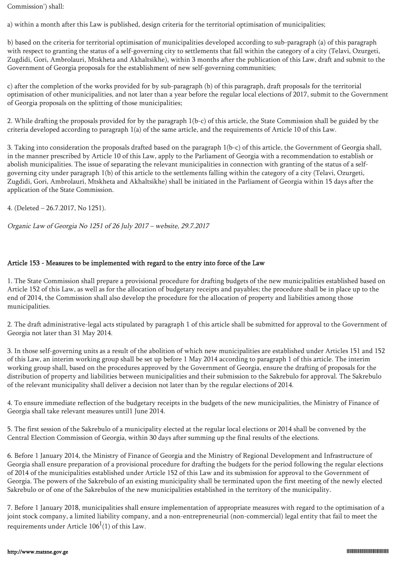Commission') shall:

a) within a month after this Law is published, design criteria for the territorial optimisation of municipalities;

b) based on the criteria for territorial optimisation of municipalities developed according to sub-paragraph (a) of this paragraph with respect to granting the status of a self-governing city to settlements that fall within the category of a city (Telavi, Ozurgeti, Zugdidi, Gori, Ambrolauri, Mtskheta and Akhaltsikhe), within 3 months after the publication of this Law, draft and submit to the Government of Georgia proposals for the establishment of new self-governing communities;

c) after the completion of the works provided for by sub-paragraph (b) of this paragraph, draft proposals for the territorial optimisation of other municipalities, and not later than a year before the regular local elections of 2017, submit to the Government of Georgia proposals on the splitting of those municipalities;

2. While drafting the proposals provided for by the paragraph 1(b-c) of this article, the State Commission shall be guided by the criteria developed according to paragraph 1(a) of the same article, and the requirements of Article 10 of this Law.

3. Taking into consideration the proposals drafted based on the paragraph 1(b-c) of this article, the Government of Georgia shall, in the manner prescribed by Article 10 of this Law, apply to the Parliament of Georgia with a recommendation to establish or abolish municipalities. The issue of separating the relevant municipalities in connection with granting of the status of a selfgoverning city under paragraph 1(b) of this article to the settlements falling within the category of a city (Telavi, Ozurgeti, Zugdidi, Gori, Ambrolauri, Mtskheta and Akhaltsikhe) shall be initiated in the Parliament of Georgia within 15 days after the application of the State Commission.

4. (Deleted – 26.7.2017, No 1251).

Organic Law of Georgia No 1251 of 26 July 2017 – website, 29.7.2017

### Article 153 - Measures to be implemented with regard to the entry into force of the Law

1. The State Commission shall prepare a provisional procedure for drafting budgets of the new municipalities established based on Article 152 of this Law, as well as for the allocation of budgetary receipts and payables; the procedure shall be in place up to the end of 2014, the Commission shall also develop the procedure for the allocation of property and liabilities among those municipalities.

2. The draft administrative-legal acts stipulated by paragraph 1 of this article shall be submitted for approval to the Government of Georgia not later than 31 May 2014.

3. In those self-governing units as a result of the abolition of which new municipalities are established under Articles 151 and 152 of this Law, an interim working group shall be set up before 1 May 2014 according to paragraph 1 of this article. The interim working group shall, based on the procedures approved by the Government of Georgia, ensure the drafting of proposals for the distribution of property and liabilities between municipalities and their submission to the Sakrebulo for approval. The Sakrebulo of the relevant municipality shall deliver a decision not later than by the regular elections of 2014.

4. To ensure immediate reflection of the budgetary receipts in the budgets of the new municipalities, the Ministry of Finance of Georgia shall take relevant measures until1 June 2014.

5. The first session of the Sakrebulo of a municipality elected at the regular local elections or 2014 shall be convened by the Central Election Commission of Georgia, within 30 days after summing up the final results of the elections.

6. Before 1 January 2014, the Ministry of Finance of Georgia and the Ministry of Regional Development and Infrastructure of Georgia shall ensure preparation of a provisional procedure for drafting the budgets for the period following the regular elections of 2014 of the municipalities established under Article 152 of this Law and its submission for approval to the Government of Georgia. The powers of the Sakrebulo of an existing municipality shall be terminated upon the first meeting of the newly elected Sakrebulo or of one of the Sakrebulos of the new municipalities established in the territory of the municipality.

7. Before 1 January 2018, municipalities shall ensure implementation of appropriate measures with regard to the optimisation of a joint stock company, a limited liability company, and a non-entrepreneurial (non-commercial) legal entity that fail to meet the requirements under Article  $106^1(1)$  of this Law.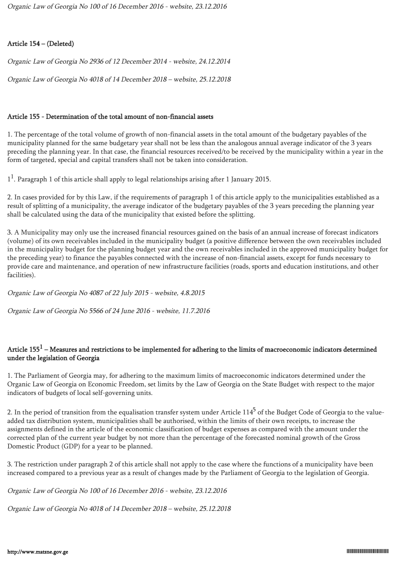### Article 154 – (Deleted)

Organic Law of Georgia No 2936 of 12 December 2014 - website, 24.12.2014

Organic Law of Georgia No 4018 of 14 December 2018 – website, 25.12.2018

### Article 155 - Determination of the total amount of non-financial assets

1. The percentage of the total volume of growth of non-financial assets in the total amount of the budgetary payables of the municipality planned for the same budgetary year shall not be less than the analogous annual average indicator of the 3 years preceding the planning year. In that case, the financial resources received/to be received by the municipality within a year in the form of targeted, special and capital transfers shall not be taken into consideration.

 $1<sup>1</sup>$ . Paragraph 1 of this article shall apply to legal relationships arising after 1 January 2015.

2. In cases provided for by this Law, if the requirements of paragraph 1 of this article apply to the municipalities established as a result of splitting of a municipality, the average indicator of the budgetary payables of the 3 years preceding the planning year shall be calculated using the data of the municipality that existed before the splitting.

3. A Municipality may only use the increased financial resources gained on the basis of an annual increase of forecast indicators (volume) of its own receivables included in the municipality budget (a positive difference between the own receivables included in the municipality budget for the planning budget year and the own receivables included in the approved municipality budget for the preceding year) to finance the payables connected with the increase of non-financial assets, except for funds necessary to provide care and maintenance, and operation of new infrastructure facilities (roads, sports and education institutions, and other facilities).

Organic Law of Georgia No 4087 of 22 July 2015 - website, 4.8.2015

Organic Law of Georgia No 5566 of 24 June 2016 - website, 11.7.2016

## Article 155 $^1$  – Measures and restrictions to be implemented for adhering to the limits of macroeconomic indicators determined under the legislation of Georgia

1. The Parliament of Georgia may, for adhering to the maximum limits of macroeconomic indicators determined under the Organic Law of Georgia on Economic Freedom, set limits by the Law of Georgia on the State Budget with respect to the major indicators of budgets of local self-governing units.

2. In the period of transition from the equalisation transfer system under Article  $114^5$  of the Budget Code of Georgia to the valueadded tax distribution system, municipalities shall be authorised, within the limits of their own receipts, to increase the assignments defined in the article of the economic classification of budget expenses as compared with the amount under the corrected plan of the current year budget by not more than the percentage of the forecasted nominal growth of the Gross Domestic Product (GDP) for a year to be planned.

3. The restriction under paragraph 2 of this article shall not apply to the case where the functions of a municipality have been increased compared to a previous year as a result of changes made by the Parliament of Georgia to the legislation of Georgia.

Organic Law of Georgia No 100 of 16 December 2016 - website, 23.12.2016

Organic Law of Georgia No 4018 of 14 December 2018 – website, 25.12.2018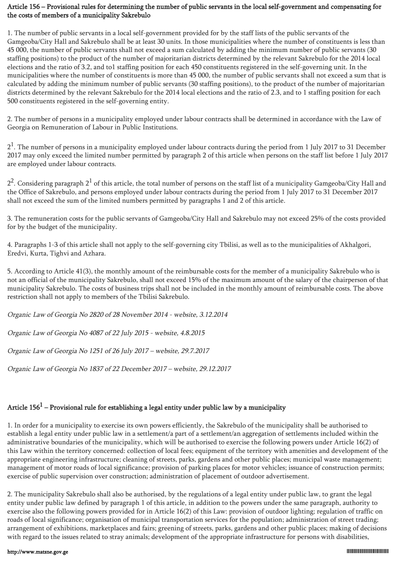### Article 156 – Provisional rules for determining the number of public servants in the local self-government and compensating for the costs of members of a municipality Sakrebulo

1. The number of public servants in a local self-government provided for by the staff lists of the public servants of the Gamgeoba/City Hall and Sakrebulo shall be at least 30 units. In those municipalities where the number of constituents is less than 45 000, the number of public servants shall not exceed a sum calculated by adding the minimum number of public servants (30 staffing positions) to the product of the number of majoritarian districts determined by the relevant Sakrebulo for the 2014 local elections and the ratio of 3.2, and to1 staffing position for each 450 constituents registered in the self-governing unit. In the municipalities where the number of constituents is more than 45 000, the number of public servants shall not exceed a sum that is calculated by adding the minimum number of public servants (30 staffing positions), to the product of the number of majoritarian districts determined by the relevant Sakrebulo for the 2014 local elections and the ratio of 2.3, and to 1 staffing position for each 500 constituents registered in the self-governing entity.

2. The number of persons in a municipality employed under labour contracts shall be determined in accordance with the Law of Georgia on Remuneration of Labour in Public Institutions.

 $2<sup>1</sup>$ . The number of persons in a municipality employed under labour contracts during the period from 1 July 2017 to 31 December 2017 may only exceed the limited number permitted by paragraph 2 of this article when persons on the staff list before 1 July 2017 are employed under labour contracts.

 $2^2$ . Considering paragraph  $2^1$  of this article, the total number of persons on the staff list of a municipality Gamgeoba/City Hall and the Office of Sakrebulo, and persons employed under labour contracts during the period from 1 July 2017 to 31 December 2017 shall not exceed the sum of the limited numbers permitted by paragraphs 1 and 2 of this article.

3. The remuneration costs for the public servants of Gamgeoba/City Hall and Sakrebulo may not exceed 25% of the costs provided for by the budget of the municipality.

4. Paragraphs 1-3 of this article shall not apply to the self-governing city Tbilisi, as well as to the municipalities of Akhalgori, Eredvi, Kurta, Tighvi and Azhara.

5. According to Article 41(3), the monthly amount of the reimbursable costs for the member of a municipality Sakrebulo who is not an official of the municipality Sakrebulo, shall not exceed 15% of the maximum amount of the salary of the chairperson of that municipality Sakrebulo. The costs of business trips shall not be included in the monthly amount of reimbursable costs. The above restriction shall not apply to members of the Tbilisi Sakrebulo.

Organic Law of Georgia No 2820 of 28 November 2014 - website, 3.12.2014

Organic Law of Georgia No 4087 of 22 July 2015 - website, 4.8.2015

Organic Law of Georgia No 1251 of 26 July 2017 – website, 29.7.2017

Organic Law of Georgia No 1837 of 22 December 2017 – website, 29.12.2017

# Article 156 $^{\rm 1}$  – Provisional rule for establishing a legal entity under public law by a municipality

1. In order for a municipality to exercise its own powers efficiently, the Sakrebulo of the municipality shall be authorised to establish a legal entity under public law in a settlement/a part of a settlement/an aggregation of settlements included within the administrative boundaries of the municipality, which will be authorised to exercise the following powers under Article 16(2) of this Law within the territory concerned: collection of local fees; equipment of the territory with amenities and development of the appropriate engineering infrastructure; cleaning of streets, parks, gardens and other public places; municipal waste management; management of motor roads of local significance; provision of parking places for motor vehicles; issuance of construction permits; exercise of public supervision over construction; administration of placement of outdoor advertisement.

2. The municipality Sakrebulo shall also be authorised, by the regulations of a legal entity under public law, to grant the legal entity under public law defined by paragraph 1 of this article, in addition to the powers under the same paragraph, authority to exercise also the following powers provided for in Article 16(2) of this Law: provision of outdoor lighting; regulation of traffic on roads of local significance; organisation of municipal transportation services for the population; administration of street trading; arrangement of exhibitions, marketplaces and fairs; greening of streets, parks, gardens and other public places; making of decisions with regard to the issues related to stray animals; development of the appropriate infrastructure for persons with disabilities,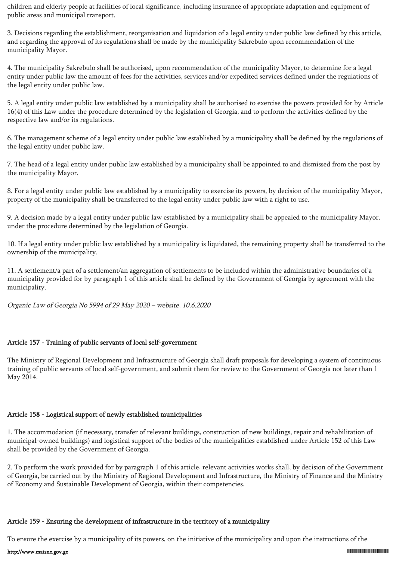children and elderly people at facilities of local significance, including insurance of appropriate adaptation and equipment of public areas and municipal transport.

3. Decisions regarding the establishment, reorganisation and liquidation of a legal entity under public law defined by this article, and regarding the approval of its regulations shall be made by the municipality Sakrebulo upon recommendation of the municipality Mayor.

4. The municipality Sakrebulo shall be authorised, upon recommendation of the municipality Mayor, to determine for a legal entity under public law the amount of fees for the activities, services and/or expedited services defined under the regulations of the legal entity under public law.

5. A legal entity under public law established by a municipality shall be authorised to exercise the powers provided for by Article 16(4) of this Law under the procedure determined by the legislation of Georgia, and to perform the activities defined by the respective law and/or its regulations.

6. The management scheme of a legal entity under public law established by a municipality shall be defined by the regulations of the legal entity under public law.

7. The head of a legal entity under public law established by a municipality shall be appointed to and dismissed from the post by the municipality Mayor.

8. For a legal entity under public law established by a municipality to exercise its powers, by decision of the municipality Mayor, property of the municipality shall be transferred to the legal entity under public law with a right to use.

9. A decision made by a legal entity under public law established by a municipality shall be appealed to the municipality Mayor, under the procedure determined by the legislation of Georgia.

10. If a legal entity under public law established by a municipality is liquidated, the remaining property shall be transferred to the ownership of the municipality.

11. A settlement/a part of a settlement/an aggregation of settlements to be included within the administrative boundaries of a municipality provided for by paragraph 1 of this article shall be defined by the Government of Georgia by agreement with the municipality.

Organic Law of Georgia No 5994 of 29 May 2020 – website, 10.6.2020

#### Article 157 - Training of public servants of local self-government

The Ministry of Regional Development and Infrastructure of Georgia shall draft proposals for developing a system of continuous training of public servants of local self-government, and submit them for review to the Government of Georgia not later than 1 May 2014.

### Article 158 - Logistical support of newly established municipalities

1. The accommodation (if necessary, transfer of relevant buildings, construction of new buildings, repair and rehabilitation of municipal-owned buildings) and logistical support of the bodies of the municipalities established under Article 152 of this Law shall be provided by the Government of Georgia.

2. To perform the work provided for by paragraph 1 of this article, relevant activities works shall, by decision of the Government of Georgia, be carried out by the Ministry of Regional Development and Infrastructure, the Ministry of Finance and the Ministry of Economy and Sustainable Development of Georgia, within their competencies.

#### Article 159 - Ensuring the development of infrastructure in the territory of a municipality

To ensure the exercise by a municipality of its powers, on the initiative of the municipality and upon the instructions of the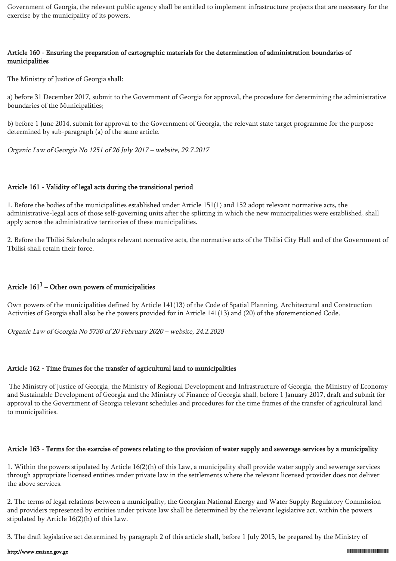Government of Georgia, the relevant public agency shall be entitled to implement infrastructure projects that are necessary for the exercise by the municipality of its powers.

#### Article 160 - Ensuring the preparation of cartographic materials for the determination of administration boundaries of municipalities

The Ministry of Justice of Georgia shall:

a) before 31 December 2017, submit to the Government of Georgia for approval, the procedure for determining the administrative boundaries of the Municipalities;

b) before 1 June 2014, submit for approval to the Government of Georgia, the relevant state target programme for the purpose determined by sub-paragraph (a) of the same article.

Organic Law of Georgia No 1251 of 26 July 2017 – website, 29.7.2017

#### Article 161 - Validity of legal acts during the transitional period

1. Before the bodies of the municipalities established under Article 151(1) and 152 adopt relevant normative acts, the administrative-legal acts of those self-governing units after the splitting in which the new municipalities were established, shall apply across the administrative territories of these municipalities.

2. Before the Tbilisi Sakrebulo adopts relevant normative acts, the normative acts of the Tbilisi City Hall and of the Government of Tbilisi shall retain their force.

## Article  $161^1$  – Other own powers of municipalities

Own powers of the municipalities defined by Article 141(13) of the Code of Spatial Planning, Architectural and Construction Activities of Georgia shall also be the powers provided for in Article 141(13) and (20) of the aforementioned Code.

Organic Law of Georgia No 5730 of 20 February 2020 – website, 24.2.2020

## Article 162 - Time frames for the transfer of agricultural land to municipalities

 The Ministry of Justice of Georgia, the Ministry of Regional Development and Infrastructure of Georgia, the Ministry of Economy and Sustainable Development of Georgia and the Ministry of Finance of Georgia shall, before 1 January 2017, draft and submit for approval to the Government of Georgia relevant schedules and procedures for the time frames of the transfer of agricultural land to municipalities.

## Article 163 - Terms for the exercise of powers relating to the provision of water supply and sewerage services by a municipality

1. Within the powers stipulated by Article 16(2)(h) of this Law, a municipality shall provide water supply and sewerage services through appropriate licensed entities under private law in the settlements where the relevant licensed provider does not deliver the above services.

2. The terms of legal relations between a municipality, the Georgian National Energy and Water Supply Regulatory Commission and providers represented by entities under private law shall be determined by the relevant legislative act, within the powers stipulated by Article 16(2)(h) of this Law.

3. The draft legislative act determined by paragraph 2 of this article shall, before 1 July 2015, be prepared by the Ministry of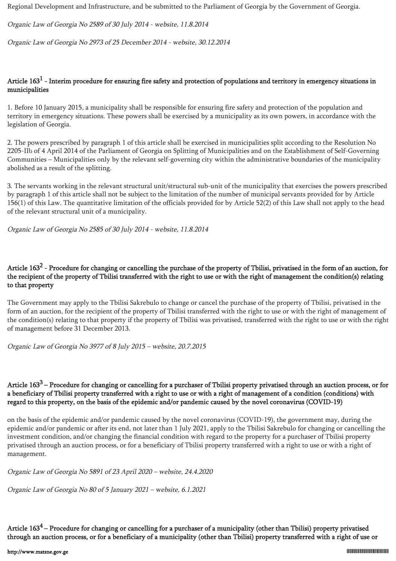Regional Development and Infrastructure, and be submitted to the Parliament of Georgia by the Government of Georgia.

Organic Law of Georgia No 2589 of 30 July 2014 - website, 11.8.2014

Organic Law of Georgia No 2973 of 25 December 2014 - website, 30.12.2014

# Article  $163^1$  - Interim procedure for ensuring fire safety and protection of populations and territory in emergency situations in municipalities

1. Before 10 January 2015, a municipality shall be responsible for ensuring fire safety and protection of the population and territory in emergency situations. These powers shall be exercised by a municipality as its own powers, in accordance with the legislation of Georgia.

2. The powers prescribed by paragraph 1 of this article shall be exercised in municipalities split according to the Resolution No 2205-IIს of 4 April 2014 of the Parliament of Georgia on Splitting of Municipalities and on the Establishment of Self-Governing Communities – Municipalities only by the relevant self-governing city within the administrative boundaries of the municipality abolished as a result of the splitting.

3. The servants working in the relevant structural unit/structural sub-unit of the municipality that exercises the powers prescribed by paragraph 1 of this article shall not be subject to the limitation of the number of municipal servants provided for by Article 156(1) of this Law. The quantitative limitation of the officials provided for by Article 52(2) of this Law shall not apply to the head of the relevant structural unit of a municipality.

Organic Law of Georgia No 2585 of 30 July 2014 - website, 11.8.2014

# Article 163<sup>2</sup> - Procedure for changing or cancelling the purchase of the property of Tbilisi, privatised in the form of an auction, for the recipient of the property of Tbilisi transferred with the right to use or with the right of management the condition(s) relating to that property

The Government may apply to the Tbilisi Sakrebulo to change or cancel the purchase of the property of Tbilisi, privatised in the form of an auction, for the recipient of the property of Tbilisi transferred with the right to use or with the right of management of the condition(s) relating to that property if the property of Tbilisi was privatised, transferred with the right to use or with the right of management before 31 December 2013.

Organic Law of Georgia No 3977 of 8 July 2015 – website, 20.7.2015

## Article  $163<sup>3</sup>$  – Procedure for changing or cancelling for a purchaser of Tbilisi property privatised through an auction process, or for a beneficiary of Tbilisi property transferred with a right to use or with a right of management of a condition (conditions) with regard to this property, on the basis of the epidemic and/or pandemic caused by the novel coronavirus (COVID-19)

on the basis of the epidemic and/or pandemic caused by the novel coronavirus (COVID-19), the government may, during the epidemic and/or pandemic or after its end, not later than 1 July 2021, apply to the Tbilisi Sakrebulo for changing or cancelling the investment condition, and/or changing the financial condition with regard to the property for a purchaser of Tbilisi property privatised through an auction process, or for a beneficiary of Tbilisi property transferred with a right to use or with a right of management.

Organic Law of Georgia No 5891 of 23 April 2020 – website, 24.4.2020

Organic Law of Georgia No 80 of 5 January 2021 – website, 6.1.2021

Article  $163^4$  – Procedure for changing or cancelling for a purchaser of a municipality (other than Tbilisi) property privatised through an auction process, or for a beneficiary of a municipality (other than Tbilisi) property transferred with a right of use or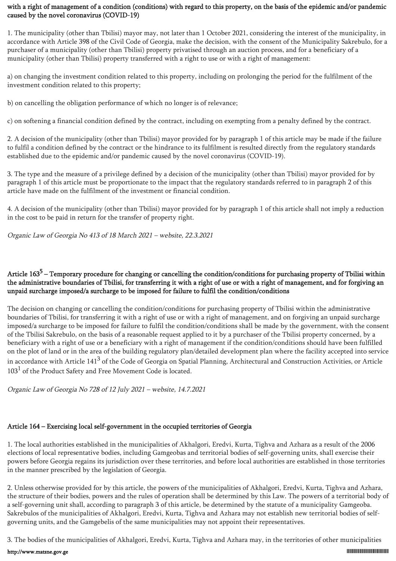## with a right of management of a condition (conditions) with regard to this property, on the basis of the epidemic and/or pandemic caused by the novel coronavirus (COVID-19)

1. The municipality (other than Tbilisi) mayor may, not later than 1 October 2021, considering the interest of the municipality, in accordance with Article 398 of the Civil Code of Georgia, make the decision, with the consent of the Municipality Sakrebulo, for a purchaser of a municipality (other than Tbilisi) property privatised through an auction process, and for a beneficiary of a municipality (other than Tbilisi) property transferred with a right to use or with a right of management:

a) on changing the investment condition related to this property, including on prolonging the period for the fulfilment of the investment condition related to this property;

b) on cancelling the obligation performance of which no longer is of relevance;

c) on softening a financial condition defined by the contract, including on exempting from a penalty defined by the contract.

2. A decision of the municipality (other than Tbilisi) mayor provided for by paragraph 1 of this article may be made if the failure to fulfil a condition defined by the contract or the hindrance to its fulfilment is resulted directly from the regulatory standards established due to the epidemic and/or pandemic caused by the novel coronavirus (COVID-19).

3. The type and the measure of a privilege defined by a decision of the municipality (other than Tbilisi) mayor provided for by paragraph 1 of this article must be proportionate to the impact that the regulatory standards referred to in paragraph 2 of this article have made on the fulfilment of the investment or financial condition.

4. A decision of the municipality (other than Tbilisi) mayor provided for by paragraph 1 of this article shall not imply a reduction in the cost to be paid in return for the transfer of property right.

Organic Law of Georgia No 413 of 18 March 2021 – website, 22.3.2021

## Article 163<sup>5</sup> – Temporary procedure for changing or cancelling the condition/conditions for purchasing property of Tbilisi within the administrative boundaries of Tbilisi, for transferring it with a right of use or with a right of management, and for forgiving an unpaid surcharge imposed/a surcharge to be imposed for failure to fulfil the condition/conditions

The decision on changing or cancelling the condition/conditions for purchasing property of Tbilisi within the administrative boundaries of Tbilisi, for transferring it with a right of use or with a right of management, and on forgiving an unpaid surcharge imposed/a surcharge to be imposed for failure to fulfil the condition/conditions shall be made by the government, with the consent of the Tbilisi Sakrebulo, on the basis of a reasonable request applied to it by a purchaser of the Tbilisi property concerned, by a beneficiary with a right of use or a beneficiary with a right of management if the condition/conditions should have been fulfilled on the plot of land or in the area of the building regulatory plan/detailed development plan where the facility accepted into service in accordance with Article 141 $^3$  of the Code of Georgia on Spatial Planning, Architectural and Construction Activities, or Article  $103<sup>1</sup>$  of the Product Safety and Free Movement Code is located.

Organic Law of Georgia No 728 of 12 July 2021 – website, 14.7.2021

# Article 164 – Exercising local self-government in the occupied territories of Georgia

1. The local authorities established in the municipalities of Akhalgori, Eredvi, Kurta, Tighva and Azhara as a result of the 2006 elections of local representative bodies, including Gamgeobas and territorial bodies of self-governing units, shall exercise their powers before Georgia regains its jurisdiction over these territories, and before local authorities are established in those territories in the manner prescribed by the legislation of Georgia.

2. Unless otherwise provided for by this article, the powers of the municipalities of Akhalgori, Eredvi, Kurta, Tighva and Azhara, the structure of their bodies, powers and the rules of operation shall be determined by this Law. The powers of a territorial body of a self-governing unit shall, according to paragraph 3 of this article, be determined by the statute of a municipality Gamgeoba. Sakrebulos of the municipalities of Akhalgori, Eredvi, Kurta, Tighva and Azhara may not establish new territorial bodies of selfgoverning units, and the Gamgebelis of the same municipalities may not appoint their representatives.

3. The bodies of the municipalities of Akhalgori, Eredvi, Kurta, Tighva and Azhara may, in the territories of other municipalities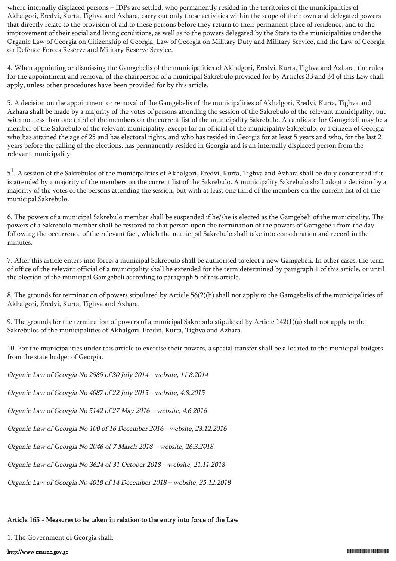where internally displaced persons – IDPs are settled, who permanently resided in the territories of the municipalities of Akhalgori, Eredvi, Kurta, Tighva and Azhara, carry out only those activities within the scope of their own and delegated powers that directly relate to the provision of aid to these persons before they return to their permanent place of residence, and to the improvement of their social and living conditions, as well as to the powers delegated by the State to the municipalities under the Organic Law of Georgia on Citizenship of Georgia, Law of Georgia on Military Duty and Military Service, and the Law of Georgia on Defence Forces Reserve and Military Reserve Service.

4. When appointing or dismissing the Gamgebelis of the municipalities of Akhalgori, Eredvi, Kurta, Tighva and Azhara, the rules for the appointment and removal of the chairperson of a municipal Sakrebulo provided for by Articles 33 and 34 of this Law shall apply, unless other procedures have been provided for by this article.

5. A decision on the appointment or removal of the Gamgebelis of the municipalities of Akhalgori, Eredvi, Kurta, Tighva and Azhara shall be made by a majority of the votes of persons attending the session of the Sakrebulo of the relevant municipality, but with not less than one third of the members on the current list of the municipality Sakrebulo. A candidate for Gamgebeli may be a member of the Sakrebulo of the relevant municipality, except for an official of the municipality Sakrebulo, or a citizen of Georgia who has attained the age of 25 and has electoral rights, and who has resided in Georgia for at least 5 years and who, for the last 2 years before the calling of the elections, has permanently resided in Georgia and is an internally displaced person from the relevant municipality.

 $5<sup>1</sup>$ . A session of the Sakrebulos of the municipalities of Akhalgori, Eredvi, Kurta, Tighva and Azhara shall be duly constituted if it is attended by a majority of the members on the current list of the Sakrebulo. A municipality Sakrebulo shall adopt a decision by a majority of the votes of the persons attending the session, but with at least one third of the members on the current list of of the municipal Sakrebulo.

6. The powers of a municipal Sakrebulo member shall be suspended if he/she is elected as the Gamgebeli of the municipality. The powers of a Sakrebulo member shall be restored to that person upon the termination of the powers of Gamgebeli from the day following the occurrence of the relevant fact, which the municipal Sakrebulo shall take into consideration and record in the minutes.

7. After this article enters into force, a municipal Sakrebulo shall be authorised to elect a new Gamgebeli. In other cases, the term of office of the relevant official of a municipality shall be extended for the term determined by paragraph 1 of this article, or until the election of the municipal Gamgebeli according to paragraph 5 of this article.

8. The grounds for termination of powers stipulated by Article 56(2)(h) shall not apply to the Gamgebelis of the municipalities of Akhalgori, Eredvi, Kurta, Tighva and Azhara.

9. The grounds for the termination of powers of a municipal Sakrebulo stipulated by Article 142(1)(a) shall not apply to the Sakrebulos of the municipalities of Akhalgori, Eredvi, Kurta, Tighva and Azhara.

10. For the municipalities under this article to exercise their powers, a special transfer shall be allocated to the municipal budgets from the state budget of Georgia.

Organic Law of Georgia No 2585 of 30 July 2014 - website, 11.8.2014

Organic Law of Georgia No 4087 of 22 July 2015 - website, 4.8.2015

Organic Law of Georgia No 5142 of 27 May 2016 – website, 4.6.2016

Organic Law of Georgia No 100 of 16 December 2016 - website, 23.12.2016

Organic Law of Georgia No 2046 of 7 March 2018 – website, 26.3.2018

Organic Law of Georgia No 3624 of 31 October 2018 – website, 21.11.2018

Organic Law of Georgia No 4018 of 14 December 2018 – website, 25.12.2018

## Article 165 - Measures to be taken in relation to the entry into force of the Law

1. The Government of Georgia shall: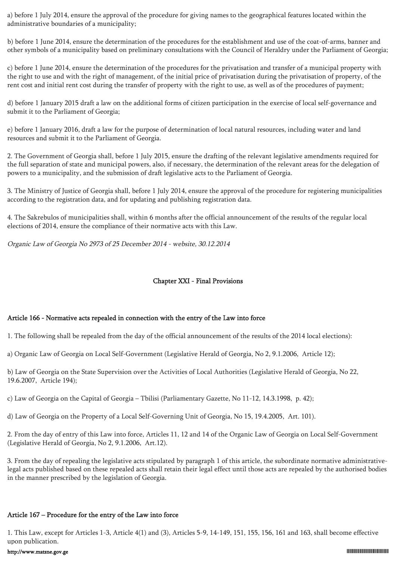a) before 1 July 2014, ensure the approval of the procedure for giving names to the geographical features located within the administrative boundaries of a municipality;

b) before 1 June 2014, ensure the determination of the procedures for the establishment and use of the coat-of-arms, banner and other symbols of a municipality based on preliminary consultations with the Council of Heraldry under the Parliament of Georgia;

c) before 1 June 2014, ensure the determination of the procedures for the privatisation and transfer of a municipal property with the right to use and with the right of management, of the initial price of privatisation during the privatisation of property, of the rent cost and initial rent cost during the transfer of property with the right to use, as well as of the procedures of payment;

d) before 1 January 2015 draft a law on the additional forms of citizen participation in the exercise of local self-governance and submit it to the Parliament of Georgia;

e) before 1 January 2016, draft a law for the purpose of determination of local natural resources, including water and land resources and submit it to the Parliament of Georgia.

2. The Government of Georgia shall, before 1 July 2015, ensure the drafting of the relevant legislative amendments required for the full separation of state and municipal powers, also, if necessary, the determination of the relevant areas for the delegation of powers to a municipality, and the submission of draft legislative acts to the Parliament of Georgia.

3. The Ministry of Justice of Georgia shall, before 1 July 2014, ensure the approval of the procedure for registering municipalities according to the registration data, and for updating and publishing registration data.

4. The Sakrebulos of municipalities shall, within 6 months after the official announcement of the results of the regular local elections of 2014, ensure the compliance of their normative acts with this Law.

Organic Law of Georgia No 2973 of 25 December 2014 - website, 30.12.2014

#### Chapter XXI - Final Provisions

#### Article 166 - Normative acts repealed in connection with the entry of the Law into force

1. The following shall be repealed from the day of the official announcement of the results of the 2014 local elections):

a) Organic Law of Georgia on Local Self-Government (Legislative Herald of Georgia, No 2, 9.1.2006, Article 12);

b) Law of Georgia on the State Supervision over the Activities of Local Authorities (Legislative Herald of Georgia, No 22, 19.6.2007, Article 194);

c) Law of Georgia on the Capital of Georgia – Tbilisi (Parliamentary Gazette, No 11-12, 14.3.1998, p. 42);

d) Law of Georgia on the Property of a Local Self-Governing Unit of Georgia, No 15, 19.4.2005, Art. 101).

2. From the day of entry of this Law into force, Articles 11, 12 and 14 of the Organic Law of Georgia on Local Self-Government (Legislative Herald of Georgia, No 2, 9.1.2006, Art.12).

3. From the day of repealing the legislative acts stipulated by paragraph 1 of this article, the subordinate normative administrativelegal acts published based on these repealed acts shall retain their legal effect until those acts are repealed by the authorised bodies in the manner prescribed by the legislation of Georgia.

#### Article 167 – Procedure for the entry of the Law into force

1. This Law, except for Articles 1-3, Article 4(1) and (3), Articles 5-9, 14-149, 151, 155, 156, 161 and 163, shall become effective upon publication.